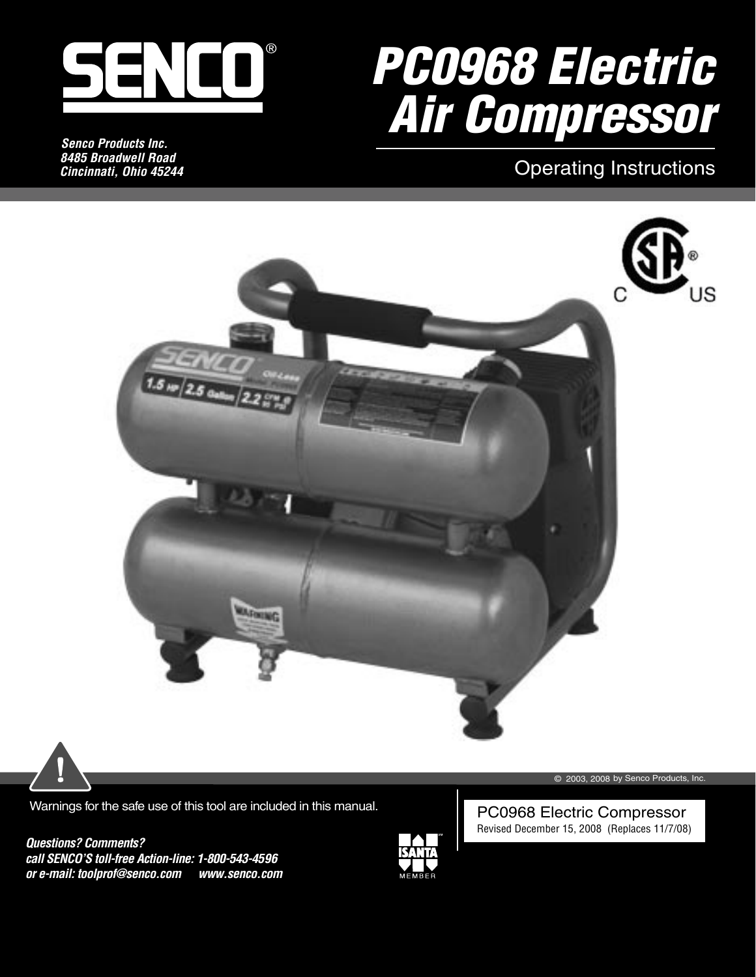

*Senco Products Inc. 8485 Broadwell Road Cincinnati, Ohio 45244*

# PC0968 Electric Air Compressor

## Operating Instructions





Warnings for the safe use of this tool are included in this manual.

*Questions? Comments? call SENCO'S toll-free Action-line: 1-800-543-4596 or e-mail: toolprof@senco.com www.senco.com*



© 2003, 2008 by Senco Products, Inc.

PC0968 Electric Compressor Revised December 15, 2008 (Replaces 11/7/08)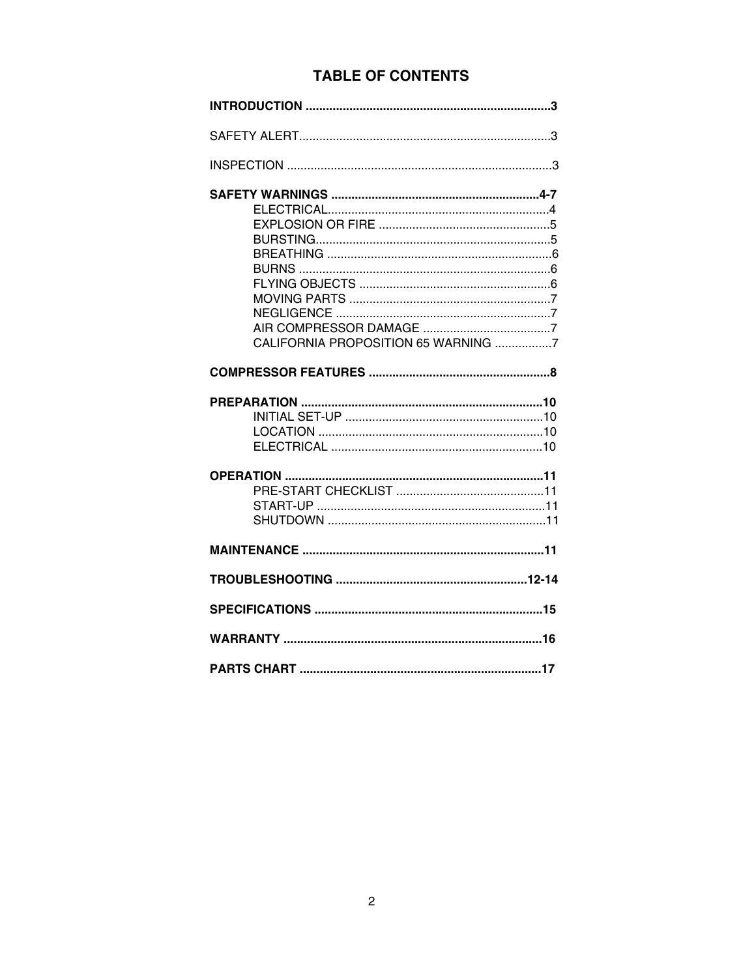## **TABLE OF CONTENTS**

| CALIFORNIA PROPOSITION 65 WARNING 7 |
|-------------------------------------|
|                                     |
|                                     |
|                                     |
|                                     |
|                                     |
|                                     |
|                                     |
|                                     |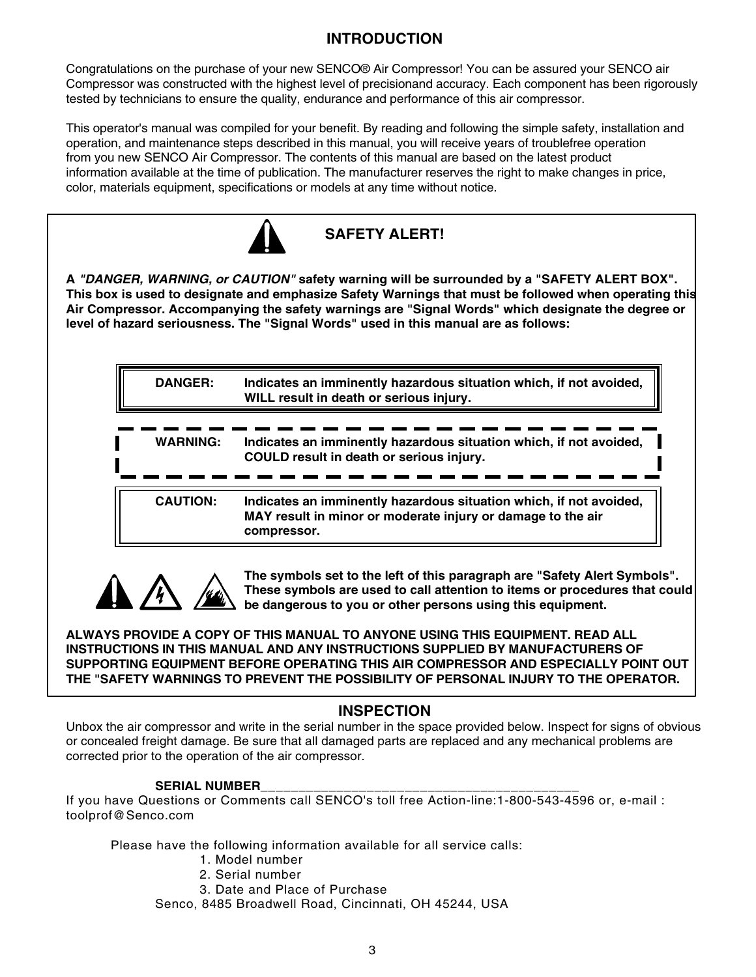## **INTRODUCTION**

Congratulations on the purchase of your new SENCO® Air Compressor! You can be assured your SENCO air Compressor was constructed with the highest level of precisionand accuracy. Each component has been rigorously tested by technicians to ensure the quality, endurance and performance of this air compressor.

This operator's manual was compiled for your benefit. By reading and following the simple safety, installation and operation, and maintenance steps described in this manual, you will receive years of troublefree operation from you new SENCO Air Compressor. The contents of this manual are based on the latest product information available at the time of publication. The manufacturer reserves the right to make changes in price, color, materials equipment, specifications or models at any time without notice.



**SAFETY ALERT!**

**A "DANGER, WARNING, or CAUTION" safety warning will be surrounded by a "SAFETY ALERT BOX". This box is used to designate and emphasize Safety Warnings that must be followed when operating this Air Compressor. Accompanying the safety warnings are "Signal Words" which designate the degree or level of hazard seriousness. The "Signal Words" used in this manual are as follows:**

> **DANGER: Indicates an imminently hazardous situation which, if not avoided, WILL result in death or serious injury.**

 **CAUTION: Indicates an imminently hazardous situation which, if not avoided, MAY result in minor or moderate injury or damage to the air compressor.**



 **The symbols set to the left of this paragraph are "Safety Alert Symbols". These symbols are used to call attention to items or procedures that could be dangerous to you or other persons using this equipment.**

**ALWAYS PROVIDE A COPY OF THIS MANUAL TO ANYONE USING THIS EQUIPMENT. READ ALL INSTRUCTIONS IN THIS MANUAL AND ANY INSTRUCTIONS SUPPLIED BY MANUFACTURERS OF SUPPORTING EQUIPMENT BEFORE OPERATING THIS AIR COMPRESSOR AND ESPECIALLY POINT OUT THE "SAFETY WARNINGS TO PREVENT THE POSSIBILITY OF PERSONAL INJURY TO THE OPERATOR.**

### **INSPECTION**

Unbox the air compressor and write in the serial number in the space provided below. Inspect for signs of obvious or concealed freight damage. Be sure that all damaged parts are replaced and any mechanical problems are corrected prior to the operation of the air compressor.

#### SERIAL NUMBER

If you have Questions or Comments call SENCO's toll free Action-line:1-800-543-4596 or, e-mail : toolprof@Senco.com

Please have the following information available for all service calls:

- 1. Model number
- 2. Serial number
- 3. Date and Place of Purchase

Senco, 8485 Broadwell Road, Cincinnati, OH 45244, USA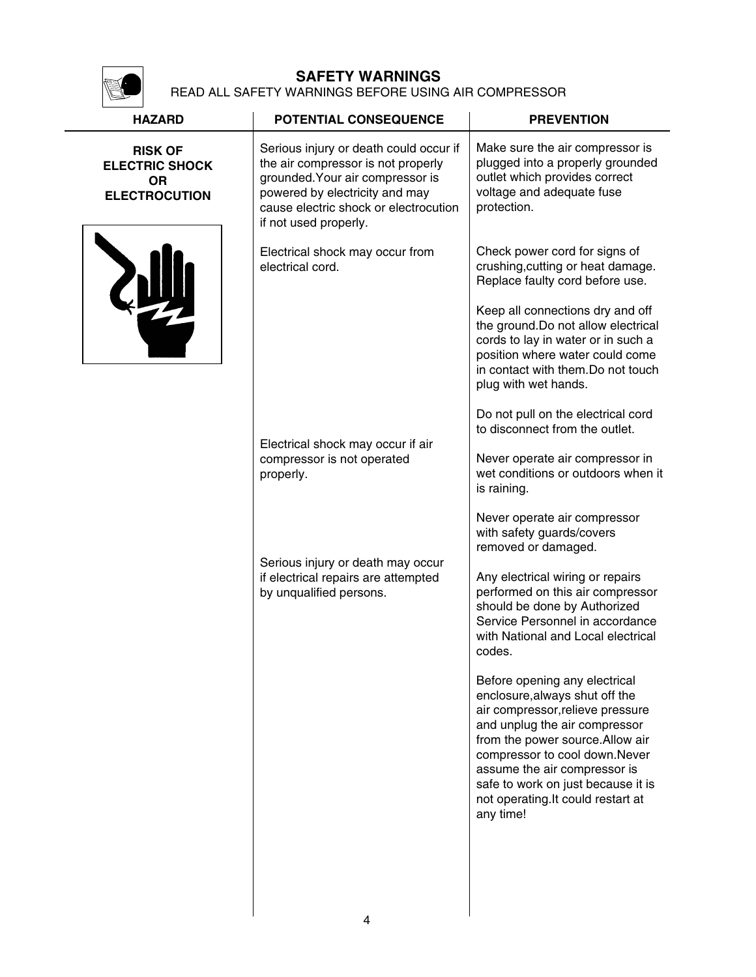

## **SAFETY WARNINGS**

READ ALL SAFETY WARNINGS BEFORE USING AIR COMPRESSOR

| <b>HAZARD</b>                                                                | <b>POTENTIAL CONSEQUENCE</b>                                                                                                                                                                                         | <b>PREVENTION</b>                                                                                                                                                                                                                                                                                                                                                                               |
|------------------------------------------------------------------------------|----------------------------------------------------------------------------------------------------------------------------------------------------------------------------------------------------------------------|-------------------------------------------------------------------------------------------------------------------------------------------------------------------------------------------------------------------------------------------------------------------------------------------------------------------------------------------------------------------------------------------------|
| <b>RISK OF</b><br><b>ELECTRIC SHOCK</b><br><b>OR</b><br><b>ELECTROCUTION</b> | Serious injury or death could occur if<br>the air compressor is not properly<br>grounded. Your air compressor is<br>powered by electricity and may<br>cause electric shock or electrocution<br>if not used properly. | Make sure the air compressor is<br>plugged into a properly grounded<br>outlet which provides correct<br>voltage and adequate fuse<br>protection.                                                                                                                                                                                                                                                |
| 颂                                                                            | Electrical shock may occur from<br>electrical cord.                                                                                                                                                                  | Check power cord for signs of<br>crushing, cutting or heat damage.<br>Replace faulty cord before use.<br>Keep all connections dry and off<br>the ground. Do not allow electrical<br>cords to lay in water or in such a<br>position where water could come<br>in contact with them. Do not touch<br>plug with wet hands.<br>Do not pull on the electrical cord<br>to disconnect from the outlet. |
|                                                                              | Electrical shock may occur if air<br>compressor is not operated<br>properly.                                                                                                                                         | Never operate air compressor in<br>wet conditions or outdoors when it<br>is raining.<br>Never operate air compressor<br>with safety guards/covers                                                                                                                                                                                                                                               |
|                                                                              | Serious injury or death may occur<br>if electrical repairs are attempted<br>by unqualified persons.                                                                                                                  | removed or damaged.<br>Any electrical wiring or repairs<br>performed on this air compressor<br>should be done by Authorized<br>Service Personnel in accordance<br>with National and Local electrical<br>codes.<br>Before opening any electrical<br>enclosure, always shut off the<br>air compressor, relieve pressure<br>and unplug the air compressor                                          |
|                                                                              |                                                                                                                                                                                                                      | from the power source. Allow air<br>compressor to cool down.Never<br>assume the air compressor is<br>safe to work on just because it is<br>not operating. It could restart at<br>any time!                                                                                                                                                                                                      |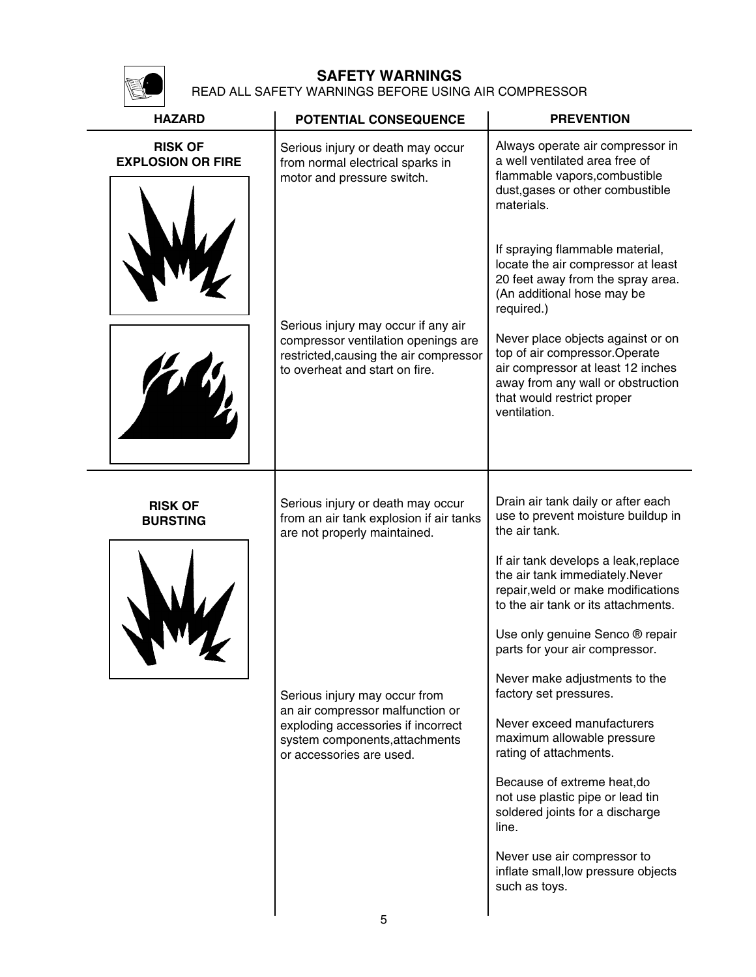

## **SAFETY WARNINGS**

READ ALL SAFETY WARNINGS BEFORE USING AIR COMPRESSOR

| <b>HAZARD</b>                              | POTENTIAL CONSEQUENCE                                                                                                                                                 | <b>PREVENTION</b>                                                                                                                                                                           |
|--------------------------------------------|-----------------------------------------------------------------------------------------------------------------------------------------------------------------------|---------------------------------------------------------------------------------------------------------------------------------------------------------------------------------------------|
| <b>RISK OF</b><br><b>EXPLOSION OR FIRE</b> | Serious injury or death may occur<br>from normal electrical sparks in<br>motor and pressure switch.                                                                   | Always operate air compressor in<br>a well ventilated area free of<br>flammable vapors, combustible<br>dust, gases or other combustible<br>materials.                                       |
|                                            |                                                                                                                                                                       | If spraying flammable material,<br>locate the air compressor at least<br>20 feet away from the spray area.<br>(An additional hose may be<br>required.)                                      |
|                                            | Serious injury may occur if any air<br>compressor ventilation openings are<br>restricted, causing the air compressor<br>to overheat and start on fire.                | Never place objects against or on<br>top of air compressor. Operate<br>air compressor at least 12 inches<br>away from any wall or obstruction<br>that would restrict proper<br>ventilation. |
| <b>RISK OF</b><br><b>BURSTING</b>          | Serious injury or death may occur<br>from an air tank explosion if air tanks<br>are not properly maintained.                                                          | Drain air tank daily or after each<br>use to prevent moisture buildup in<br>the air tank.                                                                                                   |
|                                            |                                                                                                                                                                       | If air tank develops a leak, replace<br>the air tank immediately.Never<br>repair, weld or make modifications<br>to the air tank or its attachments.                                         |
|                                            |                                                                                                                                                                       | Use only genuine Senco ® repair<br>parts for your air compressor.                                                                                                                           |
|                                            | Serious injury may occur from<br>an air compressor malfunction or<br>exploding accessories if incorrect<br>system components, attachments<br>or accessories are used. | Never make adjustments to the<br>factory set pressures.                                                                                                                                     |
|                                            |                                                                                                                                                                       | Never exceed manufacturers<br>maximum allowable pressure<br>rating of attachments.                                                                                                          |
|                                            |                                                                                                                                                                       | Because of extreme heat, do<br>not use plastic pipe or lead tin<br>soldered joints for a discharge<br>line.                                                                                 |
|                                            |                                                                                                                                                                       | Never use air compressor to<br>inflate small, low pressure objects<br>such as toys.                                                                                                         |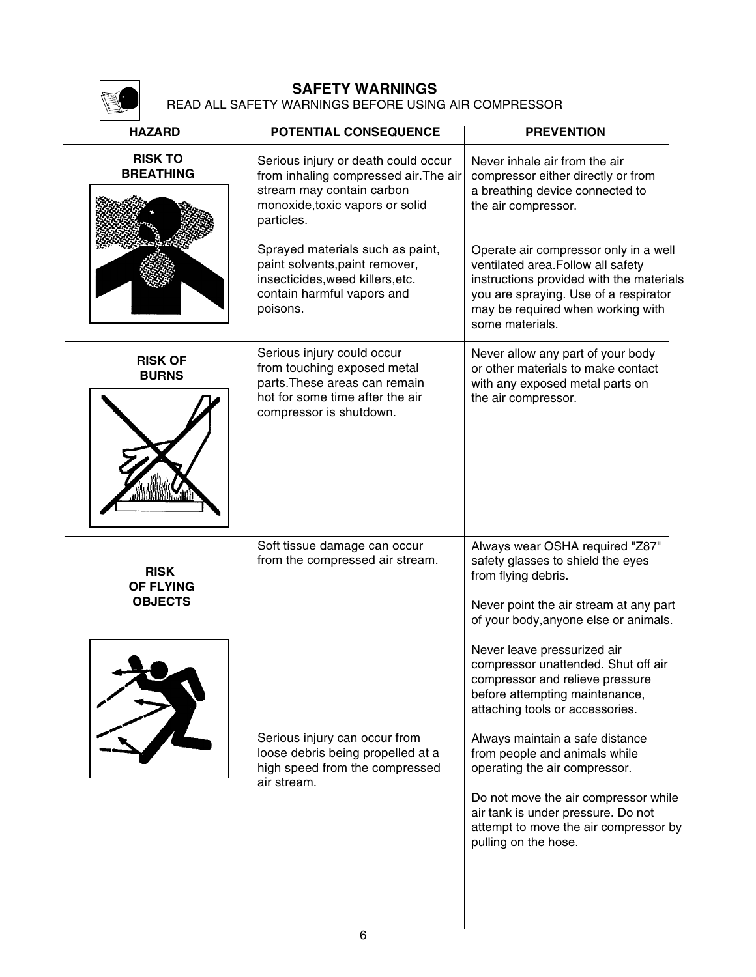

#### **SAFETY WARNINGS** READ ALL SAFETY WARNINGS BEFORE USING AIR COMPRESSOR

| <b>HAZARD</b>                                                                                                                                    | POTENTIAL CONSEQUENCE                                                                                                                                      | <b>PREVENTION</b>                                                                                                                                                                                                                                                                                                     |
|--------------------------------------------------------------------------------------------------------------------------------------------------|------------------------------------------------------------------------------------------------------------------------------------------------------------|-----------------------------------------------------------------------------------------------------------------------------------------------------------------------------------------------------------------------------------------------------------------------------------------------------------------------|
| <b>RISK TO</b><br><b>BREATHING</b>                                                                                                               | Serious injury or death could occur<br>from inhaling compressed air. The air<br>stream may contain carbon<br>monoxide, toxic vapors or solid<br>particles. | Never inhale air from the air<br>compressor either directly or from<br>a breathing device connected to<br>the air compressor.                                                                                                                                                                                         |
| Sprayed materials such as paint,<br>paint solvents, paint remover,<br>insecticides, weed killers, etc.<br>contain harmful vapors and<br>poisons. |                                                                                                                                                            | Operate air compressor only in a well<br>ventilated area. Follow all safety<br>instructions provided with the materials<br>you are spraying. Use of a respirator<br>may be required when working with<br>some materials.                                                                                              |
| <b>RISK OF</b><br><b>BURNS</b>                                                                                                                   | Serious injury could occur<br>from touching exposed metal<br>parts. These areas can remain<br>hot for some time after the air<br>compressor is shutdown.   | Never allow any part of your body<br>or other materials to make contact<br>with any exposed metal parts on<br>the air compressor.                                                                                                                                                                                     |
| <b>RISK</b><br><b>OF FLYING</b><br><b>OBJECTS</b>                                                                                                | Soft tissue damage can occur<br>from the compressed air stream.                                                                                            | Always wear OSHA required "Z87"<br>safety glasses to shield the eyes<br>from flying debris.<br>Never point the air stream at any part<br>of your body, anyone else or animals.<br>Never leave pressurized air<br>compressor unattended. Shut off air<br>compressor and relieve pressure                               |
|                                                                                                                                                  | Serious injury can occur from<br>loose debris being propelled at a<br>high speed from the compressed<br>air stream.                                        | before attempting maintenance,<br>attaching tools or accessories.<br>Always maintain a safe distance<br>from people and animals while<br>operating the air compressor.<br>Do not move the air compressor while<br>air tank is under pressure. Do not<br>attempt to move the air compressor by<br>pulling on the hose. |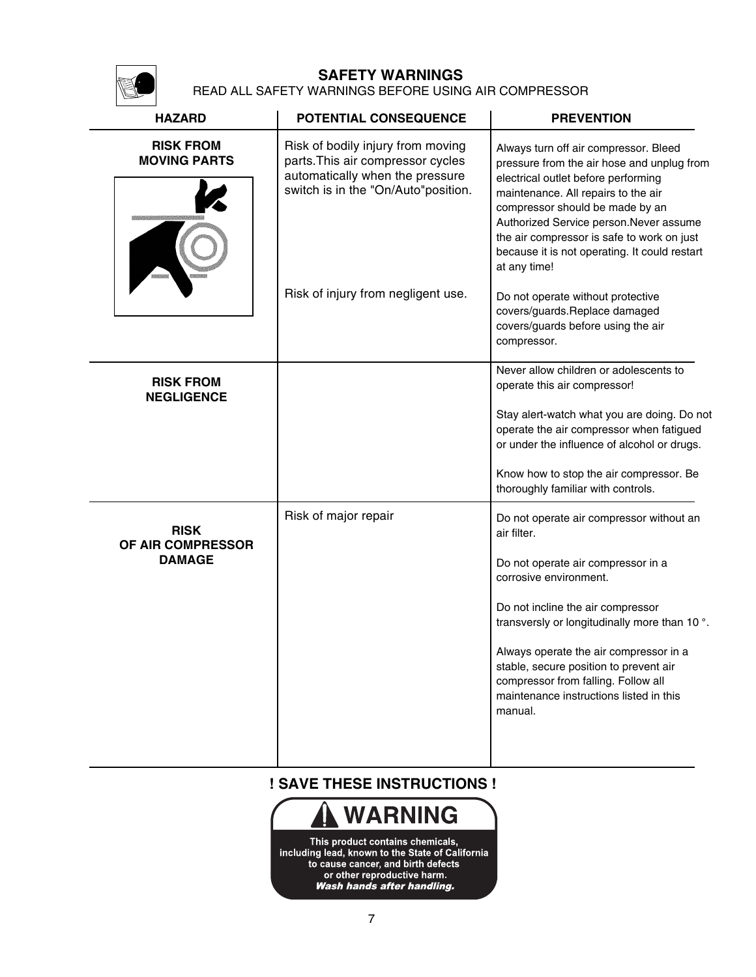## **SAFETY WARNINGS**

READ ALL SAFETY WARNINGS BEFORE USING AIR COMPRESSOR

| <b>HAZARD</b>                                     | POTENTIAL CONSEQUENCE                                                                                                                                                                  | <b>PREVENTION</b>                                                                                                                                                                                                                                                                                                                                                                                                                                                                         |
|---------------------------------------------------|----------------------------------------------------------------------------------------------------------------------------------------------------------------------------------------|-------------------------------------------------------------------------------------------------------------------------------------------------------------------------------------------------------------------------------------------------------------------------------------------------------------------------------------------------------------------------------------------------------------------------------------------------------------------------------------------|
| <b>RISK FROM</b><br><b>MOVING PARTS</b>           | Risk of bodily injury from moving<br>parts. This air compressor cycles<br>automatically when the pressure<br>switch is in the "On/Auto"position.<br>Risk of injury from negligent use. | Always turn off air compressor. Bleed<br>pressure from the air hose and unplug from<br>electrical outlet before performing<br>maintenance. All repairs to the air<br>compressor should be made by an<br>Authorized Service person. Never assume<br>the air compressor is safe to work on just<br>because it is not operating. It could restart<br>at any time!<br>Do not operate without protective<br>covers/guards.Replace damaged<br>covers/guards before using the air<br>compressor. |
| <b>RISK FROM</b><br><b>NEGLIGENCE</b>             |                                                                                                                                                                                        | Never allow children or adolescents to<br>operate this air compressor!<br>Stay alert-watch what you are doing. Do not<br>operate the air compressor when fatigued<br>or under the influence of alcohol or drugs.<br>Know how to stop the air compressor. Be<br>thoroughly familiar with controls.                                                                                                                                                                                         |
| <b>RISK</b><br>OF AIR COMPRESSOR<br><b>DAMAGE</b> | Risk of major repair                                                                                                                                                                   | Do not operate air compressor without an<br>air filter.<br>Do not operate air compressor in a<br>corrosive environment.<br>Do not incline the air compressor<br>transversly or longitudinally more than 10°.<br>Always operate the air compressor in a<br>stable, secure position to prevent air<br>compressor from falling. Follow all<br>maintenance instructions listed in this<br>manual.                                                                                             |

**! SAVE THESE INSTRUCTIONS !**



This product contains chemicals,<br>including lead, known to the State of California<br>to cause cancer, and birth defects<br>or other reproductive harm.<br>Wash hands after handling.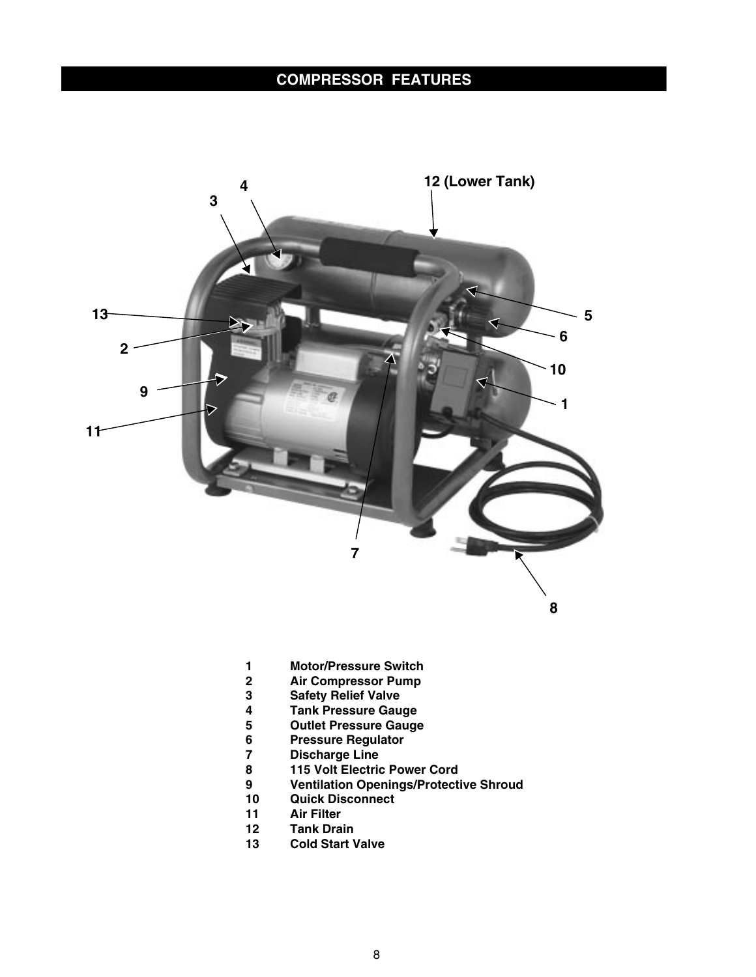## **COMPRESSOR FEATURES**



- **1 Motor/Pressure Switch**
- **2 Air Compressor Pump**
- **3 Safety Relief Valve**
- **4 Tank Pressure Gauge**
- **5 Outlet Pressure Gauge**
- **6 Pressure Regulator**
- **7 Discharge Line**
- **8 115 Volt Electric Power Cord**
- **9 Ventilation Openings/Protective Shroud**
- **10 Quick Disconnect**
- **11 Air Filter**
- **Tank Drain**
- **13 Cold Start Valve**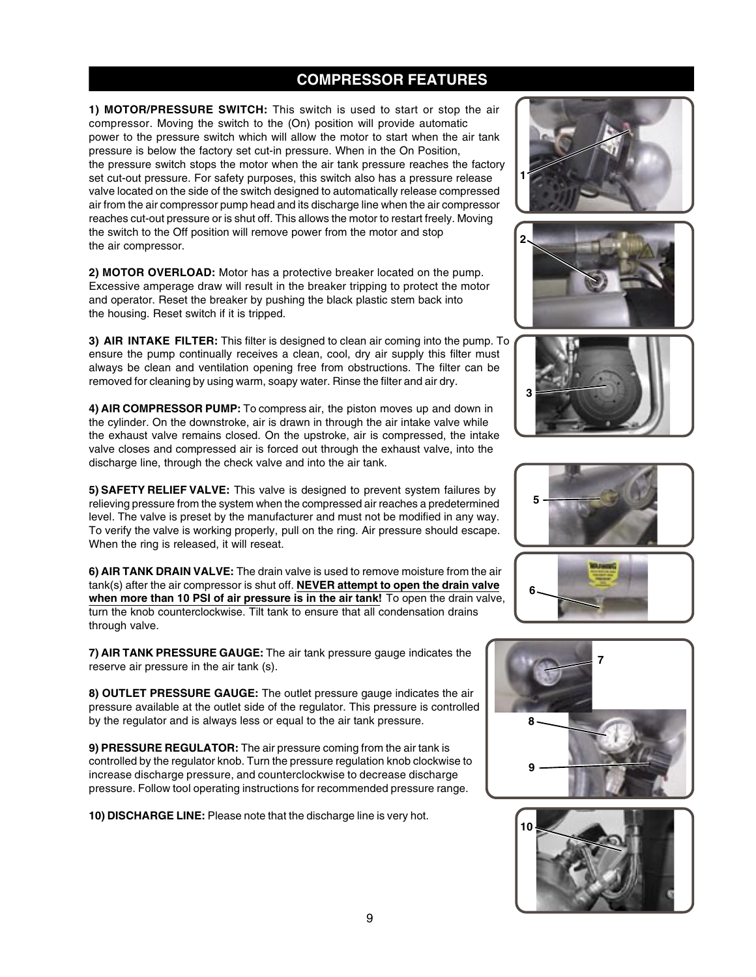### **COMPRESSOR FEATURES**

**1) MOTOR/PRESSURE SWITCH:** This switch is used to start or stop the air compressor. Moving the switch to the (On) position will provide automatic power to the pressure switch which will allow the motor to start when the air tank pressure is below the factory set cut-in pressure. When in the On Position, the pressure switch stops the motor when the air tank pressure reaches the factory set cut-out pressure. For safety purposes, this switch also has a pressure release valve located on the side of the switch designed to automatically release compressed air from the air compressor pump head and its discharge line when the air compressor reaches cut-out pressure or is shut off. This allows the motor to restart freely. Moving the switch to the Off position will remove power from the motor and stop the air compressor.

**2) MOTOR OVERLOAD:** Motor has a protective breaker located on the pump. Excessive amperage draw will result in the breaker tripping to protect the motor and operator. Reset the breaker by pushing the black plastic stem back into the housing. Reset switch if it is tripped.

**3) AIR INTAKE FILTER:** This filter is designed to clean air coming into the pump. To ensure the pump continually receives a clean, cool, dry air supply this filter must always be clean and ventilation opening free from obstructions. The filter can be removed for cleaning by using warm, soapy water. Rinse the filter and air dry.

**4) AIR COMPRESSOR PUMP:** To compress air, the piston moves up and down in the cylinder. On the downstroke, air is drawn in through the air intake valve while the exhaust valve remains closed. On the upstroke, air is compressed, the intake valve closes and compressed air is forced out through the exhaust valve, into the discharge line, through the check valve and into the air tank.

**5) SAFETY RELIEF VALVE:** This valve is designed to prevent system failures by relieving pressure from the system when the compressed air reaches a predetermined level. The valve is preset by the manufacturer and must not be modified in any way. To verify the valve is working properly, pull on the ring. Air pressure should escape. When the ring is released, it will reseat.

**6) AIR TANK DRAIN VALVE:** The drain valve is used to remove moisture from the air tank(s) after the air compressor is shut off. **NEVER attempt to open the drain valve when more than 10 PSI of air pressure is in the air tank!** To open the drain valve, turn the knob counterclockwise. Tilt tank to ensure that all condensation drains through valve.

**7) AIR TANK PRESSURE GAUGE:** The air tank pressure gauge indicates the reserve air pressure in the air tank (s).

**8) OUTLET PRESSURE GAUGE:** The outlet pressure gauge indicates the air pressure available at the outlet side of the regulator. This pressure is controlled by the regulator and is always less or equal to the air tank pressure.

**9) PRESSURE REGULATOR:** The air pressure coming from the air tank is controlled by the regulator knob. Turn the pressure regulation knob clockwise to increase discharge pressure, and counterclockwise to decrease discharge pressure. Follow tool operating instructions for recommended pressure range.

**10) DISCHARGE LINE:** Please note that the discharge line is very hot.













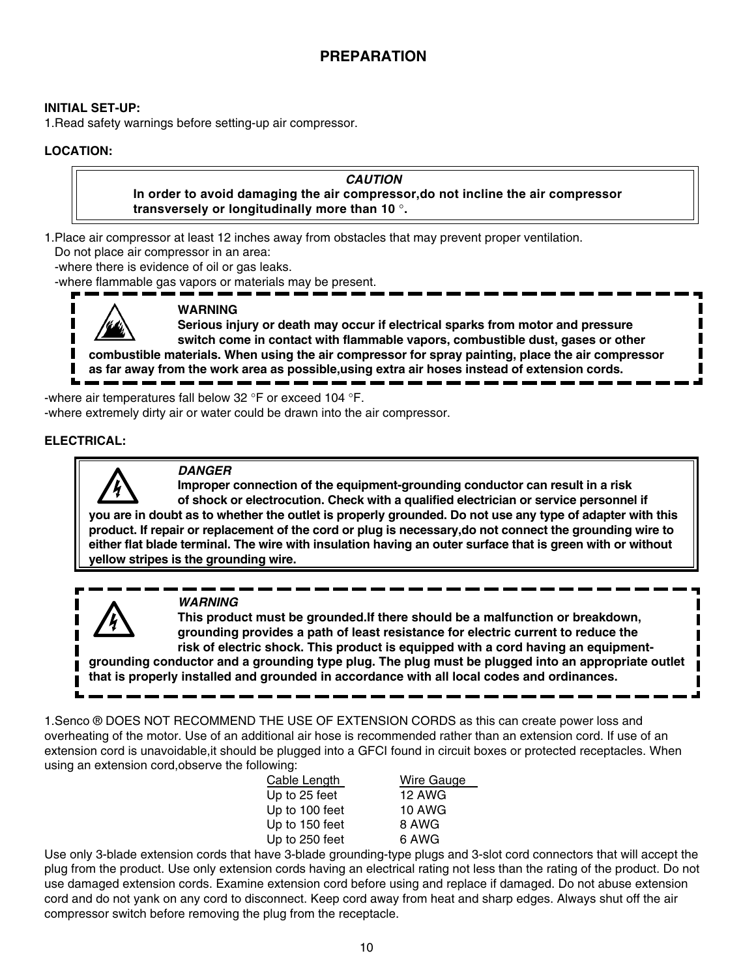#### **INITIAL SET-UP:**

1.Read safety warnings before setting-up air compressor.

#### **LOCATION:**

#### **CAUTION**

 **In order to avoid damaging the air compressor,do not incline the air compressor transversely or longitudinally more than 10** °**.**

1.Place air compressor at least 12 inches away from obstacles that may prevent proper ventilation.

Do not place air compressor in an area:

-where there is evidence of oil or gas leaks.

-where flammable gas vapors or materials may be present.



#### **WARNING**

 **Serious injury or death may occur if electrical sparks from motor and pressure switch come in contact with flammable vapors, combustible dust, gases or other combustible materials. When using the air compressor for spray painting, place the air compressor as far away from the work area as possible,using extra air hoses instead of extension cords.**

-where air temperatures fall below 32 °F or exceed 104 °F. -where extremely dirty air or water could be drawn into the air compressor.

#### **ELECTRICAL:**



#### **DANGER**

 **Improper connection of the equipment-grounding conductor can result in a risk of shock or electrocution. Check with a qualified electrician or service personnel if you are in doubt as to whether the outlet is properly grounded. Do not use any type of adapter with this product. If repair or replacement of the cord or plug is necessary,do not connect the grounding wire to either flat blade terminal. The wire with insulation having an outer surface that is green with or without yellow stripes is the grounding wire.**

 **WARNING**

 **This product must be grounded.If there should be a malfunction or breakdown, grounding provides a path of least resistance for electric current to reduce the risk of electric shock. This product is equipped with a cord having an equipmentgrounding conductor and a grounding type plug. The plug must be plugged into an appropriate outlet that is properly installed and grounded in accordance with all local codes and ordinances.**

1.Senco ® DOES NOT RECOMMEND THE USE OF EXTENSION CORDS as this can create power loss and overheating of the motor. Use of an additional air hose is recommended rather than an extension cord. If use of an extension cord is unavoidable,it should be plugged into a GFCI found in circuit boxes or protected receptacles. When using an extension cord,observe the following:

| Cable Length   | Wire Gauge    |
|----------------|---------------|
| Up to 25 feet  | <b>12 AWG</b> |
| Up to 100 feet | 10 AWG        |
| Up to 150 feet | 8 AWG         |
| Up to 250 feet | 6 AWG         |

Use only 3-blade extension cords that have 3-blade grounding-type plugs and 3-slot cord connectors that will accept the plug from the product. Use only extension cords having an electrical rating not less than the rating of the product. Do not use damaged extension cords. Examine extension cord before using and replace if damaged. Do not abuse extension cord and do not yank on any cord to disconnect. Keep cord away from heat and sharp edges. Always shut off the air compressor switch before removing the plug from the receptacle.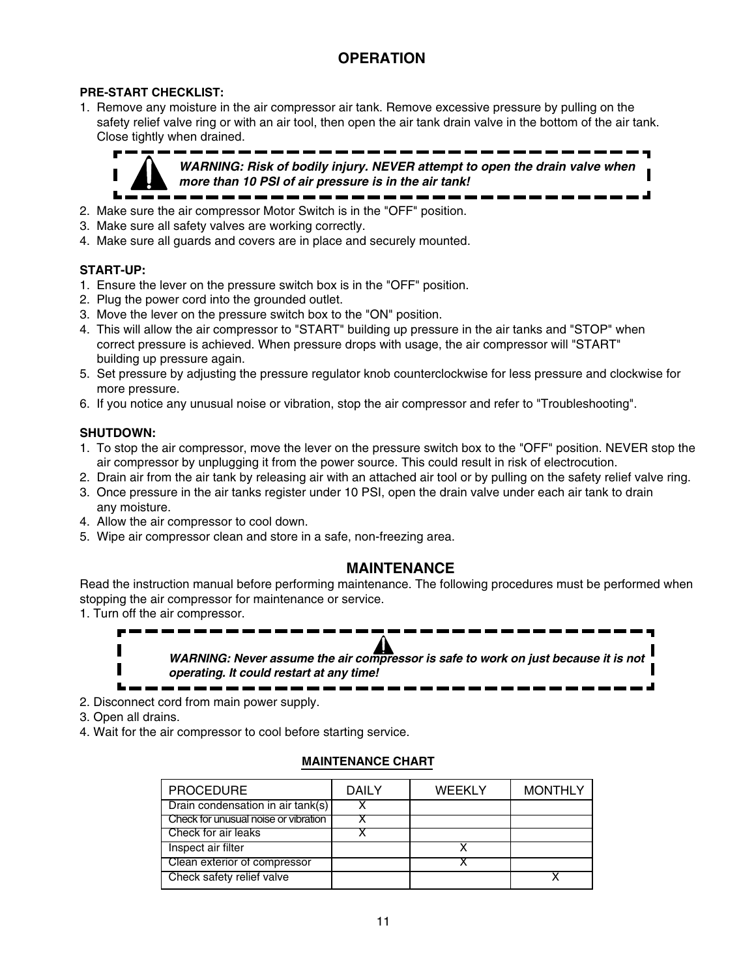## **OPERATION**

#### **PRE-START CHECKLIST:**

1. Remove any moisture in the air compressor air tank. Remove excessive pressure by pulling on the safety relief valve ring or with an air tool, then open the air tank drain valve in the bottom of the air tank. Close tightly when drained.



 **WARNING: Risk of bodily injury. NEVER attempt to open the drain valve when more than 10 PSI of air pressure is in the air tank!**

- 2. Make sure the air compressor Motor Switch is in the "OFF" position.
- 3. Make sure all safety valves are working correctly.
- 4. Make sure all guards and covers are in place and securely mounted.

#### **START-UP:**

- 1. Ensure the lever on the pressure switch box is in the "OFF" position.
- 2. Plug the power cord into the grounded outlet.
- 3. Move the lever on the pressure switch box to the "ON" position.
- 4. This will allow the air compressor to "START" building up pressure in the air tanks and "STOP" when correct pressure is achieved. When pressure drops with usage, the air compressor will "START" building up pressure again.
- 5. Set pressure by adjusting the pressure regulator knob counterclockwise for less pressure and clockwise for more pressure.
- 6. If you notice any unusual noise or vibration, stop the air compressor and refer to "Troubleshooting".

#### **SHUTDOWN:**

- 1. To stop the air compressor, move the lever on the pressure switch box to the "OFF" position. NEVER stop the air compressor by unplugging it from the power source. This could result in risk of electrocution.
- 2. Drain air from the air tank by releasing air with an attached air tool or by pulling on the safety relief valve ring.
- 3. Once pressure in the air tanks register under 10 PSI, open the drain valve under each air tank to drain any moisture.
- 4. Allow the air compressor to cool down.
- 5. Wipe air compressor clean and store in a safe, non-freezing area.

#### **MAINTENANCE**

Read the instruction manual before performing maintenance. The following procedures must be performed when stopping the air compressor for maintenance or service.

1. Turn off the air compressor.



**WARNING: Never assume the air compressor is safe to work on just because it is not operating. It could restart at any time!**

--------------

- 2. Disconnect cord from main power supply.
- 3. Open all drains.
- 4. Wait for the air compressor to cool before starting service.

#### **MAINTENANCE CHART**

| <b>WEEKLY</b><br><b>MONTHLY</b> |
|---------------------------------|
|                                 |
|                                 |
|                                 |
|                                 |
|                                 |
|                                 |
|                                 |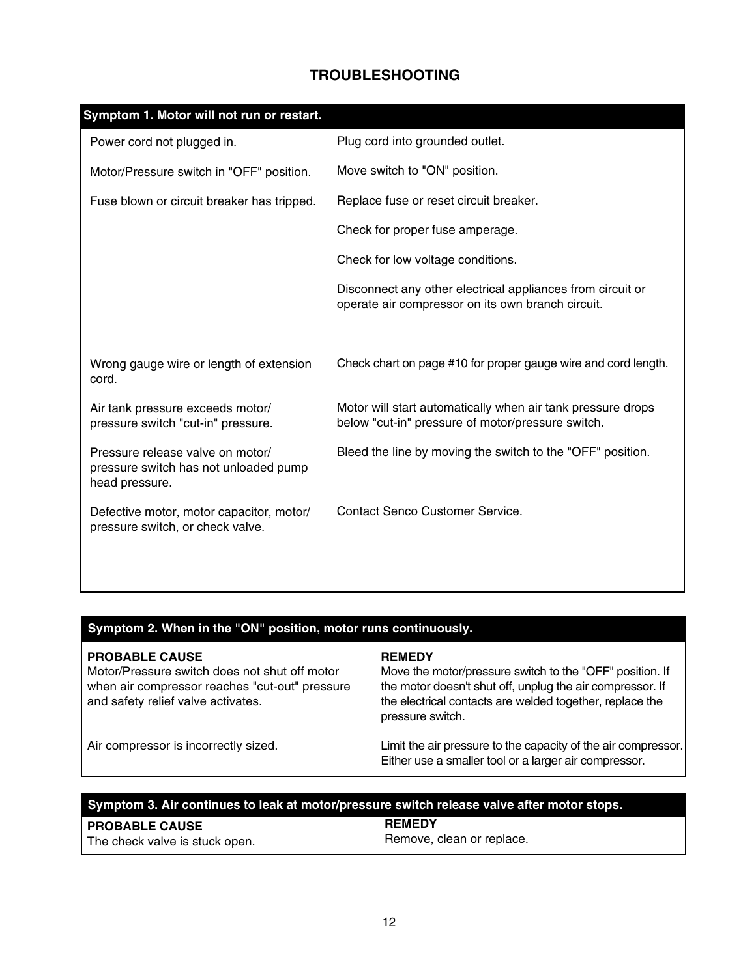## **TROUBLESHOOTING**

| Symptom 1. Motor will not run or restart.                                                   |                                                                                                                  |
|---------------------------------------------------------------------------------------------|------------------------------------------------------------------------------------------------------------------|
| Power cord not plugged in.                                                                  | Plug cord into grounded outlet.                                                                                  |
| Motor/Pressure switch in "OFF" position.                                                    | Move switch to "ON" position.                                                                                    |
| Fuse blown or circuit breaker has tripped.                                                  | Replace fuse or reset circuit breaker.                                                                           |
|                                                                                             | Check for proper fuse amperage.                                                                                  |
|                                                                                             | Check for low voltage conditions.                                                                                |
|                                                                                             | Disconnect any other electrical appliances from circuit or<br>operate air compressor on its own branch circuit.  |
| Wrong gauge wire or length of extension<br>cord.                                            | Check chart on page #10 for proper gauge wire and cord length.                                                   |
| Air tank pressure exceeds motor/<br>pressure switch "cut-in" pressure.                      | Motor will start automatically when air tank pressure drops<br>below "cut-in" pressure of motor/pressure switch. |
| Pressure release valve on motor/<br>pressure switch has not unloaded pump<br>head pressure. | Bleed the line by moving the switch to the "OFF" position.                                                       |
| Defective motor, motor capacitor, motor/<br>pressure switch, or check valve.                | Contact Senco Customer Service.                                                                                  |
|                                                                                             |                                                                                                                  |

## **Symptom 2. When in the "ON" position, motor runs continuously.**

#### **PROBABLE CAUSE**

Motor/Pressure switch does not shut off motor when air compressor reaches "cut-out" pressure and safety relief valve activates.

#### **REMEDY**

Move the motor/pressure switch to the "OFF" position. If the motor doesn't shut off, unplug the air compressor. If the electrical contacts are welded together, replace the pressure switch.

Air compressor is incorrectly sized.

#### Limit the air pressure to the capacity of the air compressor. Either use a smaller tool or a larger air compressor.

#### **Symptom 3. Air continues to leak at motor/pressure switch release valve after motor stops.**

| <b>PROBABLE CAUSE</b>          | <b>REMEDY</b>             |
|--------------------------------|---------------------------|
| The check valve is stuck open. | Remove, clean or replace. |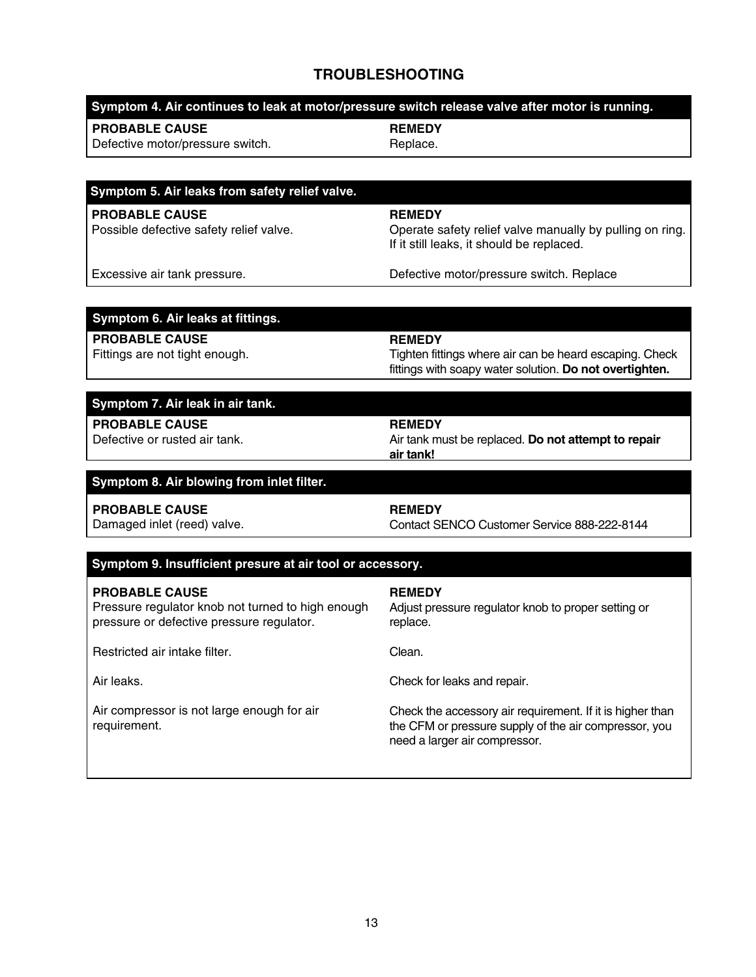## **TROUBLESHOOTING**

|                                                                                                                         | Symptom 4. Air continues to leak at motor/pressure switch release valve after motor is running.                                                     |
|-------------------------------------------------------------------------------------------------------------------------|-----------------------------------------------------------------------------------------------------------------------------------------------------|
| <b>PROBABLE CAUSE</b><br>Defective motor/pressure switch.                                                               | <b>REMEDY</b><br>Replace.                                                                                                                           |
|                                                                                                                         |                                                                                                                                                     |
|                                                                                                                         |                                                                                                                                                     |
| Symptom 5. Air leaks from safety relief valve.                                                                          |                                                                                                                                                     |
| <b>PROBABLE CAUSE</b><br>Possible defective safety relief valve.                                                        | <b>REMEDY</b><br>Operate safety relief valve manually by pulling on ring.<br>If it still leaks, it should be replaced.                              |
| Excessive air tank pressure.                                                                                            | Defective motor/pressure switch. Replace                                                                                                            |
| Symptom 6. Air leaks at fittings.                                                                                       |                                                                                                                                                     |
| <b>PROBABLE CAUSE</b>                                                                                                   | <b>REMEDY</b>                                                                                                                                       |
| Fittings are not tight enough.                                                                                          | Tighten fittings where air can be heard escaping. Check<br>fittings with soapy water solution. Do not overtighten.                                  |
| Symptom 7. Air leak in air tank.                                                                                        |                                                                                                                                                     |
| <b>PROBABLE CAUSE</b>                                                                                                   | <b>REMEDY</b>                                                                                                                                       |
| Defective or rusted air tank.                                                                                           | Air tank must be replaced. Do not attempt to repair<br>air tank!                                                                                    |
| Symptom 8. Air blowing from inlet filter.                                                                               |                                                                                                                                                     |
| <b>PROBABLE CAUSE</b><br>Damaged inlet (reed) valve.                                                                    | <b>REMEDY</b><br>Contact SENCO Customer Service 888-222-8144                                                                                        |
| Symptom 9. Insufficient presure at air tool or accessory.                                                               |                                                                                                                                                     |
| <b>PROBABLE CAUSE</b><br>Pressure regulator knob not turned to high enough<br>pressure or defective pressure regulator. | <b>REMEDY</b><br>Adjust pressure regulator knob to proper setting or<br>replace.                                                                    |
| Restricted air intake filter.                                                                                           | Clean.                                                                                                                                              |
| Air leaks.                                                                                                              | Check for leaks and repair.                                                                                                                         |
| Air compressor is not large enough for air<br>requirement.                                                              | Check the accessory air requirement. If it is higher than<br>the CFM or pressure supply of the air compressor, you<br>need a larger air compressor. |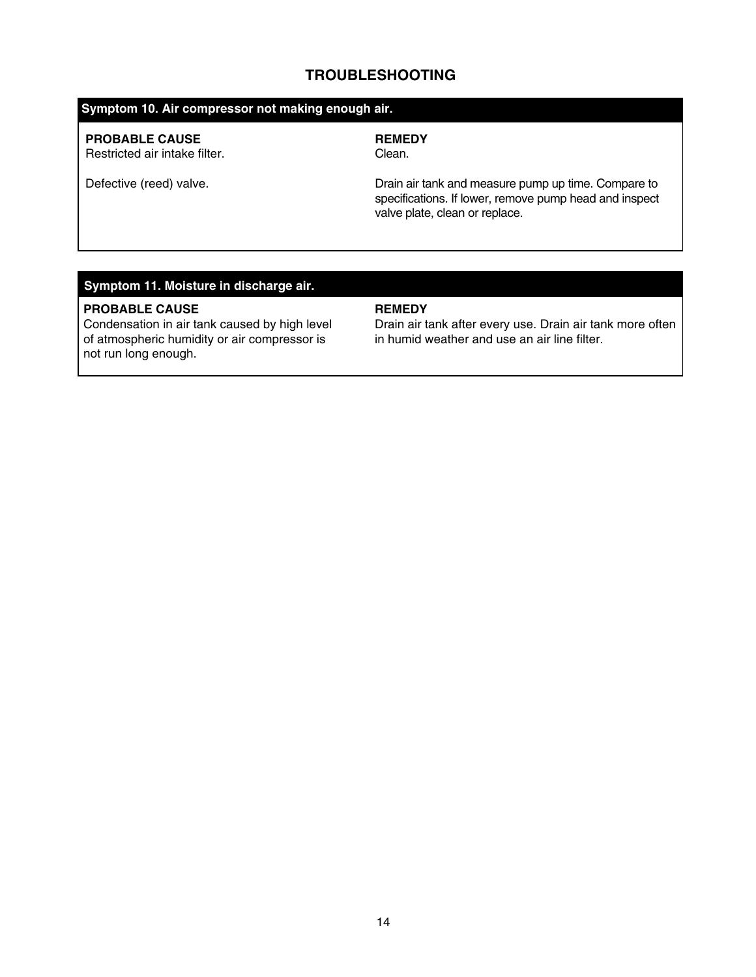#### **TROUBLESHOOTING**

#### **Symptom 10. Air compressor not making enough air.**

#### **PROBABLE CAUSE**

Restricted air intake filter.

## **REMEDY**

Clean.

Defective (reed) valve.

Drain air tank and measure pump up time. Compare to specifications. If lower, remove pump head and inspect valve plate, clean or replace.

### **Symptom 11. Moisture in discharge air.**

#### **PROBABLE CAUSE**

Condensation in air tank caused by high level of atmospheric humidity or air compressor is not run long enough.

#### **REMEDY**

Drain air tank after every use. Drain air tank more often in humid weather and use an air line filter.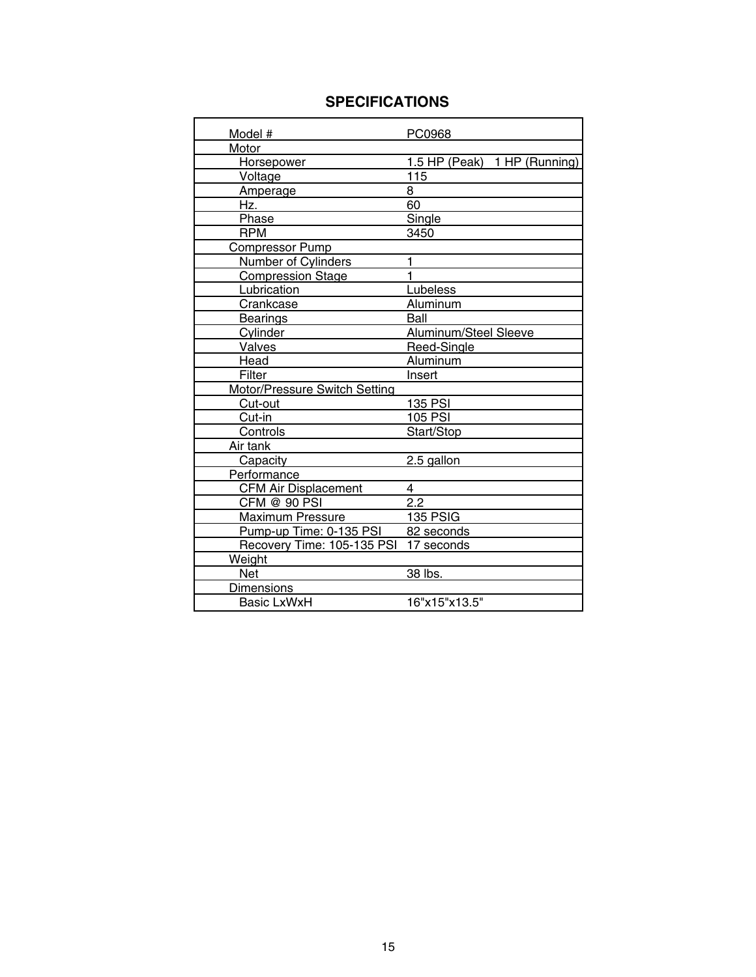## **SPECIFICATIONS**

| Model #                       | PC0968                       |
|-------------------------------|------------------------------|
| Motor                         |                              |
| Horsepower                    | 1.5 HP (Peak) 1 HP (Running) |
| Voltage                       | 115                          |
| Amperage                      | 8                            |
| Hz.                           | 60                           |
| Phase                         | Single                       |
| <b>RPM</b>                    | 3450                         |
| Compressor Pump               |                              |
| <b>Number of Cylinders</b>    | 1                            |
| <b>Compression Stage</b>      | 1                            |
| Lubrication                   | Lubeless                     |
| Crankcase                     | Aluminum                     |
| <b>Bearings</b>               | Ball                         |
| Cylinder                      | Aluminum/Steel Sleeve        |
| Valves                        | Reed-Single                  |
| Head                          | Aluminum                     |
| Filter                        | Insert                       |
| Motor/Pressure Switch Setting |                              |
| Cut-out                       | <b>135 PSI</b>               |
| Cut-in                        | <b>105 PSI</b>               |
| Controls                      | Start/Stop                   |
| Air tank                      |                              |
| Capacity                      | 2.5 gallon                   |
| Performance                   |                              |
| <b>CFM Air Displacement</b>   | 4                            |
| CFM @ 90 PSI                  | 2.2                          |
| Maximum Pressure              | 135 PSIG                     |
| Pump-up Time: 0-135 PSI       | 82 seconds                   |
| Recovery Time: 105-135 PSI    | 17 seconds                   |
| Weight                        |                              |
| <b>Net</b>                    | 38 lbs.                      |
| Dimensions                    |                              |
| <b>Basic LxWxH</b>            | 16"x15"x13.5"                |

Ι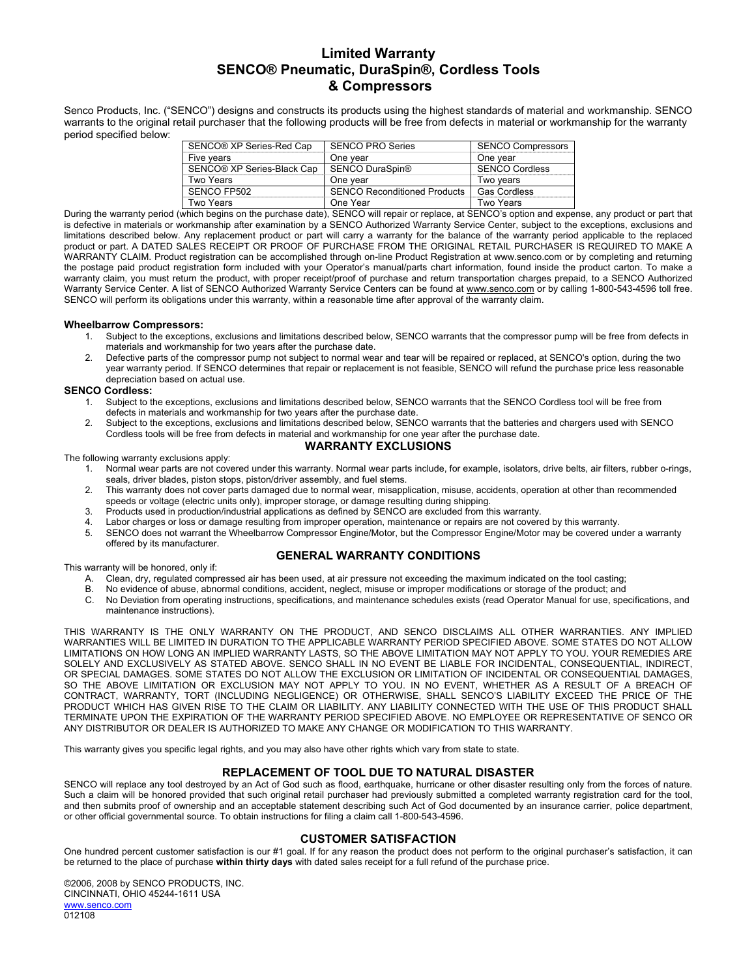#### **Limited Warranty SENCO® Pneumatic, DuraSpin®, Cordless Tools & Compressors**

Senco Products, Inc. ("SENCO") designs and constructs its products using the highest standards of material and workmanship. SENCO warrants to the original retail purchaser that the following products will be free from defects in material or workmanship for the warranty period specified below:

| SENCO® XP Series-Red Cap   | <b>SENCO PRO Series</b>             | <b>SENCO Compressors</b> |
|----------------------------|-------------------------------------|--------------------------|
| Five years                 | One year                            | One vear                 |
| SENCO® XP Series-Black Cap | SENCO DuraSpin®                     | <b>SENCO Cordless</b>    |
| Two Years                  | One vear                            | Two vears                |
| SENCO FP502                | <b>SENCO Reconditioned Products</b> | <b>Gas Cordless</b>      |
| Two Years                  | One Year                            | <b>Two Years</b>         |

During the warranty period (which begins on the purchase date), SENCO will repair or replace, at SENCO's option and expense, any product or part that is defective in materials or workmanship after examination by a SENCO Authorized Warranty Service Center, subject to the exceptions, exclusions and limitations described below. Any replacement product or part will carry a warranty for the balance of the warranty period applicable to the replaced product or part. A DATED SALES RECEIPT OR PROOF OF PURCHASE FROM THE ORIGINAL RETAIL PURCHASER IS REQUIRED TO MAKE A WARRANTY CLAIM. Product registration can be accomplished through on-line Product Registration at www.senco.com or by completing and returning the postage paid product registration form included with your Operator's manual/parts chart information, found inside the product carton. To make a warranty claim, you must return the product, with proper receipt/proof of purchase and return transportation charges prepaid, to a SENCO Authorized Warranty Service Center. A list of SENCO Authorized Warranty Service Centers can be found at www.senco.com or by calling 1-800-543-4596 toll free. SENCO will perform its obligations under this warranty, within a reasonable time after approval of the warranty claim.

#### **Wheelbarrow Compressors:**

- 1. Subject to the exceptions, exclusions and limitations described below, SENCO warrants that the compressor pump will be free from defects in materials and workmanship for two years after the purchase date.
- 2. Defective parts of the compressor pump not subject to normal wear and tear will be repaired or replaced, at SENCO's option, during the two year warranty period. If SENCO determines that repair or replacement is not feasible, SENCO will refund the purchase price less reasonable depreciation based on actual use.

#### **SENCO Cordless:**

- 1. Subject to the exceptions, exclusions and limitations described below, SENCO warrants that the SENCO Cordless tool will be free from defects in materials and workmanship for two years after the purchase date.
- 2. Subject to the exceptions, exclusions and limitations described below, SENCO warrants that the batteries and chargers used with SENCO Cordless tools will be free from defects in material and workmanship for one year after the purchase date.

#### **WARRANTY EXCLUSIONS**

The following warranty exclusions apply:

- 1. Normal wear parts are not covered under this warranty. Normal wear parts include, for example, isolators, drive belts, air filters, rubber o-rings, seals, driver blades, piston stops, piston/driver assembly, and fuel stems.
- 2. This warranty does not cover parts damaged due to normal wear, misapplication, misuse, accidents, operation at other than recommended speeds or voltage (electric units only), improper storage, or damage resulting during shipping.
- 3. Products used in production/industrial applications as defined by SENCO are excluded from this warranty.
- 4. Labor charges or loss or damage resulting from improper operation, maintenance or repairs are not covered by this warranty.
- 5. SENCO does not warrant the Wheelbarrow Compressor Engine/Motor, but the Compressor Engine/Motor may be covered under a warranty offered by its manufacturer.

#### **GENERAL WARRANTY CONDITIONS**

This warranty will be honored, only if:

- A. Clean, dry, regulated compressed air has been used, at air pressure not exceeding the maximum indicated on the tool casting;<br>B. No evidence of abuse, abnormal conditions, accident, neglect, misuse or improper modificati
- B. No evidence of abuse, abnormal conditions, accident, neglect, misuse or improper modifications or storage of the product; and<br>C. No Deviation from operating instructions, specifications, and maintenance schedules exists
- No Deviation from operating instructions, specifications, and maintenance schedules exists (read Operator Manual for use, specifications, and maintenance instructions).

THIS WARRANTY IS THE ONLY WARRANTY ON THE PRODUCT, AND SENCO DISCLAIMS ALL OTHER WARRANTIES. ANY IMPLIED WARRANTIES WILL BE LIMITED IN DURATION TO THE APPLICABLE WARRANTY PERIOD SPECIFIED ABOVE. SOME STATES DO NOT ALLOW LIMITATIONS ON HOW LONG AN IMPLIED WARRANTY LASTS, SO THE ABOVE LIMITATION MAY NOT APPLY TO YOU. YOUR REMEDIES ARE SOLELY AND EXCLUSIVELY AS STATED ABOVE. SENCO SHALL IN NO EVENT BE LIABLE FOR INCIDENTAL, CONSEQUENTIAL, INDIRECT, OR SPECIAL DAMAGES. SOME STATES DO NOT ALLOW THE EXCLUSION OR LIMITATION OF INCIDENTAL OR CONSEQUENTIAL DAMAGES, SO THE ABOVE LIMITATION OR EXCLUSION MAY NOT APPLY TO YOU. IN NO EVENT, WHETHER AS A RESULT OF A BREACH OF CONTRACT, WARRANTY, TORT (INCLUDING NEGLIGENCE) OR OTHERWISE, SHALL SENCO'S LIABILITY EXCEED THE PRICE OF THE PRODUCT WHICH HAS GIVEN RISE TO THE CLAIM OR LIABILITY. ANY LIABILITY CONNECTED WITH THE USE OF THIS PRODUCT SHALL TERMINATE UPON THE EXPIRATION OF THE WARRANTY PERIOD SPECIFIED ABOVE. NO EMPLOYEE OR REPRESENTATIVE OF SENCO OR ANY DISTRIBUTOR OR DEALER IS AUTHORIZED TO MAKE ANY CHANGE OR MODIFICATION TO THIS WARRANTY.

This warranty gives you specific legal rights, and you may also have other rights which vary from state to state.

#### **REPLACEMENT OF TOOL DUE TO NATURAL DISASTER**

SENCO will replace any tool destroyed by an Act of God such as flood, earthquake, hurricane or other disaster resulting only from the forces of nature. Such a claim will be honored provided that such original retail purchaser had previously submitted a completed warranty registration card for the tool, and then submits proof of ownership and an acceptable statement describing such Act of God documented by an insurance carrier, police department, or other official governmental source. To obtain instructions for filing a claim call 1-800-543-4596.

#### **CUSTOMER SATISFACTION**

One hundred percent customer satisfaction is our #1 goal. If for any reason the product does not perform to the original purchaser's satisfaction, it can be returned to the place of purchase **within thirty days** with dated sales receipt for a full refund of the purchase price.

©2006, 2008 by SENCO PRODUCTS, INC. CINCINNATI, OHIO 45244-1611 USA www.senco.com 012108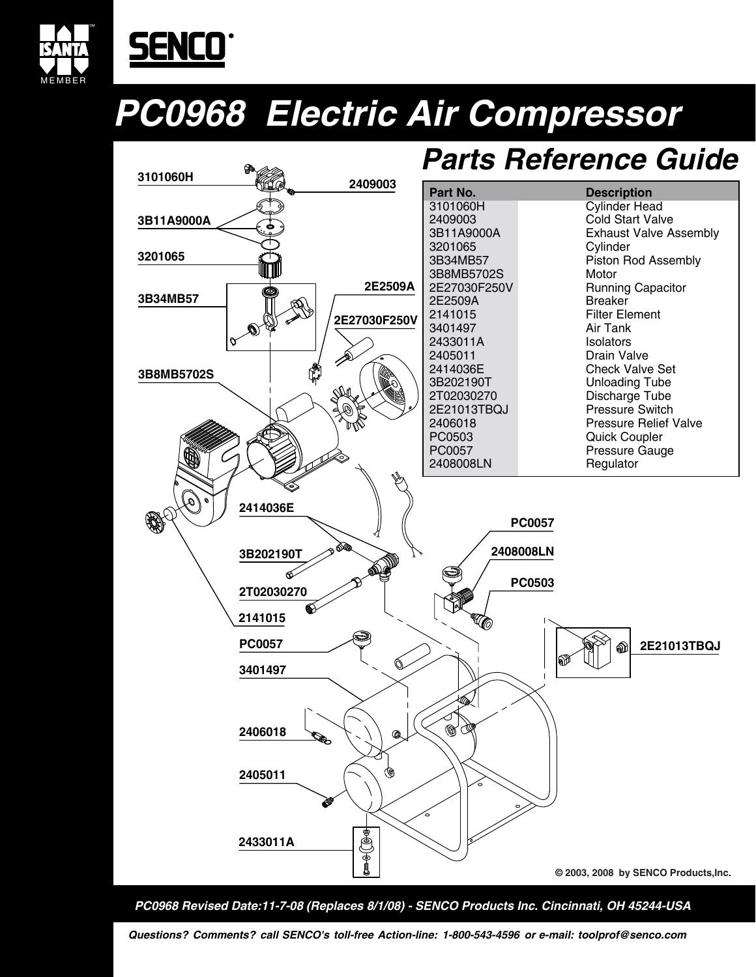

# SENCO

## **PC0968 Electric Air Compressor**



**PC0968 Revised Date:11-7-08 (Replaces 8/1/08) - SENCO Products Inc. Cincinnati, OH 45244-USA**

**Questions? Comments? call SENCO's toll-free Action-line: 1-800-543-4596 or e-mail: toolprof@senco.com**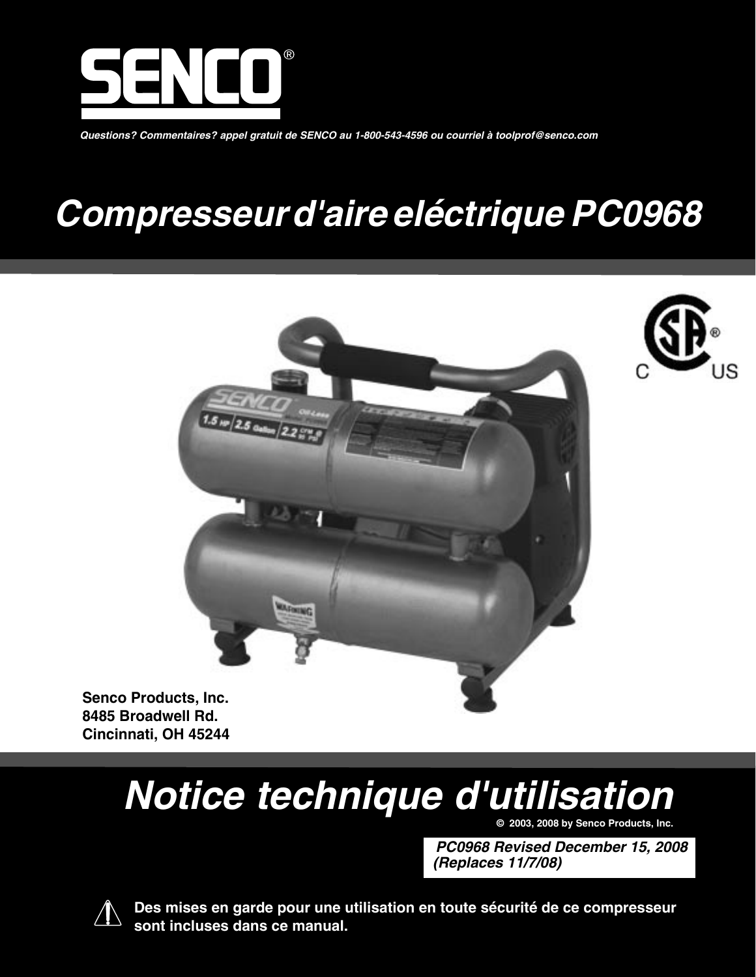

**Questions? Commentaires? appel gratuit de SENCO au 1-800-543-4596 ou courriel à toolprof@senco.com**

## **Compresseur d'aire eléctrique PC0968**





**Senco Products, Inc. 8485 Broadwell Rd. Cincinnati, OH 45244**

# **Notice technique d'utilisation**

**© 2003, 2008 by Senco Products, Inc.**

**PC0968 Revised December 15, 2008 (Replaces 11/7/08)**



 **Des mises en garde pour une utilisation en toute sécurité de ce compresseur sont incluses dans ce manual.**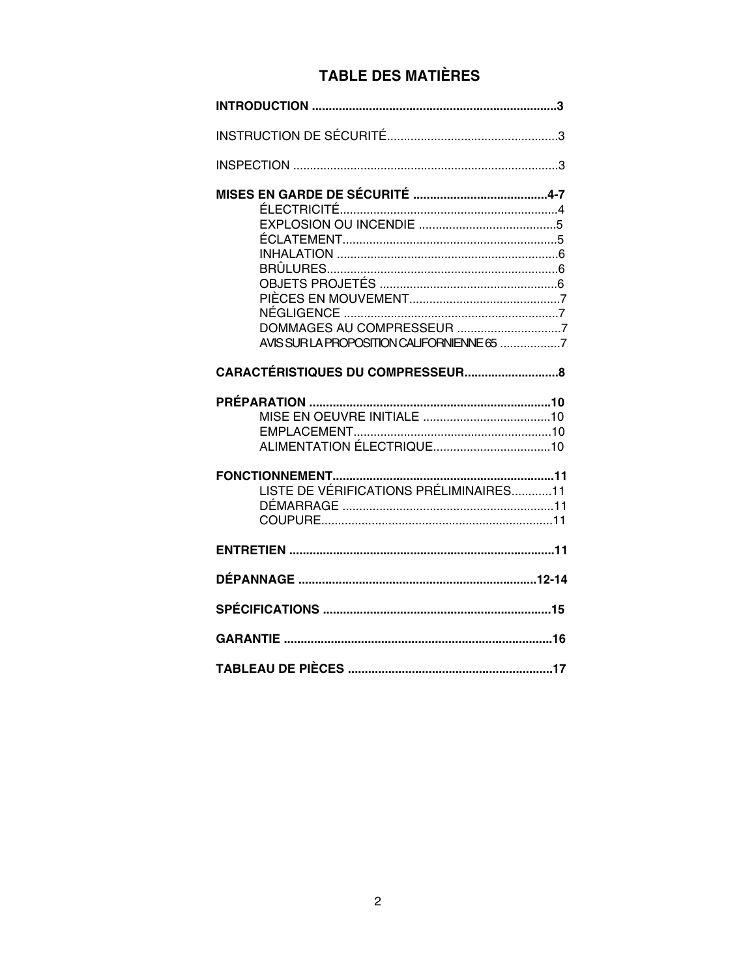## **TABLE DES MATIÈRES**

| LISTE DE VÉRIFICATIONS PRÉLIMINAIRES11 |  |
|----------------------------------------|--|
|                                        |  |
|                                        |  |
|                                        |  |
|                                        |  |
|                                        |  |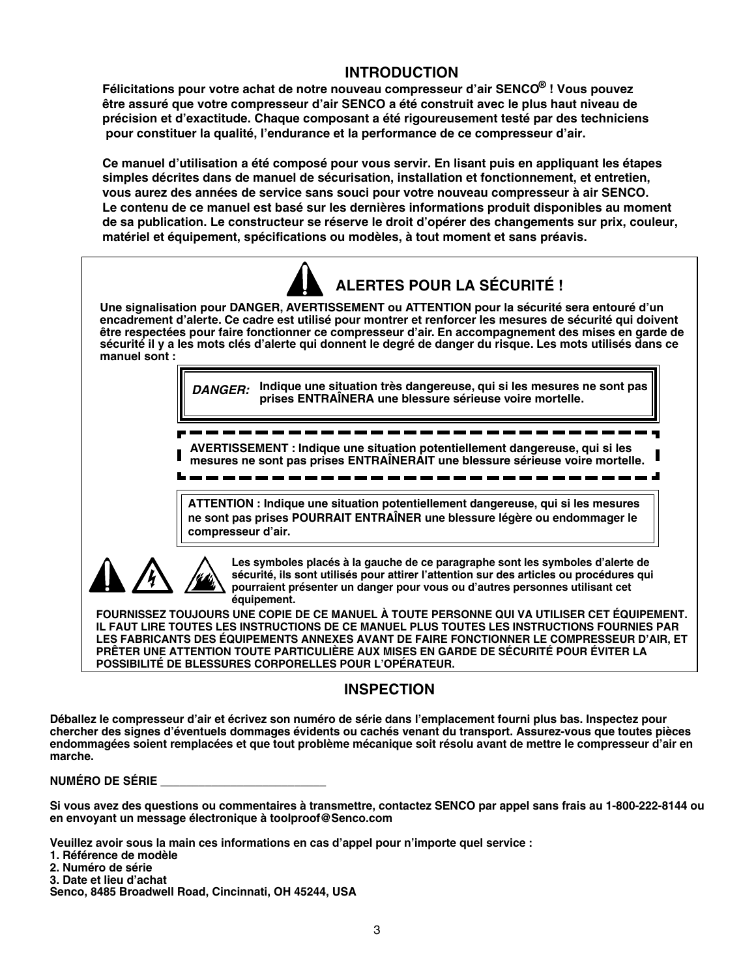#### **INTRODUCTION**

**Félicitations pour votre achat de notre nouveau compresseur d'air SENCO® ! Vous pouvez être assuré que votre compresseur d'air SENCO a été construit avec le plus haut niveau de précision et d'exactitude. Chaque composant a été rigoureusement testé par des techniciens pour constituer la qualité, l'endurance et la performance de ce compresseur d'air.**

**Ce manuel d'utilisation a été composé pour vous servir. En lisant puis en appliquant les étapes simples décrites dans de manuel de sécurisation, installation et fonctionnement, et entretien, vous aurez des années de service sans souci pour votre nouveau compresseur à air SENCO. Le contenu de ce manuel est basé sur les dernières informations produit disponibles au moment de sa publication. Le constructeur se réserve le droit d'opérer des changements sur prix, couleur, matériel et équipement, spécifications ou modèles, à tout moment et sans préavis.**



**LES FABRICANTS DES ÉQUIPEMENTS ANNEXES AVANT DE FAIRE FONCTIONNER LE COMPRESSEUR D'AIR, ET PRÊTER UNE ATTENTION TOUTE PARTICULIÈRE AUX MISES EN GARDE DE SÉCURITÉ POUR ÉVITER LA POSSIBILITÉ DE BLESSURES CORPORELLES POUR L'OPÉRATEUR.**

#### **INSPECTION**

**Déballez le compresseur d'air et écrivez son numéro de série dans l'emplacement fourni plus bas. Inspectez pour chercher des signes d'éventuels dommages évidents ou cachés venant du transport. Assurez-vous que toutes pièces endommagées soient remplacées et que tout problème mécanique soit résolu avant de mettre le compresseur d'air en marche.**

**NUMÉRO DE SÉRIE \_\_\_\_\_\_\_\_\_\_\_\_\_\_\_\_\_\_\_\_\_\_\_\_\_\_**

**Si vous avez des questions ou commentaires à transmettre, contactez SENCO par appel sans frais au 1-800-222-8144 ou en envoyant un message électronique à toolproof@Senco.com**

**Veuillez avoir sous la main ces informations en cas d'appel pour n'importe quel service :**

- **1. Référence de modèle**
- **2. Numéro de série**
- **3. Date et lieu d'achat**

**Senco, 8485 Broadwell Road, Cincinnati, OH 45244, USA**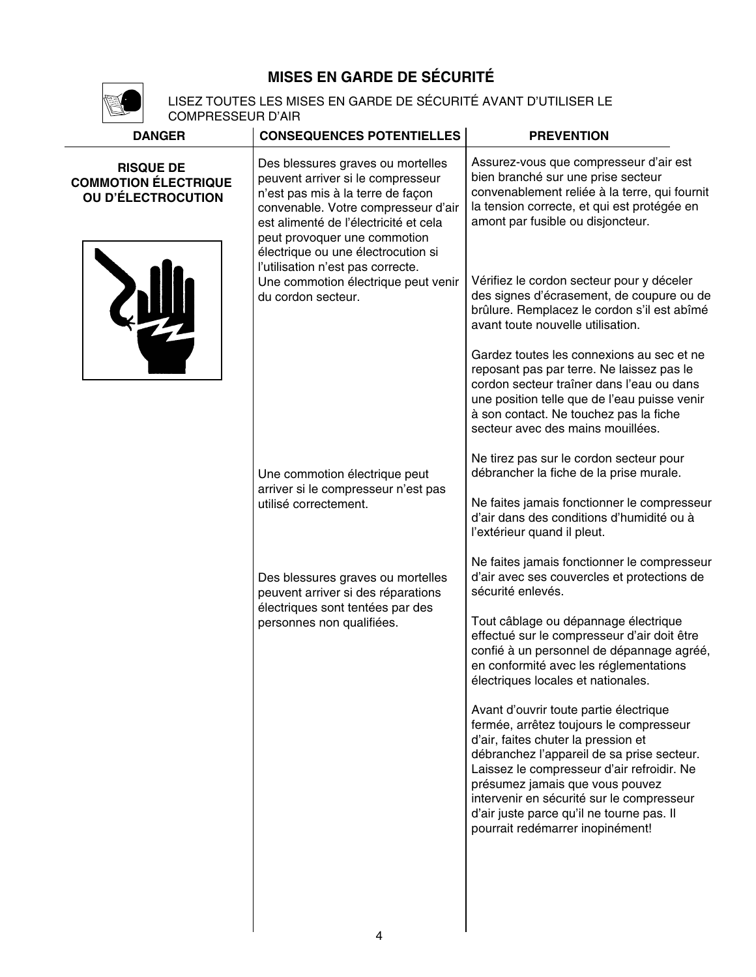## **MISES EN GARDE DE SÉCURITÉ**



LISEZ TOUTES LES MISES EN GARDE DE SÉCURITÉ AVANT D'UTILISER LE COMPRESSEUR D'AIR

| <b>DANGER</b>                                                                | <b>CONSEQUENCES POTENTIELLES</b>                                                                                                                                                                                                                                  | <b>PREVENTION</b>                                                                                                                                                                                                                                                                                                                                                                     |
|------------------------------------------------------------------------------|-------------------------------------------------------------------------------------------------------------------------------------------------------------------------------------------------------------------------------------------------------------------|---------------------------------------------------------------------------------------------------------------------------------------------------------------------------------------------------------------------------------------------------------------------------------------------------------------------------------------------------------------------------------------|
| <b>RISQUE DE</b><br><b>COMMOTION ÉLECTRIQUE</b><br><b>OU D'ÉLECTROCUTION</b> | Des blessures graves ou mortelles<br>peuvent arriver si le compresseur<br>n'est pas mis à la terre de façon<br>convenable. Votre compresseur d'air<br>est alimenté de l'électricité et cela<br>peut provoquer une commotion<br>électrique ou une électrocution si | Assurez-vous que compresseur d'air est<br>bien branché sur une prise secteur<br>convenablement reliée à la terre, qui fournit<br>la tension correcte, et qui est protégée en<br>amont par fusible ou disjoncteur.                                                                                                                                                                     |
| du cordon secteur.                                                           | l'utilisation n'est pas correcte.<br>Une commotion électrique peut venir                                                                                                                                                                                          | Vérifiez le cordon secteur pour y déceler<br>des signes d'écrasement, de coupure ou de<br>brûlure. Remplacez le cordon s'il est abîmé<br>avant toute nouvelle utilisation.                                                                                                                                                                                                            |
|                                                                              |                                                                                                                                                                                                                                                                   | Gardez toutes les connexions au sec et ne<br>reposant pas par terre. Ne laissez pas le<br>cordon secteur traîner dans l'eau ou dans<br>une position telle que de l'eau puisse venir<br>à son contact. Ne touchez pas la fiche<br>secteur avec des mains mouillées.                                                                                                                    |
|                                                                              | Une commotion électrique peut                                                                                                                                                                                                                                     | Ne tirez pas sur le cordon secteur pour<br>débrancher la fiche de la prise murale.                                                                                                                                                                                                                                                                                                    |
|                                                                              | arriver si le compresseur n'est pas<br>utilisé correctement.                                                                                                                                                                                                      | Ne faites jamais fonctionner le compresseur<br>d'air dans des conditions d'humidité ou à<br>l'extérieur quand il pleut.                                                                                                                                                                                                                                                               |
|                                                                              | Des blessures graves ou mortelles<br>peuvent arriver si des réparations<br>électriques sont tentées par des<br>personnes non qualifiées.                                                                                                                          | Ne faites jamais fonctionner le compresseur<br>d'air avec ses couvercles et protections de<br>sécurité enlevés.                                                                                                                                                                                                                                                                       |
|                                                                              |                                                                                                                                                                                                                                                                   | Tout câblage ou dépannage électrique<br>effectué sur le compresseur d'air doit être<br>confié à un personnel de dépannage agréé,<br>en conformité avec les réglementations<br>électriques locales et nationales.                                                                                                                                                                      |
|                                                                              |                                                                                                                                                                                                                                                                   | Avant d'ouvrir toute partie électrique<br>fermée, arrêtez toujours le compresseur<br>d'air, faites chuter la pression et<br>débranchez l'appareil de sa prise secteur.<br>Laissez le compresseur d'air refroidir. Ne<br>présumez jamais que vous pouvez<br>intervenir en sécurité sur le compresseur<br>d'air juste parce qu'il ne tourne pas. Il<br>pourrait redémarrer inopinément! |
|                                                                              |                                                                                                                                                                                                                                                                   |                                                                                                                                                                                                                                                                                                                                                                                       |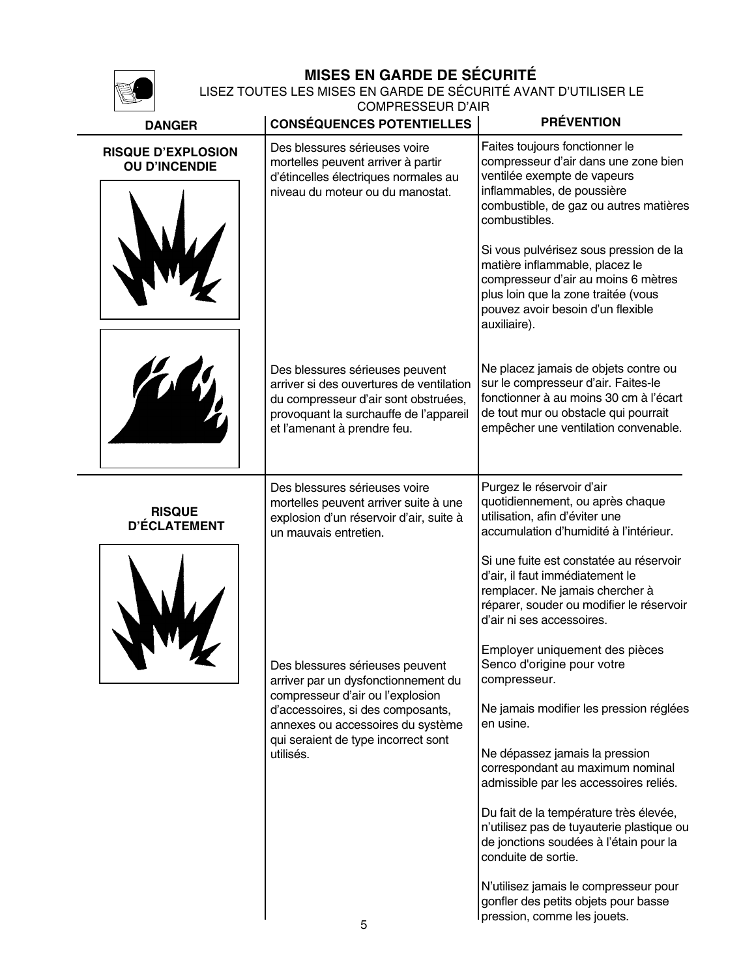

## **MISES EN GARDE DE SÉCURITÉ**

LISEZ TOUTES LES MISES EN GARDE DE SÉCURITÉ AVANT D'UTILISER LE

COMPRESSEUR D'AIR

| <b>DANGER</b>                                     | <b>CONSÉQUENCES POTENTIELLES</b>                                                                                                                                                                                                         | <b>PRÉVENTION</b>                                                                                                                                                                                                                                                                                                                                                                                                                                                                                                                                                                                                                                                                       |
|---------------------------------------------------|------------------------------------------------------------------------------------------------------------------------------------------------------------------------------------------------------------------------------------------|-----------------------------------------------------------------------------------------------------------------------------------------------------------------------------------------------------------------------------------------------------------------------------------------------------------------------------------------------------------------------------------------------------------------------------------------------------------------------------------------------------------------------------------------------------------------------------------------------------------------------------------------------------------------------------------------|
| <b>RISQUE D'EXPLOSION</b><br><b>OU D'INCENDIE</b> | Des blessures sérieuses voire<br>mortelles peuvent arriver à partir<br>d'étincelles électriques normales au<br>niveau du moteur ou du manostat.                                                                                          | Faites toujours fonctionner le<br>compresseur d'air dans une zone bien<br>ventilée exempte de vapeurs<br>inflammables, de poussière<br>combustible, de gaz ou autres matières<br>combustibles.<br>Si vous pulvérisez sous pression de la<br>matière inflammable, placez le<br>compresseur d'air au moins 6 mètres<br>plus loin que la zone traitée (vous<br>pouvez avoir besoin d'un flexible<br>auxiliaire).                                                                                                                                                                                                                                                                           |
|                                                   | Des blessures sérieuses peuvent<br>arriver si des ouvertures de ventilation<br>du compresseur d'air sont obstruées,<br>provoquant la surchauffe de l'appareil<br>et l'amenant à prendre feu.                                             | Ne placez jamais de objets contre ou<br>sur le compresseur d'air. Faites-le<br>fonctionner à au moins 30 cm à l'écart<br>de tout mur ou obstacle qui pourrait<br>empêcher une ventilation convenable.                                                                                                                                                                                                                                                                                                                                                                                                                                                                                   |
| <b>RISQUE</b><br><b>D'ÉCLATEMENT</b>              | Des blessures sérieuses voire<br>mortelles peuvent arriver suite à une<br>explosion d'un réservoir d'air, suite à<br>un mauvais entretien.                                                                                               | Purgez le réservoir d'air<br>quotidiennement, ou après chaque<br>utilisation, afin d'éviter une<br>accumulation d'humidité à l'intérieur.                                                                                                                                                                                                                                                                                                                                                                                                                                                                                                                                               |
|                                                   | Des blessures sérieuses peuvent<br>arriver par un dysfonctionnement du<br>compresseur d'air ou l'explosion<br>d'accessoires, si des composants,<br>annexes ou accessoires du système<br>qui seraient de type incorrect sont<br>utilisés. | Si une fuite est constatée au réservoir<br>d'air, il faut immédiatement le<br>remplacer. Ne jamais chercher à<br>réparer, souder ou modifier le réservoir<br>d'air ni ses accessoires.<br>Employer uniquement des pièces<br>Senco d'origine pour votre<br>compresseur.<br>Ne jamais modifier les pression réglées<br>en usine.<br>Ne dépassez jamais la pression<br>correspondant au maximum nominal<br>admissible par les accessoires reliés.<br>Du fait de la température très élevée,<br>n'utilisez pas de tuyauterie plastique ou<br>de jonctions soudées à l'étain pour la<br>conduite de sortie.<br>N'utilisez jamais le compresseur pour<br>gonfler des petits objets pour basse |
|                                                   |                                                                                                                                                                                                                                          | pression, comme les jouets.                                                                                                                                                                                                                                                                                                                                                                                                                                                                                                                                                                                                                                                             |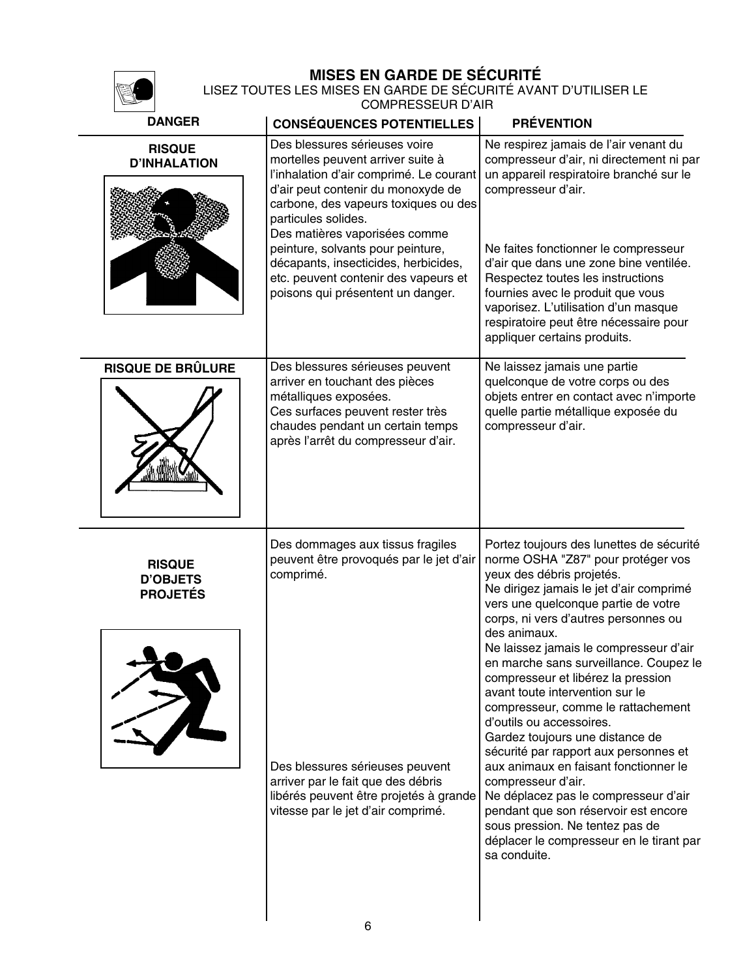## **MISES EN GARDE DE SÉCURITÉ**

LISEZ TOUTES LES MISES EN GARDE DE SÉCURITÉ AVANT D'UTILISER LE COMPRESSEUR D'AIR

| <b>DANGER</b>                                       | <b>CONSÉQUENCES POTENTIELLES</b>                                                                                                                                                                                   | <b>PRÉVENTION</b>                                                                                                                                                                                                                                                                                                                                                                                                                                                                                                                                                |
|-----------------------------------------------------|--------------------------------------------------------------------------------------------------------------------------------------------------------------------------------------------------------------------|------------------------------------------------------------------------------------------------------------------------------------------------------------------------------------------------------------------------------------------------------------------------------------------------------------------------------------------------------------------------------------------------------------------------------------------------------------------------------------------------------------------------------------------------------------------|
| <b>RISQUE</b><br><b>D'INHALATION</b>                | Des blessures sérieuses voire<br>mortelles peuvent arriver suite à<br>l'inhalation d'air comprimé. Le courant<br>d'air peut contenir du monoxyde de<br>carbone, des vapeurs toxiques ou des<br>particules solides. | Ne respirez jamais de l'air venant du<br>compresseur d'air, ni directement ni par<br>un appareil respiratoire branché sur le<br>compresseur d'air.                                                                                                                                                                                                                                                                                                                                                                                                               |
|                                                     | Des matières vaporisées comme<br>peinture, solvants pour peinture,<br>décapants, insecticides, herbicides,<br>etc. peuvent contenir des vapeurs et<br>poisons qui présentent un danger.                            | Ne faites fonctionner le compresseur<br>d'air que dans une zone bine ventilée.<br>Respectez toutes les instructions<br>fournies avec le produit que vous<br>vaporisez. L'utilisation d'un masque<br>respiratoire peut être nécessaire pour<br>appliquer certains produits.                                                                                                                                                                                                                                                                                       |
| <b>RISQUE DE BRÛLURE</b>                            | Des blessures sérieuses peuvent<br>arriver en touchant des pièces<br>métalliques exposées.<br>Ces surfaces peuvent rester très<br>chaudes pendant un certain temps<br>après l'arrêt du compresseur d'air.          | Ne laissez jamais une partie<br>quelconque de votre corps ou des<br>objets entrer en contact avec n'importe<br>quelle partie métallique exposée du<br>compresseur d'air.                                                                                                                                                                                                                                                                                                                                                                                         |
| <b>RISQUE</b><br><b>D'OBJETS</b><br><b>PROJETÉS</b> | Des dommages aux tissus fragiles<br>peuvent être provoqués par le jet d'air<br>comprimé.                                                                                                                           | Portez toujours des lunettes de sécurité<br>norme OSHA "Z87" pour protéger vos<br>yeux des débris projetés.<br>Ne dirigez jamais le jet d'air comprimé<br>vers une quelconque partie de votre<br>corps, ni vers d'autres personnes ou<br>des animaux.<br>Ne laissez jamais le compresseur d'air<br>en marche sans surveillance. Coupez le<br>compresseur et libérez la pression<br>avant toute intervention sur le<br>compresseur, comme le rattachement<br>d'outils ou accessoires.<br>Gardez toujours une distance de<br>sécurité par rapport aux personnes et |
|                                                     | Des blessures sérieuses peuvent<br>arriver par le fait que des débris<br>libérés peuvent être projetés à grande<br>vitesse par le jet d'air comprimé.                                                              | aux animaux en faisant fonctionner le<br>compresseur d'air.<br>Ne déplacez pas le compresseur d'air<br>pendant que son réservoir est encore<br>sous pression. Ne tentez pas de<br>déplacer le compresseur en le tirant par<br>sa conduite.                                                                                                                                                                                                                                                                                                                       |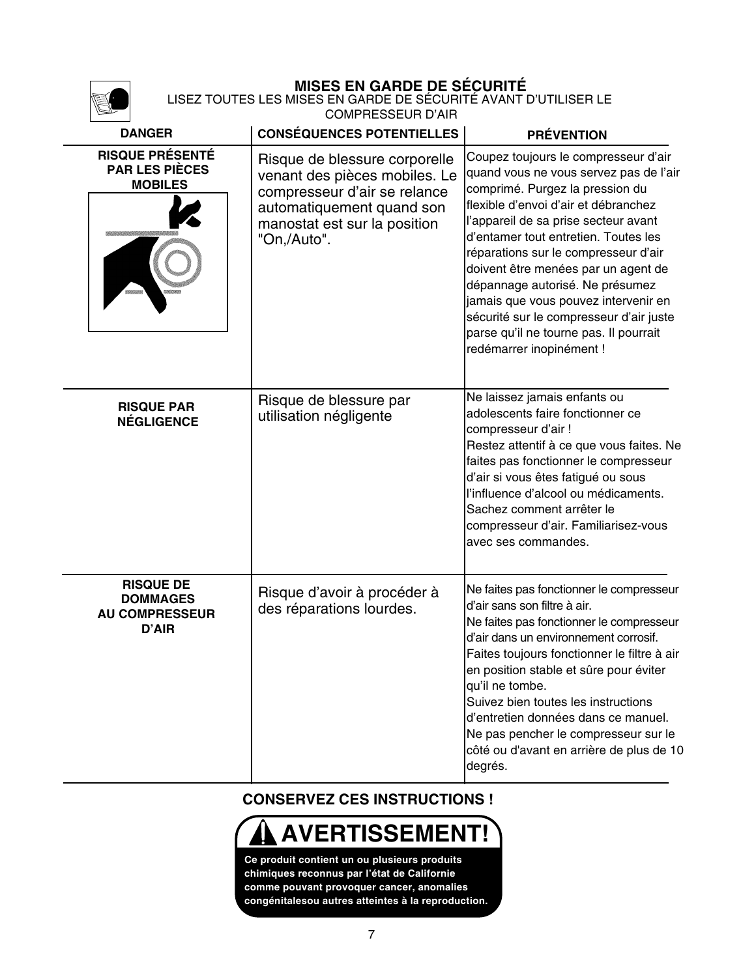|                                                                       | <b>MISES EN GARDE DE SÉCURITÉ</b><br>LISEZ TOUTES LES MISES EN GARDE DE SÉCURITÉ AVANT D'UTILISER LE<br><b>COMPRESSEUR D'AIR</b>                                           |                                                                                                                                                                                                                                                                                                                                                                                                                                                                                                                      |  |
|-----------------------------------------------------------------------|----------------------------------------------------------------------------------------------------------------------------------------------------------------------------|----------------------------------------------------------------------------------------------------------------------------------------------------------------------------------------------------------------------------------------------------------------------------------------------------------------------------------------------------------------------------------------------------------------------------------------------------------------------------------------------------------------------|--|
| <b>DANGER</b>                                                         | <b>CONSÉQUENCES POTENTIELLES</b>                                                                                                                                           | <b>PRÉVENTION</b>                                                                                                                                                                                                                                                                                                                                                                                                                                                                                                    |  |
| <b>RISQUE PRÉSENTÉ</b><br><b>PAR LES PIÈCES</b><br><b>MOBILES</b>     | Risque de blessure corporelle<br>venant des pièces mobiles. Le<br>compresseur d'air se relance<br>automatiquement quand son<br>manostat est sur la position<br>"On,/Auto". | Coupez toujours le compresseur d'air<br>quand vous ne vous servez pas de l'air<br>comprimé. Purgez la pression du<br>flexible d'envoi d'air et débranchez<br>l'appareil de sa prise secteur avant<br>d'entamer tout entretien. Toutes les<br>réparations sur le compresseur d'air<br>doivent être menées par un agent de<br>dépannage autorisé. Ne présumez<br>jamais que vous pouvez intervenir en<br>sécurité sur le compresseur d'air juste<br>parse qu'il ne tourne pas. Il pourrait<br>redémarrer inopinément ! |  |
| <b>RISQUE PAR</b><br><b>NÉGLIGENCE</b>                                | Risque de blessure par<br>utilisation négligente                                                                                                                           | Ne laissez jamais enfants ou<br>adolescents faire fonctionner ce<br>compresseur d'air !<br>Restez attentif à ce que vous faites. Ne<br>faites pas fonctionner le compresseur<br>d'air si vous êtes fatigué ou sous<br>l'influence d'alcool ou médicaments.<br>Sachez comment arrêter le<br>compresseur d'air. Familiarisez-vous<br>avec ses commandes.                                                                                                                                                               |  |
| <b>RISQUE DE</b><br><b>DOMMAGES</b><br><b>AU COMPRESSEUR</b><br>D'AIR | Risque d'avoir à procéder à<br>des réparations lourdes.                                                                                                                    | Ne faites pas fonctionner le compresseur<br>d'air sans son filtre à air.<br>Ne faites pas fonctionner le compresseur<br>d'air dans un environnement corrosif.<br>Faites toujours fonctionner le filtre à air<br>en position stable et sûre pour éviter<br>qu'il ne tombe.<br>Suivez bien toutes les instructions<br>d'entretien données dans ce manuel.<br>Ne pas pencher le compresseur sur le<br>côté ou d'avant en arrière de plus de 10<br>degrés.                                                               |  |

## **CONSERVEZ CES INSTRUCTIONS !**

## **AVERTISSEMENT!**

**Ce produit contient un ou plusieurs produits chimiques reconnus par l'état de Californie comme pouvant provoquer cancer, anomalies congénitalesou autres atteintes à la reproduction.**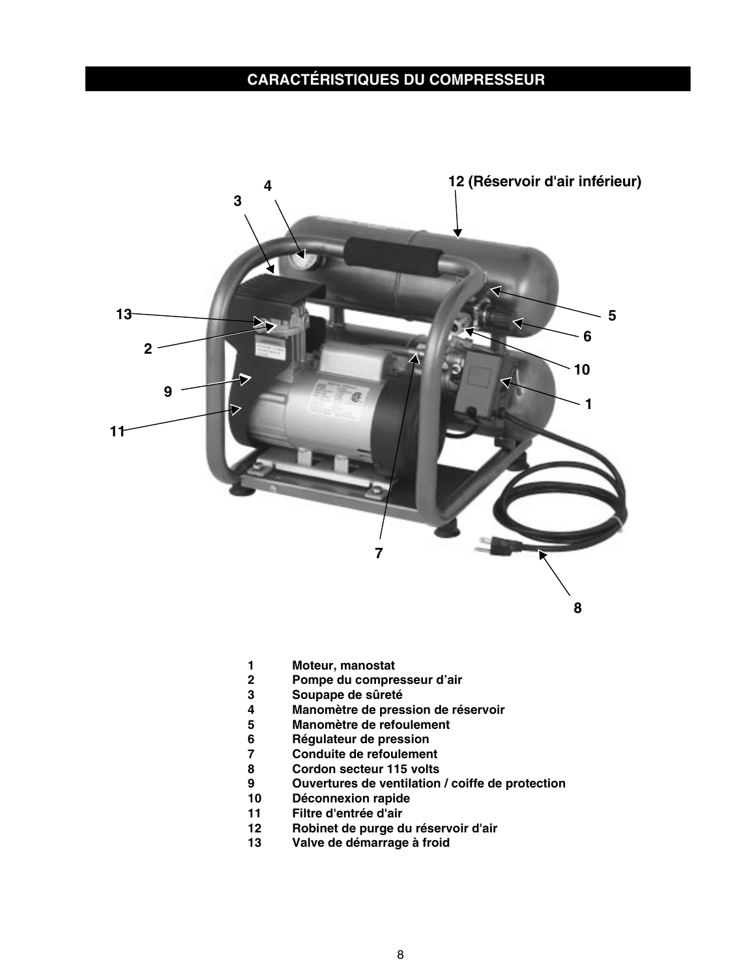## **CARACTÉRISTIQUES DU COMPRESSEUR**



- **1 Moteur, manostat**
- **2 Pompe du compresseur d'air**
- **3 Soupape de sûreté**
- **4 Manomètre de pression de réservoir**
- **5 Manomètre de refoulement**
- 
- **6 Régulateur de pression 7 Conduite de refoulement**
- **8 Cordon secteur 115 volts**
- **9 Ouvertures de ventilation / coiffe de protection**
- **10 Déconnexion rapide**
- **11 Filtre d'entrée d'air**
- **12 Robinet de purge du réservoir d'air**
- **13 Valve de démarrage à froid**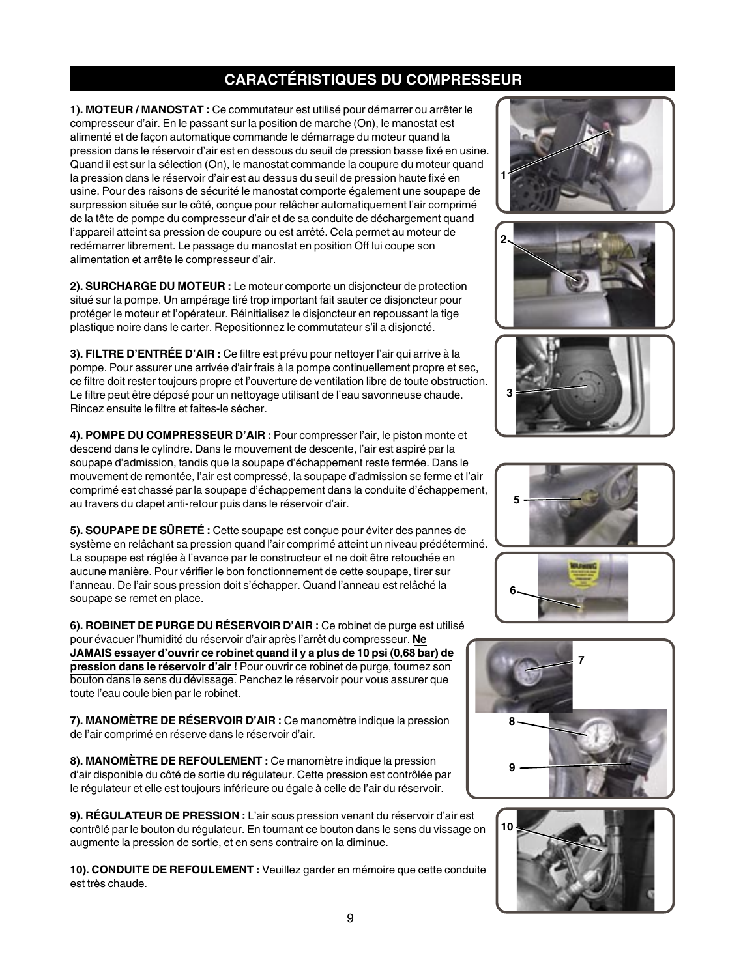## **CARACTÉRISTIQUES DU COMPRESSEUR**

**1). MOTEUR / MANOSTAT :** Ce commutateur est utilisé pour démarrer ou arrêter le compresseur d'air. En le passant sur la position de marche (On), le manostat est alimenté et de façon automatique commande le démarrage du moteur quand la pression dans le réservoir d'air est en dessous du seuil de pression basse fixé en usine. Quand il est sur la sélection (On), le manostat commande la coupure du moteur quand la pression dans le réservoir d'air est au dessus du seuil de pression haute fixé en usine. Pour des raisons de sécurité le manostat comporte également une soupape de surpression située sur le côté, conçue pour relâcher automatiquement l'air comprimé de la tête de pompe du compresseur d'air et de sa conduite de déchargement quand l'appareil atteint sa pression de coupure ou est arrêté. Cela permet au moteur de redémarrer librement. Le passage du manostat en position Off lui coupe son alimentation et arrête le compresseur d'air.

**2). SURCHARGE DU MOTEUR :** Le moteur comporte un disjoncteur de protection situé sur la pompe. Un ampérage tiré trop important fait sauter ce disjoncteur pour protéger le moteur et l'opérateur. Réinitialisez le disjoncteur en repoussant la tige plastique noire dans le carter. Repositionnez le commutateur s'il a disjoncté.

**3). FILTRE D'ENTRÉE D'AIR :** Ce filtre est prévu pour nettoyer l'air qui arrive à la pompe. Pour assurer une arrivée d'air frais à la pompe continuellement propre et sec, ce filtre doit rester toujours propre et l'ouverture de ventilation libre de toute obstruction. Le filtre peut être déposé pour un nettoyage utilisant de l'eau savonneuse chaude. Rincez ensuite le filtre et faites-le sécher.

**4). POMPE DU COMPRESSEUR D'AIR :** Pour compresser l'air, le piston monte et descend dans le cylindre. Dans le mouvement de descente, l'air est aspiré par la soupape d'admission, tandis que la soupape d'échappement reste fermée. Dans le mouvement de remontée, l'air est compressé, la soupape d'admission se ferme et l'air comprimé est chassé par la soupape d'échappement dans la conduite d'échappement, au travers du clapet anti-retour puis dans le réservoir d'air.

**5). SOUPAPE DE SÛRETÉ :** Cette soupape est conçue pour éviter des pannes de système en relâchant sa pression quand l'air comprimé atteint un niveau prédéterminé. La soupape est réglée à l'avance par le constructeur et ne doit être retouchée en aucune manière. Pour vérifier le bon fonctionnement de cette soupape, tirer sur l'anneau. De l'air sous pression doit s'échapper. Quand l'anneau est relâché la soupape se remet en place.

**6). ROBINET DE PURGE DU RÉSERVOIR D'AIR :** Ce robinet de purge est utilisé pour évacuer l'humidité du réservoir d'air après l'arrêt du compresseur. **Ne JAMAIS essayer d'ouvrir ce robinet quand il y a plus de 10 psi (0,68 bar) de pression dans le réservoir d'air !** Pour ouvrir ce robinet de purge, tournez son bouton dans le sens du dévissage. Penchez le réservoir pour vous assurer que toute l'eau coule bien par le robinet.

**7). MANOMÈTRE DE RÉSERVOIR D'AIR :** Ce manomètre indique la pression de l'air comprimé en réserve dans le réservoir d'air.

**8). MANOMÈTRE DE REFOULEMENT :** Ce manomètre indique la pression d'air disponible du côté de sortie du régulateur. Cette pression est contrôlée par le régulateur et elle est toujours inférieure ou égale à celle de l'air du réservoir.

**9). RÉGULATEUR DE PRESSION :** L'air sous pression venant du réservoir d'air est contrôlé par le bouton du régulateur. En tournant ce bouton dans le sens du vissage on augmente la pression de sortie, et en sens contraire on la diminue.

**10). CONDUITE DE REFOULEMENT :** Veuillez garder en mémoire que cette conduite est très chaude.













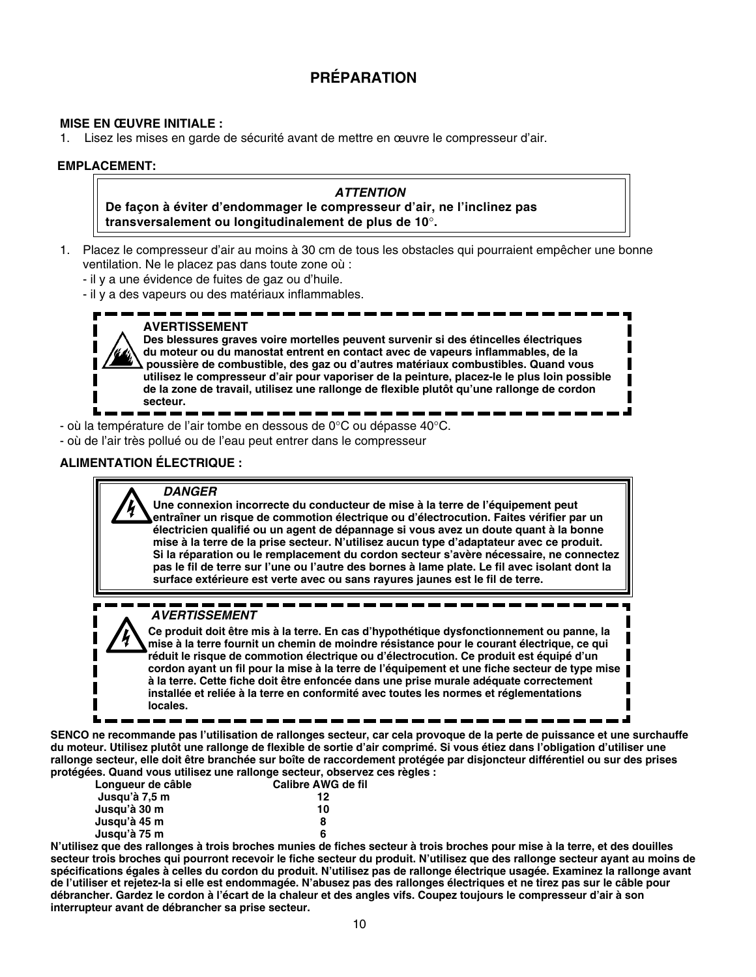## **PRÉPARATION**

#### **MISE EN ŒUVRE INITIALE :**

1. Lisez les mises en garde de sécurité avant de mettre en œuvre le compresseur d'air.

#### **EMPLACEMENT:**

#### **ATTENTION De façon à éviter d'endommager le compresseur d'air, ne l'inclinez pas transversalement ou longitudinalement de plus de 10**°**.**

1. Placez le compresseur d'air au moins à 30 cm de tous les obstacles qui pourraient empêcher une bonne ventilation. Ne le placez pas dans toute zone où :

- il y a une évidence de fuites de gaz ou d'huile.

- il y a des vapeurs ou des matériaux inflammables.

**AVERTISSEMENT Des blessures graves voire mortelles peuvent survenir si des étincelles électriques du moteur ou du manostat entrent en contact avec de vapeurs inflammables, de la poussière de combustible, des gaz ou d'autres matériaux combustibles. Quand vous utilisez le compresseur d'air pour vaporiser de la peinture, placez-le le plus loin possible de la zone de travail, utilisez une rallonge de flexible plutôt qu'une rallonge de cordon secteur.**

- où la température de l'air tombe en dessous de 0°C ou dépasse 40°C.

- où de l'air très pollué ou de l'eau peut entrer dans le compresseur

#### **ALIMENTATION ÉLECTRIQUE :**

#### **DANGER**

**Une connexion incorrecte du conducteur de mise à la terre de l'équipement peut entraîner un risque de commotion électrique ou d'électrocution. Faites vérifier par un électricien qualifié ou un agent de dépannage si vous avez un doute quant à la bonne mise à la terre de la prise secteur. N'utilisez aucun type d'adaptateur avec ce produit. Si la réparation ou le remplacement du cordon secteur s'avère nécessaire, ne connectez pas le fil de terre sur l'une ou l'autre des bornes à lame plate. Le fil avec isolant dont la surface extérieure est verte avec ou sans rayures jaunes est le fil de terre.**

#### **AVERTISSEMENT**

**Ce produit doit être mis à la terre. En cas d'hypothétique dysfonctionnement ou panne, la mise à la terre fournit un chemin de moindre résistance pour le courant électrique, ce qui réduit le risque de commotion électrique ou d'électrocution. Ce produit est équipé d'un cordon ayant un fil pour la mise à la terre de l'équipement et une fiche secteur de type mise à la terre. Cette fiche doit être enfoncée dans une prise murale adéquate correctement installée et reliée à la terre en conformité avec toutes les normes et réglementations locales.**

**SENCO ne recommande pas l'utilisation de rallonges secteur, car cela provoque de la perte de puissance et une surchauffe du moteur. Utilisez plutôt une rallonge de flexible de sortie d'air comprimé. Si vous étiez dans l'obligation d'utiliser une rallonge secteur, elle doit être branchée sur boîte de raccordement protégée par disjoncteur différentiel ou sur des prises protégées. Quand vous utilisez une rallonge secteur, observez ces règles :**

| Lonqueur de câble | Calibre AWG de fil |
|-------------------|--------------------|
| Jusqu'à 7,5 m     | 12                 |
| Jusqu'à 30 m      | 10                 |
| Jusau'à 45 m      | 8                  |
| Jusqu'à 75 m      | 6                  |

**N'utilisez que des rallonges à trois broches munies de fiches secteur à trois broches pour mise à la terre, et des douilles secteur trois broches qui pourront recevoir le fiche secteur du produit. N'utilisez que des rallonge secteur ayant au moins de spécifications égales à celles du cordon du produit. N'utilisez pas de rallonge électrique usagée. Examinez la rallonge avant de l'utiliser et rejetez-la si elle est endommagée. N'abusez pas des rallonges électriques et ne tirez pas sur le câble pour débrancher. Gardez le cordon à l'écart de la chaleur et des angles vifs. Coupez toujours le compresseur d'air à son interrupteur avant de débrancher sa prise secteur.**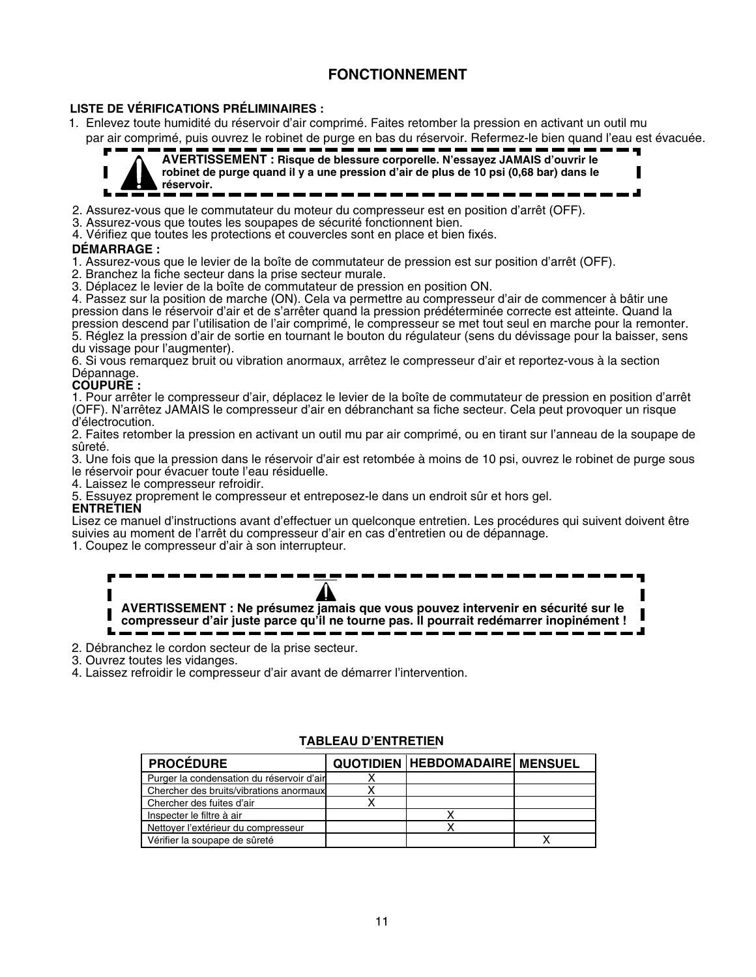## **FONCTIONNEMENT**

#### **LISTE DE VÉRIFICATIONS PRÉLIMINAIRES :**

1. Enlevez toute humidité du réservoir d'air comprimé. Faites retomber la pression en activant un outil mu par air comprimé, puis ouvrez le robinet de purge en bas du réservoir. Refermez-le bien quand l'eau est évacuée.



**AVERTISSEMENT : Risque de blessure corporelle. N'essayez JAMAIS d'ouvrir le robinet de purge quand il y a une pression d'air de plus de 10 psi (0,68 bar) dans le réservoir.**

2. Assurez-vous que le commutateur du moteur du compresseur est en position d'arrêt (OFF).

3. Assurez-vous que toutes les soupapes de sécurité fonctionnent bien.

4. Vérifiez que toutes les protections et couvercles sont en place et bien fixés.

#### **DÉMARRAGE :**

1. Assurez-vous que le levier de la boîte de commutateur de pression est sur position d'arrêt (OFF).

2. Branchez la fiche secteur dans la prise secteur murale.

3. Déplacez le levier de la boîte de commutateur de pression en position ON.

4. Passez sur la position de marche (ON). Cela va permettre au compresseur d'air de commencer à bâtir une pression dans le réservoir d'air et de s'arrêter quand la pression prédéterminée correcte est atteinte. Quand la pression descend par l'utilisation de l'air comprimé, le compresseur se met tout seul en marche pour la remonter. 5. Réglez la pression d'air de sortie en tournant le bouton du régulateur (sens du dévissage pour la baisser, sens du vissage pour l'augmenter).

6. Si vous remarquez bruit ou vibration anormaux, arrêtez le compresseur d'air et reportez-vous à la section Dépannage.

#### **COUPURE :**

1. Pour arrêter le compresseur d'air, déplacez le levier de la boîte de commutateur de pression en position d'arrêt (OFF). N'arrêtez JAMAIS le compresseur d'air en débranchant sa fiche secteur. Cela peut provoquer un risque d'électrocution.

2. Faites retomber la pression en activant un outil mu par air comprimé, ou en tirant sur l'anneau de la soupape de sûreté.

3. Une fois que la pression dans le réservoir d'air est retombée à moins de 10 psi, ouvrez le robinet de purge sous le réservoir pour évacuer toute l'eau résiduelle.

4. Laissez le compresseur refroidir.

5. Essuyez proprement le compresseur et entreposez-le dans un endroit sûr et hors gel.

#### **ENTRETIEN**

Lisez ce manuel d'instructions avant d'effectuer un quelconque entretien. Les procédures qui suivent doivent être suivies au moment de l'arrêt du compresseur d'air en cas d'entretien ou de dépannage. 1. Coupez le compresseur d'air à son interrupteur.

**AVERTISSEMENT : Ne présumez jamais que vous pouvez intervenir en sécurité sur le compresseur d'air juste parce qu'il ne tourne pas. Il pourrait redémarrer inopinément !**

2. Débranchez le cordon secteur de la prise secteur.

3. Ouvrez toutes les vidanges.

4. Laissez refroidir le compresseur d'air avant de démarrer l'intervention.

| <b>PROCÉDURE</b>                          | <b>QUOTIDIEN HEBDOMADAIRE MENSUEL</b> |  |
|-------------------------------------------|---------------------------------------|--|
| Purger la condensation du réservoir d'air |                                       |  |
| Chercher des bruits/vibrations anormaux   |                                       |  |
| Chercher des fuites d'air                 |                                       |  |
| Inspecter le filtre à air                 |                                       |  |
| Nettoyer l'extérieur du compresseur       |                                       |  |
| Vérifier la soupape de sûreté             |                                       |  |

#### **TABLEAU D'ENTRETIEN**

ֺ֝֡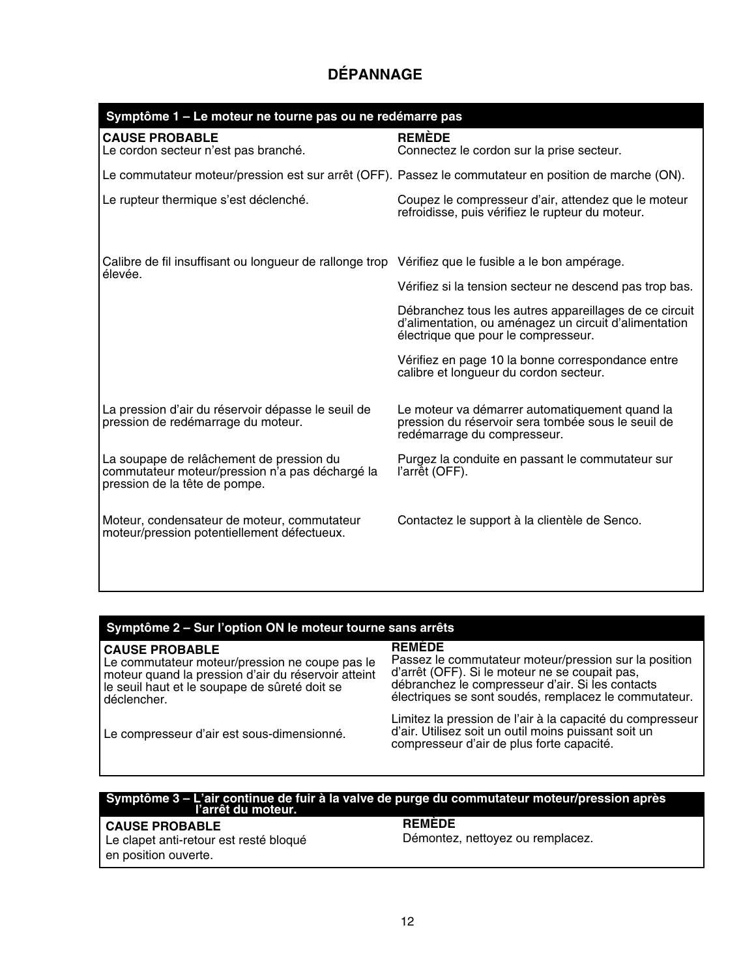## **DÉPANNAGE**

| Symptôme 1 - Le moteur ne tourne pas ou ne redémarre pas                                                                     |                                                                                                                                                        |  |
|------------------------------------------------------------------------------------------------------------------------------|--------------------------------------------------------------------------------------------------------------------------------------------------------|--|
| <b>CAUSE PROBABLE</b><br>Le cordon secteur n'est pas branché.                                                                | <b>REMÈDE</b><br>Connectez le cordon sur la prise secteur.                                                                                             |  |
|                                                                                                                              | Le commutateur moteur/pression est sur arrêt (OFF). Passez le commutateur en position de marche (ON).                                                  |  |
| Le rupteur thermique s'est déclenché.                                                                                        | Coupez le compresseur d'air, attendez que le moteur<br>refroidisse, puis vérifiez le rupteur du moteur.                                                |  |
| Calibre de fil insuffisant ou longueur de rallonge trop Vérifiez que le fusible a le bon ampérage.<br>élevée.                |                                                                                                                                                        |  |
|                                                                                                                              | Vérifiez si la tension secteur ne descend pas trop bas.                                                                                                |  |
|                                                                                                                              | Débranchez tous les autres appareillages de ce circuit<br>d'alimentation, ou aménagez un circuit d'alimentation<br>électrique que pour le compresseur. |  |
|                                                                                                                              | Vérifiez en page 10 la bonne correspondance entre<br>calibre et longueur du cordon secteur.                                                            |  |
| La pression d'air du réservoir dépasse le seuil de<br>pression de redémarrage du moteur.                                     | Le moteur va démarrer automatiquement quand la<br>pression du réservoir sera tombée sous le seuil de<br>redémarrage du compresseur.                    |  |
| La soupape de relâchement de pression du<br>commutateur moteur/pression n'a pas déchargé la<br>pression de la tête de pompe. | Purgez la conduite en passant le commutateur sur<br>l'arrêt (OFF).                                                                                     |  |
| Moteur, condensateur de moteur, commutateur<br>moteur/pression potentiellement défectueux.                                   | Contactez le support à la clientèle de Senco.                                                                                                          |  |
|                                                                                                                              |                                                                                                                                                        |  |

#### **Symptôme 2 – Sur l'option ON le moteur tourne sans arrêts**

#### **CAUSE PROBABLE**

Le commutateur moteur/pression ne coupe pas le moteur quand la pression d'air du réservoir atteint le seuil haut et le soupape de sûreté doit se déclencher.

#### **REMÈDE**

Passez le commutateur moteur/pression sur la position d'arrêt (OFF). Si le moteur ne se coupait pas, débranchez le compresseur d'air. Si les contacts électriques se sont soudés, remplacez le commutateur.

Le compresseur d'air est sous-dimensionné.

Limitez la pression de l'air à la capacité du compresseur d'air. Utilisez soit un outil moins puissant soit un compresseur d'air de plus forte capacité.

## **Symptôme 3 – L'air continue de fuir à la valve de purge du commutateur moteur/pression après l'arrêt du moteur.**

#### **CAUSE PROBABLE**

Le clapet anti-retour est resté bloqué en position ouverte.

#### **REMÈDE**

Démontez, nettoyez ou remplacez.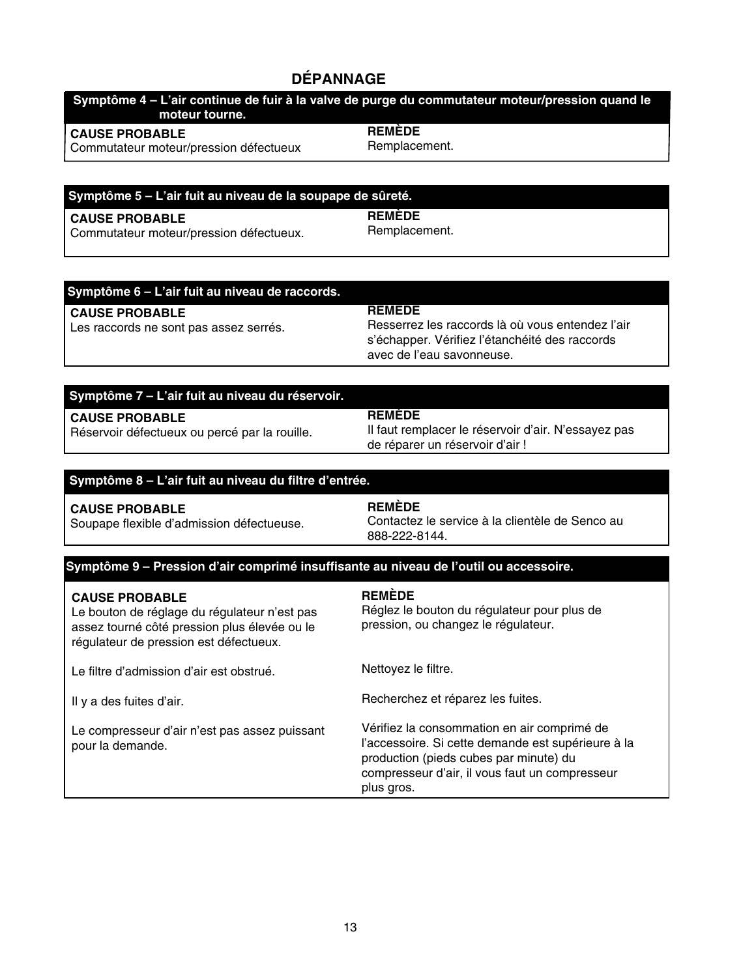#### **DÉPANNAGE**

| Symptôme 4 – L'air continue de fuir à la valve de purge du commutateur moteur/pression quand le<br>moteur tourne. ' |               |
|---------------------------------------------------------------------------------------------------------------------|---------------|
| <b>CAUSE PROBABLE</b>                                                                                               | <b>REMEDE</b> |
| Commutateur moteur/pression défectueux                                                                              | Remplacement. |

#### **Symptôme 5 – L'air fuit au niveau de la soupape de sûreté.**

#### **CAUSE PROBABLE**

Commutateur moteur/pression défectueux.

**REMÈDE** Remplacement.

#### **Symptôme 6 – L'air fuit au niveau de raccords.**

#### **CAUSE PROBABLE**

Les raccords ne sont pas assez serrés.

**REMÈDE** Resserrez les raccords là où vous entendez l'air s'échapper. Vérifiez l'étanchéité des raccords avec de l'eau savonneuse.

#### **Symptôme 7 – L'air fuit au niveau du réservoir.**

**CAUSE PROBABLE** Réservoir défectueux ou percé par la rouille.

Soupape flexible d'admission défectueuse.

#### **REMÈDE**

Il faut remplacer le réservoir d'air. N'essayez pas de réparer un réservoir d'air !

#### **Symptôme 8 – L'air fuit au niveau du filtre d'entrée.**

#### **CAUSE PROBABLE**

**REMÈDE** Contactez le service à la clientèle de Senco au 888-222-8144.

#### **Symptôme 9 – Pression d'air comprimé insuffisante au niveau de l'outil ou accessoire.**

#### **CAUSE PROBABLE**

Le bouton de réglage du régulateur n'est pas assez tourné côté pression plus élevée ou le régulateur de pression est défectueux.

Le filtre d'admission d'air est obstrué.

Il y a des fuites d'air.

Le compresseur d'air n'est pas assez puissant pour la demande.

#### **REMÈDE**

Réglez le bouton du régulateur pour plus de pression, ou changez le régulateur.

Nettoyez le filtre.

Recherchez et réparez les fuites.

Vérifiez la consommation en air comprimé de l'accessoire. Si cette demande est supérieure à la production (pieds cubes par minute) du compresseur d'air, il vous faut un compresseur plus gros.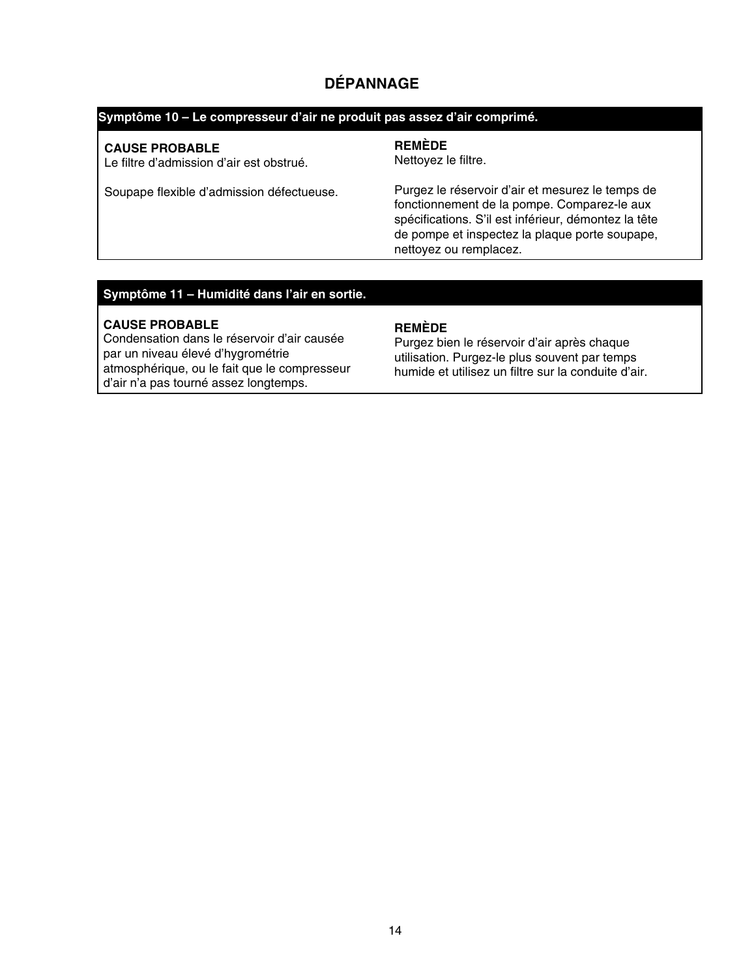## **DÉPANNAGE**

#### **Symptôme 10 – Le compresseur d'air ne produit pas assez d'air comprimé.**

#### **CAUSE PROBABLE**

Le filtre d'admission d'air est obstrué.

#### Soupape flexible d'admission défectueuse.

#### **REMÈDE**

Nettoyez le filtre.

Purgez le réservoir d'air et mesurez le temps de fonctionnement de la pompe. Comparez-le aux spécifications. S'il est inférieur, démontez la tête de pompe et inspectez la plaque porte soupape, nettoyez ou remplacez.

#### **Symptôme 11 – Humidité dans l'air en sortie.**

#### **CAUSE PROBABLE**

Condensation dans le réservoir d'air causée par un niveau élevé d'hygrométrie atmosphérique, ou le fait que le compresseur d'air n'a pas tourné assez longtemps.

#### **REMÈDE**

Purgez bien le réservoir d'air après chaque utilisation. Purgez-le plus souvent par temps humide et utilisez un filtre sur la conduite d'air.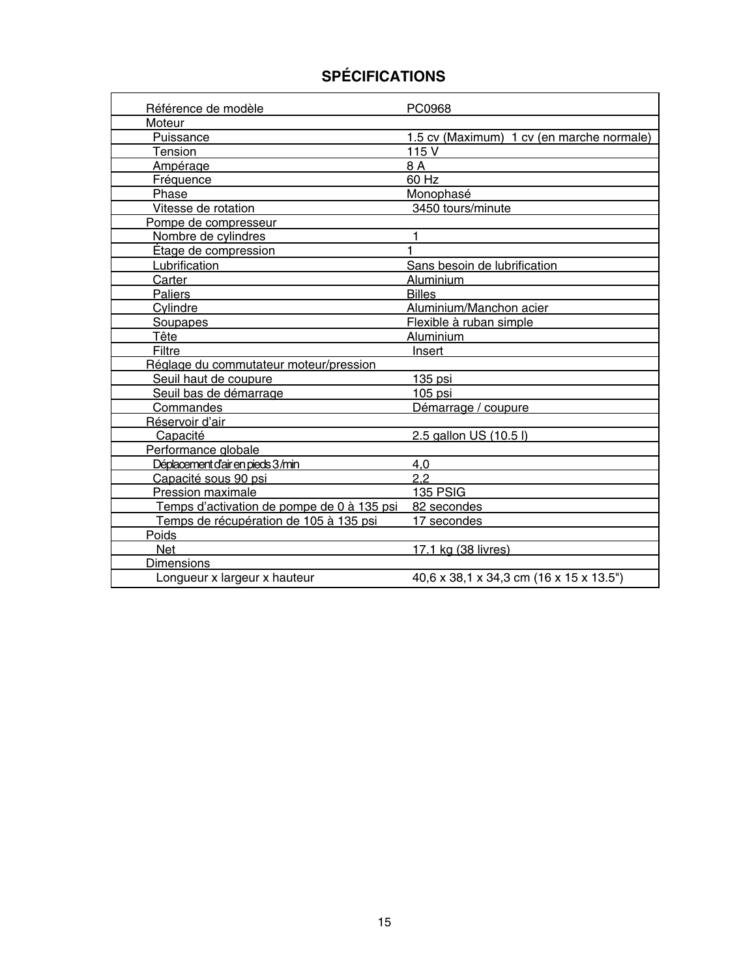## **SPÉCIFICATIONS**

| Référence de modèle                        | PC0968                                    |
|--------------------------------------------|-------------------------------------------|
| Moteur                                     |                                           |
| Puissance                                  | 1.5 cv (Maximum) 1 cv (en marche normale) |
| Tension                                    | 115 V                                     |
| Ampérage                                   | 8 A                                       |
| Fréquence                                  | $60$ Hz                                   |
| Phase                                      | Monophasé                                 |
| Vitesse de rotation                        | 3450 tours/minute                         |
| Pompe de compresseur                       |                                           |
| Nombre de cylindres                        |                                           |
| Étage de compression                       | 1                                         |
| Lubrification                              | Sans besoin de lubrification              |
| Carter                                     | Aluminium                                 |
| Paliers                                    | <b>Billes</b>                             |
| Cylindre                                   | Aluminium/Manchon acier                   |
| Soupapes                                   | Flexible à ruban simple                   |
| Tête                                       | Aluminium                                 |
| Filtre                                     | Insert                                    |
| Réglage du commutateur moteur/pression     |                                           |
| Seuil haut de coupure                      | $135$ psi                                 |
| Seuil bas de démarrage                     | $105$ psi                                 |
| Commandes                                  | Démarrage / coupure                       |
| Réservoir d'air                            |                                           |
| Capacité                                   | 2.5 gallon US (10.5 l)                    |
| Performance globale                        |                                           |
| Déplacement d'air en pieds 3/min           | 4,0                                       |
| Capacité sous 90 psi                       | 2.2                                       |
| Pression maximale                          | 135 PSIG                                  |
| Temps d'activation de pompe de 0 à 135 psi | 82 secondes                               |
| Temps de récupération de 105 à 135 psi     | 17 secondes                               |
| Poids                                      |                                           |
| <b>Net</b>                                 | 17.1 kg (38 livres)                       |
| Dimensions                                 |                                           |
| Longueur x largeur x hauteur               | 40,6 x 38,1 x 34,3 cm (16 x 15 x 13.5")   |

٦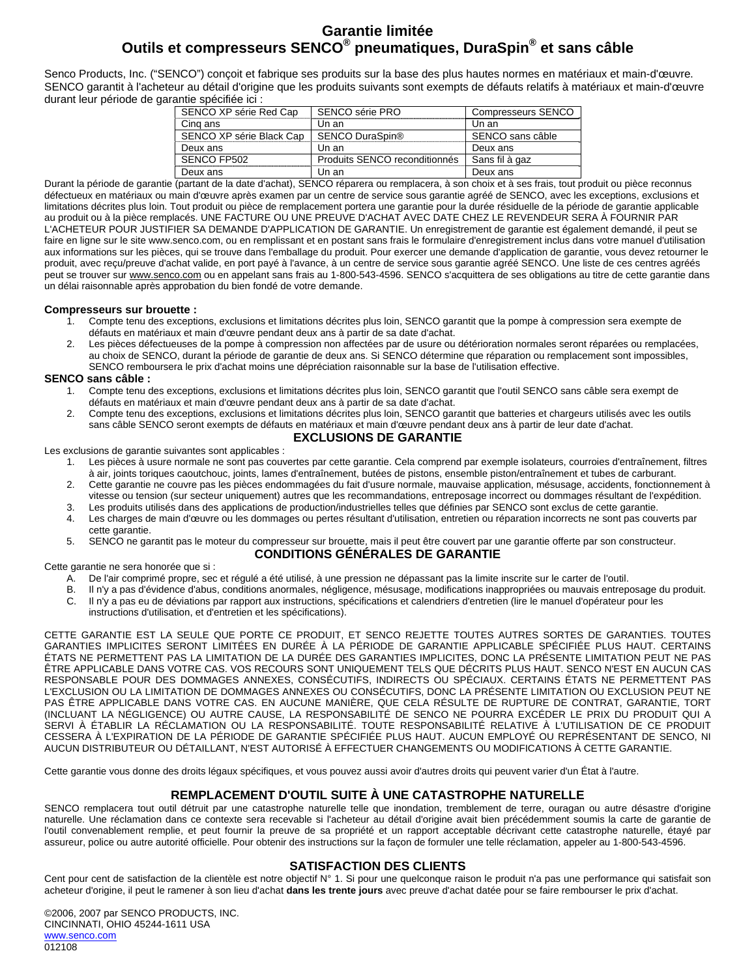#### **Garantie limitée Outils et compresseurs SENCO® pneumatiques, DuraSpin® et sans câble**

Senco Products, Inc. ("SENCO") conçoit et fabrique ses produits sur la base des plus hautes normes en matériaux et main-d'œuvre. SENCO garantit à l'acheteur au détail d'origine que les produits suivants sont exempts de défauts relatifs à matériaux et main-d'œuvre durant leur période de garantie spécifiée ici :

| SENCO série PRO               | <b>Compresseurs SENCO</b> |
|-------------------------------|---------------------------|
| Un an                         | Un an                     |
| SENCO DuraSpin®               | SENCO sans câble          |
| Un an                         | Deux ans                  |
| Produits SENCO reconditionnés | Sans fil à gaz            |
| Un an                         | Deux ans                  |
|                               |                           |

Durant la période de garantie (partant de la date d'achat), SENCO réparera ou remplacera, à son choix et à ses frais, tout produit ou pièce reconnus défectueux en matériaux ou main d'œuvre après examen par un centre de service sous garantie agréé de SENCO, avec les exceptions, exclusions et limitations décrites plus loin. Tout produit ou pièce de remplacement portera une garantie pour la durée résiduelle de la période de garantie applicable au produit ou à la pièce remplacés. UNE FACTURE OU UNE PREUVE D'ACHAT AVEC DATE CHEZ LE REVENDEUR SERA À FOURNIR PAR L'ACHETEUR POUR JUSTIFIER SA DEMANDE D'APPLICATION DE GARANTIE. Un enregistrement de garantie est également demandé, il peut se faire en ligne sur le site www.senco.com, ou en remplissant et en postant sans frais le formulaire d'enregistrement inclus dans votre manuel d'utilisation aux informations sur les pièces, qui se trouve dans l'emballage du produit. Pour exercer une demande d'application de garantie, vous devez retourner le produit, avec reçu/preuve d'achat valide, en port payé à l'avance, à un centre de service sous garantie agréé SENCO. Une liste de ces centres agréés peut se trouver sur www.senco.com ou en appelant sans frais au 1-800-543-4596. SENCO s'acquittera de ses obligations au titre de cette garantie dans un délai raisonnable après approbation du bien fondé de votre demande.

#### **Compresseurs sur brouette :**

- 1. Compte tenu des exceptions, exclusions et limitations décrites plus loin, SENCO garantit que la pompe à compression sera exempte de défauts en matériaux et main d'œuvre pendant deux ans à partir de sa date d'achat.
- 2. Les pièces défectueuses de la pompe à compression non affectées par de usure ou détérioration normales seront réparées ou remplacées, au choix de SENCO, durant la période de garantie de deux ans. Si SENCO détermine que réparation ou remplacement sont impossibles, SENCO remboursera le prix d'achat moins une dépréciation raisonnable sur la base de l'utilisation effective.

#### **SENCO sans câble :**

- 1. Compte tenu des exceptions, exclusions et limitations décrites plus loin, SENCO garantit que l'outil SENCO sans câble sera exempt de défauts en matériaux et main d'œuvre pendant deux ans à partir de sa date d'achat.
- 2. Compte tenu des exceptions, exclusions et limitations décrites plus loin, SENCO garantit que batteries et chargeurs utilisés avec les outils sans câble SENCO seront exempts de défauts en matériaux et main d'œuvre pendant deux ans à partir de leur date d'achat.

#### **EXCLUSIONS DE GARANTIE**

Les exclusions de garantie suivantes sont applicables :

- 1. Les pièces à usure normale ne sont pas couvertes par cette garantie. Cela comprend par exemple isolateurs, courroies d'entraînement, filtres à air, joints toriques caoutchouc, joints, lames d'entraînement, butées de pistons, ensemble piston/entraînement et tubes de carburant.
- 2. Cette garantie ne couvre pas les pièces endommagées du fait d'usure normale, mauvaise application, mésusage, accidents, fonctionnement à vitesse ou tension (sur secteur uniquement) autres que les recommandations, entreposage incorrect ou dommages résultant de l'expédition.
- 3. Les produits utilisés dans des applications de production/industrielles telles que définies par SENCO sont exclus de cette garantie. 4. Les charges de main d'œuvre ou les dommages ou pertes résultant d'utilisation, entretien ou réparation incorrects ne sont pas couverts par
- cette garantie. 5. SENCO ne garantit pas le moteur du compresseur sur brouette, mais il peut être couvert par une garantie offerte par son constructeur. **CONDITIONS GÉNÉRALES DE GARANTIE**

#### Cette garantie ne sera honorée que si :

- A. De l'air comprimé propre, sec et régulé a été utilisé, à une pression ne dépassant pas la limite inscrite sur le carter de l'outil.
- B. Il n'y a pas d'évidence d'abus, conditions anormales, négligence, mésusage, modifications inappropriées ou mauvais entreposage du produit.
- C. Il n'y a pas eu de déviations par rapport aux instructions, spécifications et calendriers d'entretien (lire le manuel d'opérateur pour les instructions d'utilisation, et d'entretien et les spécifications).

CETTE GARANTIE EST LA SEULE QUE PORTE CE PRODUIT, ET SENCO REJETTE TOUTES AUTRES SORTES DE GARANTIES. TOUTES GARANTIES IMPLICITES SERONT LIMITÉES EN DURÉE À LA PÉRIODE DE GARANTIE APPLICABLE SPÉCIFIÉE PLUS HAUT. CERTAINS ÉTATS NE PERMETTENT PAS LA LIMITATION DE LA DURÉE DES GARANTIES IMPLICITES, DONC LA PRÉSENTE LIMITATION PEUT NE PAS ÊTRE APPLICABLE DANS VOTRE CAS. VOS RECOURS SONT UNIQUEMENT TELS QUE DÉCRITS PLUS HAUT. SENCO N'EST EN AUCUN CAS RESPONSABLE POUR DES DOMMAGES ANNEXES, CONSÉCUTIFS, INDIRECTS OU SPÉCIAUX. CERTAINS ÉTATS NE PERMETTENT PAS L'EXCLUSION OU LA LIMITATION DE DOMMAGES ANNEXES OU CONSÉCUTIFS, DONC LA PRÉSENTE LIMITATION OU EXCLUSION PEUT NE PAS ÊTRE APPLICABLE DANS VOTRE CAS. EN AUCUNE MANIÈRE, QUE CELA RÉSULTE DE RUPTURE DE CONTRAT, GARANTIE, TORT (INCLUANT LA NÉGLIGENCE) OU AUTRE CAUSE, LA RESPONSABILITÉ DE SENCO NE POURRA EXCÉDER LE PRIX DU PRODUIT QUI A SERVI À ÉTABLIR LA RÉCLAMATION OU LA RESPONSABILITÉ. TOUTE RESPONSABILITÉ RELATIVE À L'UTILISATION DE CE PRODUIT CESSERA À L'EXPIRATION DE LA PÉRIODE DE GARANTIE SPÉCIFIÉE PLUS HAUT. AUCUN EMPLOYÉ OU REPRÉSENTANT DE SENCO, NI AUCUN DISTRIBUTEUR OU DÉTAILLANT, N'EST AUTORISÉ À EFFECTUER CHANGEMENTS OU MODIFICATIONS À CETTE GARANTIE.

Cette garantie vous donne des droits légaux spécifiques, et vous pouvez aussi avoir d'autres droits qui peuvent varier d'un État à l'autre.

#### **REMPLACEMENT D'OUTIL SUITE À UNE CATASTROPHE NATURELLE**

SENCO remplacera tout outil détruit par une catastrophe naturelle telle que inondation, tremblement de terre, ouragan ou autre désastre d'origine naturelle. Une réclamation dans ce contexte sera recevable si l'acheteur au détail d'origine avait bien précédemment soumis la carte de garantie de l'outil convenablement remplie, et peut fournir la preuve de sa propriété et un rapport acceptable décrivant cette catastrophe naturelle, étayé par assureur, police ou autre autorité officielle. Pour obtenir des instructions sur la façon de formuler une telle réclamation, appeler au 1-800-543-4596.

#### **SATISFACTION DES CLIENTS**

Cent pour cent de satisfaction de la clientèle est notre objectif N° 1. Si pour une quelconque raison le produit n'a pas une performance qui satisfait son acheteur d'origine, il peut le ramener à son lieu d'achat **dans les trente jours** avec preuve d'achat datée pour se faire rembourser le prix d'achat.

©2006, 2007 par SENCO PRODUCTS, INC. CINCINNATI, OHIO 45244-1611 USA www.senco.com 012108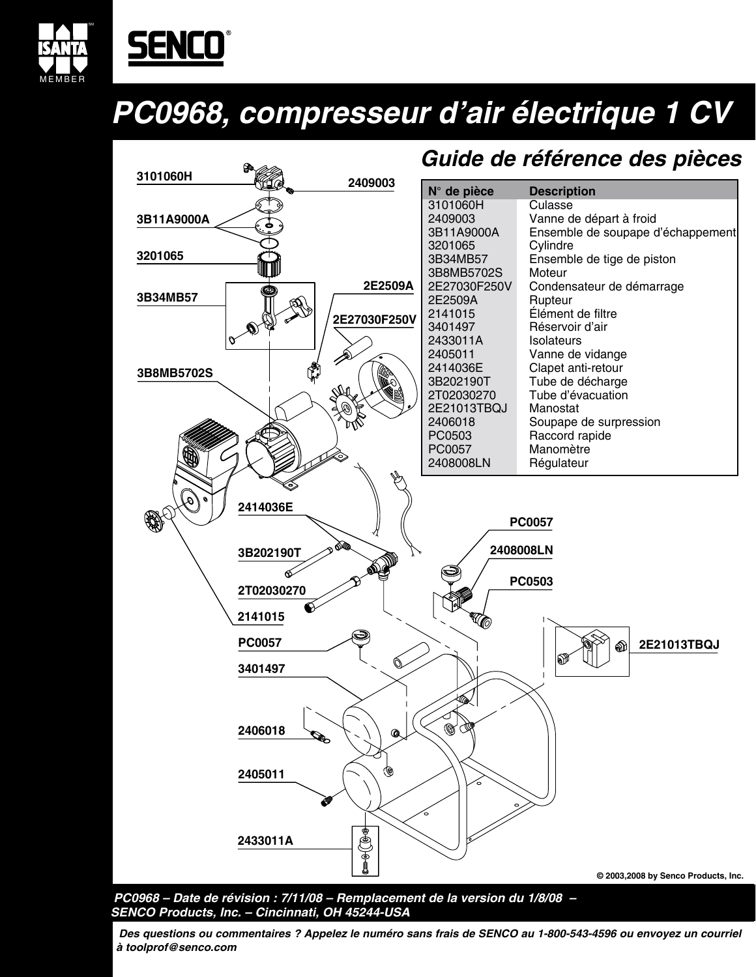

# <u>SENCO</u>

## *PC0968, compresseur d'air électrique 1 CV*



**PC0968 – Date de révision : 7/11/08 – Remplacement de la version du 1/8/08 – SENCO Products, Inc. – Cincinnati, OH 45244-USA**

**Des questions ou commentaires ? Appelez le numéro sans frais de SENCO au 1-800-543-4596 ou envoyez un courriel à toolprof@senco.com**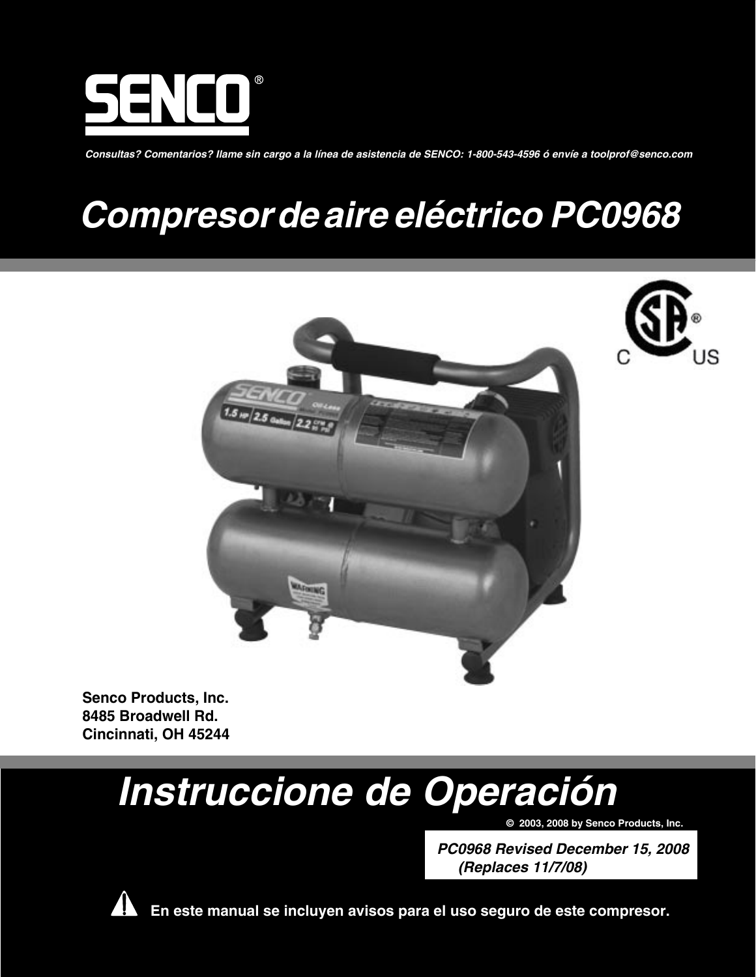

**Consultas? Comentarios? Ilame sin cargo a la línea de asistencia de SENCO: 1-800-543-4596 ó envíe a toolprof@senco.com**

## **Compresor deaire eléctrico PC0968**





**Senco Products, Inc. 8485 Broadwell Rd. Cincinnati, OH 45244**

# **Instruccione de Operación**

**© 2003, 2008 by Senco Products, Inc.**

**PC0968 Revised December 15, 2008 (Replaces 11/7/08)**



 **En este manual se incluyen avisos para el uso seguro de este compresor.**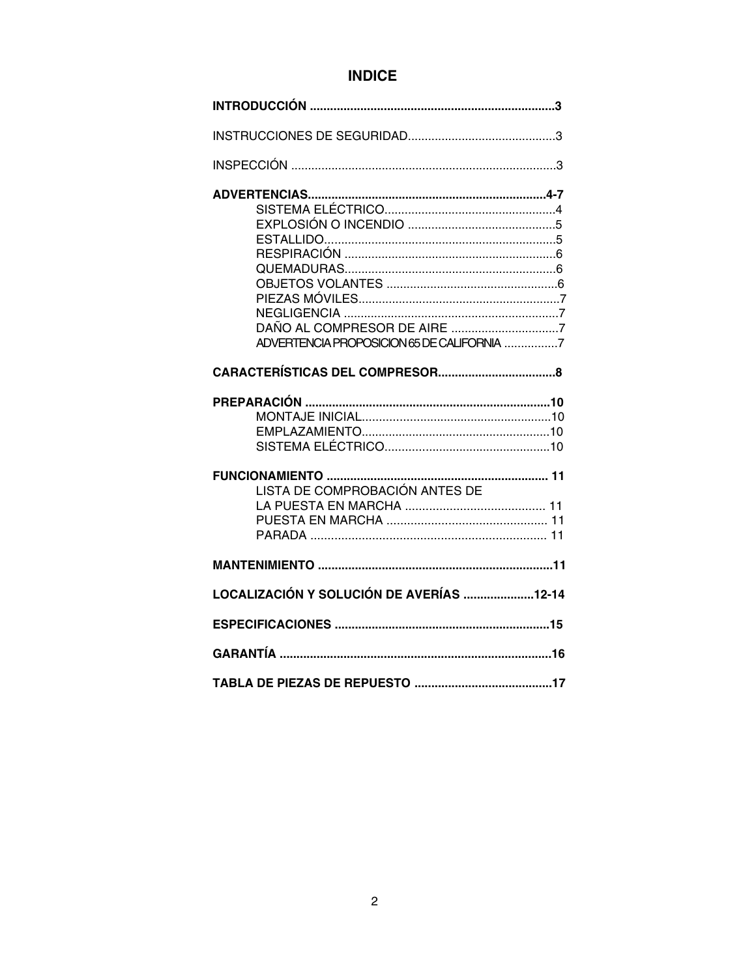## **INDICE**

| ADVERTENCIA PROPOSICION 65 DE CALIFORNIA 7 |  |
|--------------------------------------------|--|
|                                            |  |
|                                            |  |
| LISTA DE COMPROBACIÓN ANTES DE             |  |
|                                            |  |
| LOCALIZACIÓN Y SOLUCIÓN DE AVERÍAS 12-14   |  |
|                                            |  |
|                                            |  |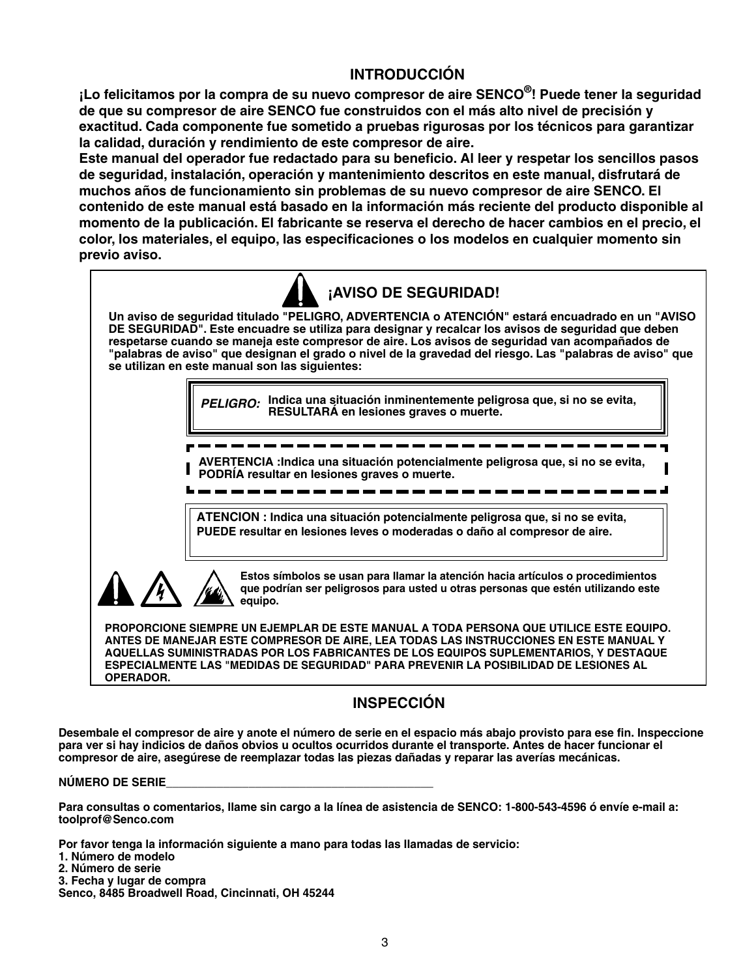## **INTRODUCCIÓN**

**¡Lo felicitamos por la compra de su nuevo compresor de aire SENCO®! Puede tener la seguridad de que su compresor de aire SENCO fue construidos con el más alto nivel de precisión y exactitud. Cada componente fue sometido a pruebas rigurosas por los técnicos para garantizar la calidad, duración y rendimiento de este compresor de aire.**

**Este manual del operador fue redactado para su beneficio. Al leer y respetar los sencillos pasos de seguridad, instalación, operación y mantenimiento descritos en este manual, disfrutará de muchos años de funcionamiento sin problemas de su nuevo compresor de aire SENCO. El contenido de este manual está basado en la información más reciente del producto disponible al momento de la publicación. El fabricante se reserva el derecho de hacer cambios en el precio, el color, los materiales, el equipo, las especificaciones o los modelos en cualquier momento sin previo aviso.**



**OPERADOR.** 

## **INSPECCIÓN**

**Desembale el compresor de aire y anote el número de serie en el espacio más abajo provisto para ese fin. Inspeccione para ver si hay indicios de daños obvios u ocultos ocurridos durante el transporte. Antes de hacer funcionar el compresor de aire, asegúrese de reemplazar todas las piezas dañadas y reparar las averías mecánicas.** 

#### **NÚMERO DE SERIE\_\_\_\_\_\_\_\_\_\_\_\_\_\_\_\_\_\_\_\_\_\_\_\_\_\_\_\_\_\_\_\_\_\_\_\_\_\_\_\_\_\_**

**Para consultas o comentarios, llame sin cargo a la línea de asistencia de SENCO: 1-800-543-4596 ó envíe e-mail a: toolprof@Senco.com**

**Por favor tenga la información siguiente a mano para todas las llamadas de servicio:**

- **1. Número de modelo**
- **2. Número de serie**
- **3. Fecha y lugar de compra**

**Senco, 8485 Broadwell Road, Cincinnati, OH 45244**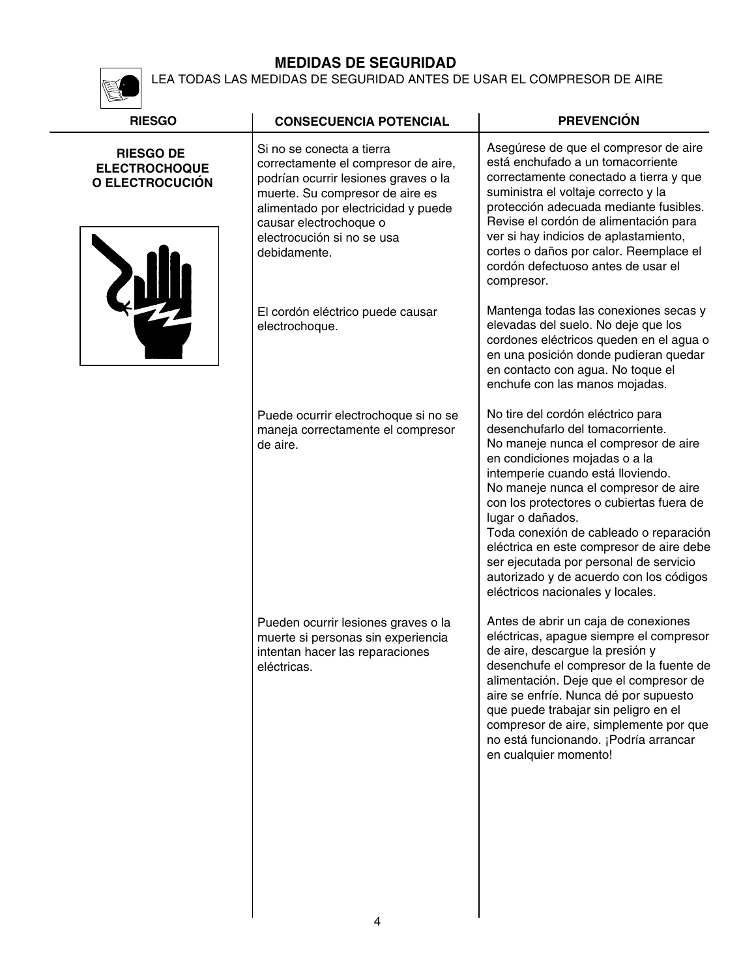K

LEA TODAS LAS MEDIDAS DE SEGURIDAD ANTES DE USAR EL COMPRESOR DE AIRE

| <b>RIESGO</b>                                               | <b>CONSECUENCIA POTENCIAL</b>                                                                                                                                                                                                                              | <b>PREVENCIÓN</b>                                                                                                                                                                                                                                                                                                                                                                                                                                                                                          |
|-------------------------------------------------------------|------------------------------------------------------------------------------------------------------------------------------------------------------------------------------------------------------------------------------------------------------------|------------------------------------------------------------------------------------------------------------------------------------------------------------------------------------------------------------------------------------------------------------------------------------------------------------------------------------------------------------------------------------------------------------------------------------------------------------------------------------------------------------|
| <b>RIESGO DE</b><br><b>ELECTROCHOQUE</b><br>O ELECTROCUCIÓN | Si no se conecta a tierra<br>correctamente el compresor de aire,<br>podrían ocurrir lesiones graves o la<br>muerte. Su compresor de aire es<br>alimentado por electricidad y puede<br>causar electrochoque o<br>electrocución si no se usa<br>debidamente. | Asegúrese de que el compresor de aire<br>está enchufado a un tomacorriente<br>correctamente conectado a tierra y que<br>suministra el voltaje correcto y la<br>protección adecuada mediante fusibles.<br>Revise el cordón de alimentación para<br>ver si hay indicios de aplastamiento,<br>cortes o daños por calor. Reemplace el<br>cordón defectuoso antes de usar el<br>compresor.                                                                                                                      |
|                                                             | El cordón eléctrico puede causar<br>electrochoque.                                                                                                                                                                                                         | Mantenga todas las conexiones secas y<br>elevadas del suelo. No deje que los<br>cordones eléctricos queden en el agua o<br>en una posición donde pudieran quedar<br>en contacto con agua. No toque el<br>enchufe con las manos mojadas.                                                                                                                                                                                                                                                                    |
|                                                             | Puede ocurrir electrochoque si no se<br>maneja correctamente el compresor<br>de aire.                                                                                                                                                                      | No tire del cordón eléctrico para<br>desenchufarlo del tomacorriente.<br>No maneje nunca el compresor de aire<br>en condiciones mojadas o a la<br>intemperie cuando está lloviendo.<br>No maneje nunca el compresor de aire<br>con los protectores o cubiertas fuera de<br>lugar o dañados.<br>Toda conexión de cableado o reparación<br>eléctrica en este compresor de aire debe<br>ser ejecutada por personal de servicio<br>autorizado y de acuerdo con los códigos<br>eléctricos nacionales y locales. |
|                                                             | Pueden ocurrir lesiones graves o la<br>muerte si personas sin experiencia<br>intentan hacer las reparaciones<br>eléctricas.                                                                                                                                | Antes de abrir un caja de conexiones<br>eléctricas, apague siempre el compresor<br>de aire, descargue la presión y<br>desenchufe el compresor de la fuente de<br>alimentación. Deje que el compresor de<br>aire se enfríe. Nunca dé por supuesto<br>que puede trabajar sin peligro en el<br>compresor de aire, simplemente por que<br>no está funcionando. ¡Podría arrancar<br>en cualquier momento!                                                                                                       |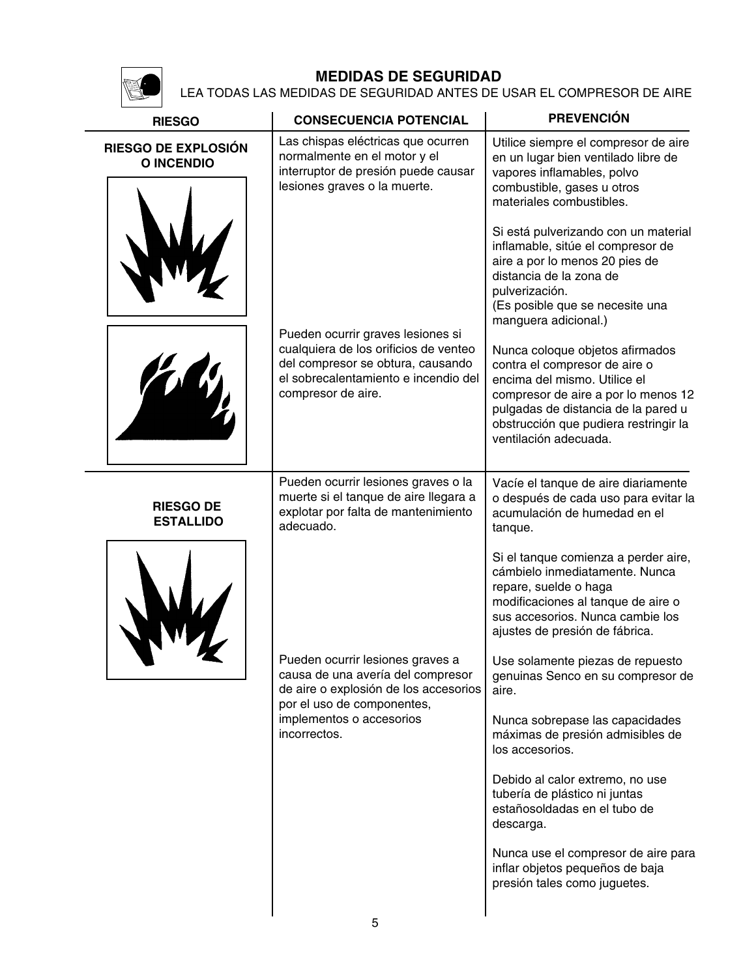

LEA TODAS LAS MEDIDAS DE SEGURIDAD ANTES DE USAR EL COMPRESOR DE AIRE

| <b>RIESGO</b>                            | <b>CONSECUENCIA POTENCIAL</b>                                                                                                                                                 | <b>PREVENCIÓN</b>                                                                                                                                                                                                                                |
|------------------------------------------|-------------------------------------------------------------------------------------------------------------------------------------------------------------------------------|--------------------------------------------------------------------------------------------------------------------------------------------------------------------------------------------------------------------------------------------------|
| RIESGO DE EXPLOSIÓN<br><b>O INCENDIO</b> | Las chispas eléctricas que ocurren<br>normalmente en el motor y el<br>interruptor de presión puede causar<br>lesiones graves o la muerte.                                     | Utilice siempre el compresor de aire<br>en un lugar bien ventilado libre de<br>vapores inflamables, polvo<br>combustible, gases u otros<br>materiales combustibles.                                                                              |
|                                          |                                                                                                                                                                               | Si está pulverizando con un material<br>inflamable, sitúe el compresor de<br>aire a por lo menos 20 pies de<br>distancia de la zona de<br>pulverización.<br>(Es posible que se necesite una<br>manguera adicional.)                              |
|                                          | Pueden ocurrir graves lesiones si<br>cualquiera de los orificios de venteo<br>del compresor se obtura, causando<br>el sobrecalentamiento e incendio del<br>compresor de aire. | Nunca coloque objetos afirmados<br>contra el compresor de aire o<br>encima del mismo. Utilice el<br>compresor de aire a por lo menos 12<br>pulgadas de distancia de la pared u<br>obstrucción que pudiera restringir la<br>ventilación adecuada. |
| <b>RIESGO DE</b><br><b>ESTALLIDO</b>     | Pueden ocurrir lesiones graves o la<br>muerte si el tanque de aire llegara a<br>explotar por falta de mantenimiento<br>adecuado.                                              | Vacíe el tanque de aire diariamente<br>o después de cada uso para evitar la<br>acumulación de humedad en el<br>tanque.                                                                                                                           |
|                                          |                                                                                                                                                                               | Si el tanque comienza a perder aire,<br>cámbielo inmediatamente. Nunca<br>repare, suelde o haga<br>modificaciones al tanque de aire o<br>sus accesorios. Nunca cambie los<br>ajustes de presión de fábrica.                                      |
|                                          | Pueden ocurrir lesiones graves a<br>causa de una avería del compresor<br>de aire o explosión de los accesorios<br>por el uso de componentes,                                  | Use solamente piezas de repuesto<br>genuinas Senco en su compresor de<br>aire.                                                                                                                                                                   |
|                                          | implementos o accesorios<br>incorrectos.                                                                                                                                      | Nunca sobrepase las capacidades<br>máximas de presión admisibles de<br>los accesorios.                                                                                                                                                           |
|                                          |                                                                                                                                                                               | Debido al calor extremo, no use<br>tubería de plástico ni juntas<br>estañosoldadas en el tubo de<br>descarga.                                                                                                                                    |
|                                          |                                                                                                                                                                               | Nunca use el compresor de aire para<br>inflar objetos pequeños de baja<br>presión tales como juguetes.                                                                                                                                           |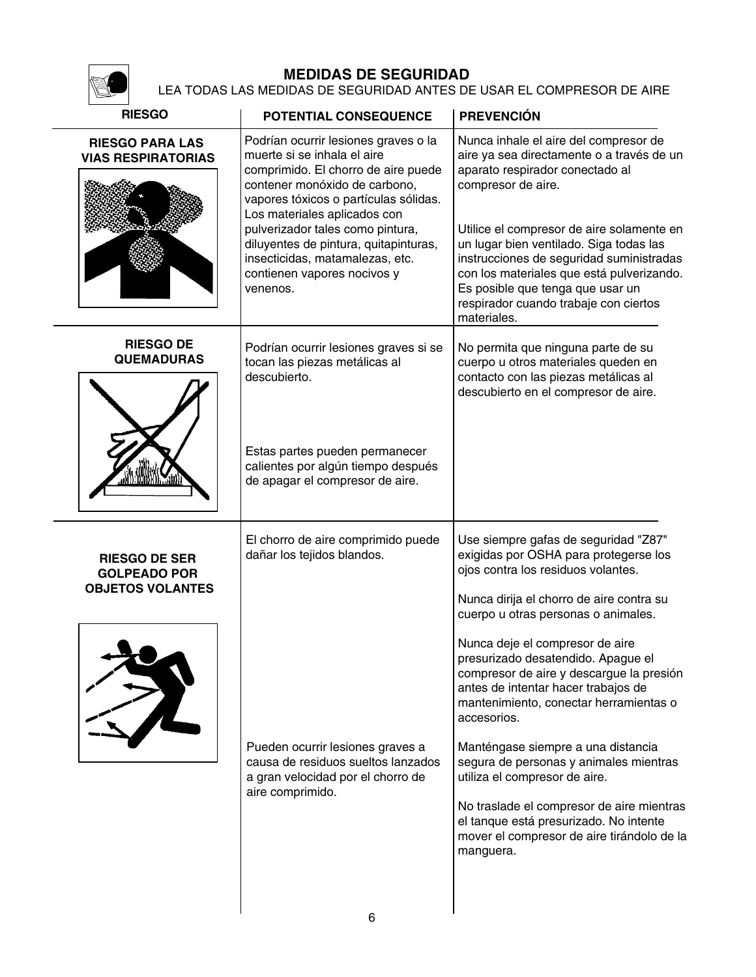

### LEA TODAS LAS MEDIDAS DE SEGURIDAD ANTES DE USAR EL COMPRESOR DE AIRE

| <b>RIESGO</b><br>POTENTIAL CONSEQUENCE                                 |                                                                                                                                                                                                                                                                                                                                                                                 | <b>PREVENCIÓN</b>                                                                                                                                                                                                                                                                                                                                                                                                        |
|------------------------------------------------------------------------|---------------------------------------------------------------------------------------------------------------------------------------------------------------------------------------------------------------------------------------------------------------------------------------------------------------------------------------------------------------------------------|--------------------------------------------------------------------------------------------------------------------------------------------------------------------------------------------------------------------------------------------------------------------------------------------------------------------------------------------------------------------------------------------------------------------------|
| <b>RIESGO PARA LAS</b><br><b>VIAS RESPIRATORIAS</b>                    | Podrían ocurrir lesiones graves o la<br>muerte si se inhala el aire<br>comprimido. El chorro de aire puede<br>contener monóxido de carbono,<br>vapores tóxicos o partículas sólidas.<br>Los materiales aplicados con<br>pulverizador tales como pintura,<br>diluyentes de pintura, quitapinturas,<br>insecticidas, matamalezas, etc.<br>contienen vapores nocivos y<br>venenos. | Nunca inhale el aire del compresor de<br>aire ya sea directamente o a través de un<br>aparato respirador conectado al<br>compresor de aire.<br>Utilice el compresor de aire solamente en<br>un lugar bien ventilado. Siga todas las<br>instrucciones de seguridad suministradas<br>con los materiales que está pulverizando.<br>Es posible que tenga que usar un<br>respirador cuando trabaje con ciertos<br>materiales. |
| <b>RIESGO DE</b><br><b>QUEMADURAS</b>                                  | Podrían ocurrir lesiones graves si se<br>tocan las piezas metálicas al<br>descubierto.                                                                                                                                                                                                                                                                                          | No permita que ninguna parte de su<br>cuerpo u otros materiales queden en<br>contacto con las piezas metálicas al<br>descubierto en el compresor de aire.                                                                                                                                                                                                                                                                |
| maa am                                                                 | Estas partes pueden permanecer<br>calientes por algún tiempo después<br>de apagar el compresor de aire.                                                                                                                                                                                                                                                                         |                                                                                                                                                                                                                                                                                                                                                                                                                          |
| <b>RIESGO DE SER</b><br><b>GOLPEADO POR</b><br><b>OBJETOS VOLANTES</b> | El chorro de aire comprimido puede<br>dañar los tejidos blandos.                                                                                                                                                                                                                                                                                                                | Use siempre gafas de seguridad "Z87"<br>exigidas por OSHA para protegerse los<br>ojos contra los residuos volantes.<br>Nunca dirija el chorro de aire contra su<br>cuerpo u otras personas o animales.                                                                                                                                                                                                                   |
|                                                                        |                                                                                                                                                                                                                                                                                                                                                                                 | Nunca deje el compresor de aire<br>presurizado desatendido. Apague el<br>compresor de aire y descargue la presión<br>antes de intentar hacer trabajos de<br>mantenimiento, conectar herramientas o<br>accesorios.                                                                                                                                                                                                        |
|                                                                        | Pueden ocurrir lesiones graves a<br>causa de residuos sueltos lanzados<br>a gran velocidad por el chorro de<br>aire comprimido.                                                                                                                                                                                                                                                 | Manténgase siempre a una distancia<br>segura de personas y animales mientras<br>utiliza el compresor de aire.                                                                                                                                                                                                                                                                                                            |
|                                                                        |                                                                                                                                                                                                                                                                                                                                                                                 | No traslade el compresor de aire mientras<br>el tanque está presurizado. No intente<br>mover el compresor de aire tirándolo de la<br>manguera.                                                                                                                                                                                                                                                                           |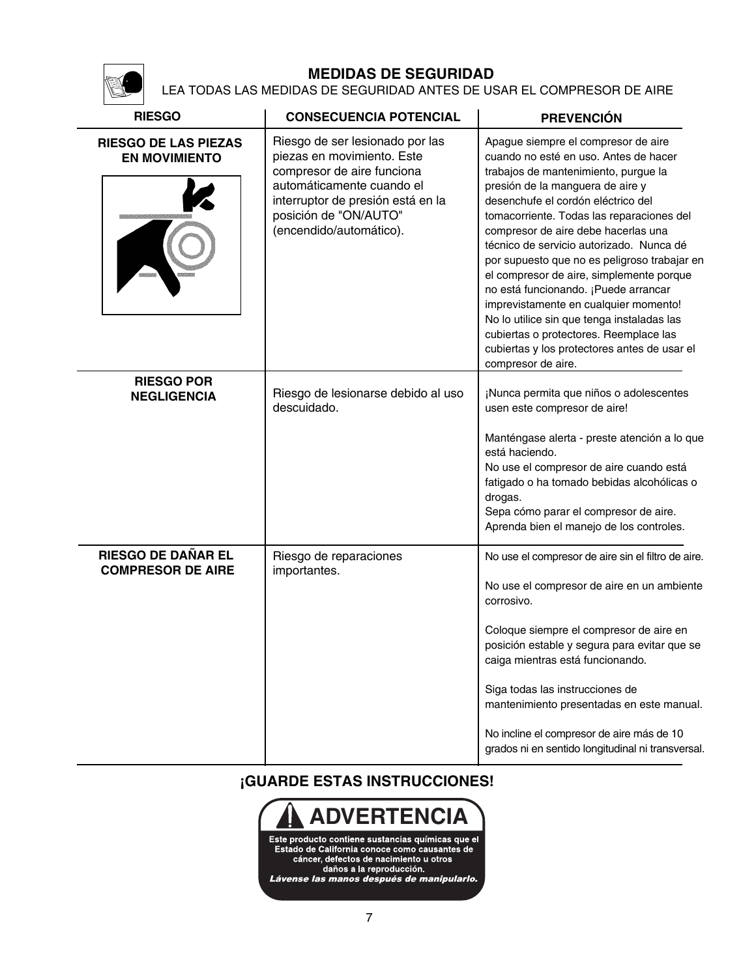LEA TODAS LAS MEDIDAS DE SEGURIDAD ANTES DE USAR EL COMPRESOR DE AIRE

| <b>RIESGO</b>                                         | <b>CONSECUENCIA POTENCIAL</b>                                                                                                                                                                                     | <b>PREVENCIÓN</b>                                                                                                                                                                                                                                                                                                                                                                                                                                                                                                                                                                                                                                                         |  |
|-------------------------------------------------------|-------------------------------------------------------------------------------------------------------------------------------------------------------------------------------------------------------------------|---------------------------------------------------------------------------------------------------------------------------------------------------------------------------------------------------------------------------------------------------------------------------------------------------------------------------------------------------------------------------------------------------------------------------------------------------------------------------------------------------------------------------------------------------------------------------------------------------------------------------------------------------------------------------|--|
| <b>RIESGO DE LAS PIEZAS</b><br><b>EN MOVIMIENTO</b>   | Riesgo de ser lesionado por las<br>piezas en movimiento. Este<br>compresor de aire funciona<br>automáticamente cuando el<br>interruptor de presión está en la<br>posición de "ON/AUTO"<br>(encendido/automático). | Apague siempre el compresor de aire<br>cuando no esté en uso. Antes de hacer<br>trabajos de mantenimiento, purgue la<br>presión de la manguera de aire y<br>desenchufe el cordón eléctrico del<br>tomacorriente. Todas las reparaciones del<br>compresor de aire debe hacerlas una<br>técnico de servicio autorizado. Nunca dé<br>por supuesto que no es peligroso trabajar en<br>el compresor de aire, simplemente porque<br>no está funcionando. ¡Puede arrancar<br>imprevistamente en cualquier momento!<br>No lo utilice sin que tenga instaladas las<br>cubiertas o protectores. Reemplace las<br>cubiertas y los protectores antes de usar el<br>compresor de aire. |  |
| <b>RIESGO POR</b><br><b>NEGLIGENCIA</b>               | Riesgo de lesionarse debido al uso<br>descuidado.                                                                                                                                                                 | ¡Nunca permita que niños o adolescentes<br>usen este compresor de aire!<br>Manténgase alerta - preste atención a lo que<br>está haciendo.<br>No use el compresor de aire cuando está<br>fatigado o ha tomado bebidas alcohólicas o<br>drogas.<br>Sepa cómo parar el compresor de aire.<br>Aprenda bien el manejo de los controles.                                                                                                                                                                                                                                                                                                                                        |  |
| <b>RIESGO DE DAÑAR EL</b><br><b>COMPRESOR DE AIRE</b> | Riesgo de reparaciones<br>importantes.                                                                                                                                                                            | No use el compresor de aire sin el filtro de aire.<br>No use el compresor de aire en un ambiente<br>corrosivo.<br>Coloque siempre el compresor de aire en<br>posición estable y segura para evitar que se<br>caiga mientras está funcionando.<br>Siga todas las instrucciones de<br>mantenimiento presentadas en este manual.<br>No incline el compresor de aire más de 10<br>grados ni en sentido longitudinal ni transversal.                                                                                                                                                                                                                                           |  |

**¡GUARDE ESTAS INSTRUCCIONES!**

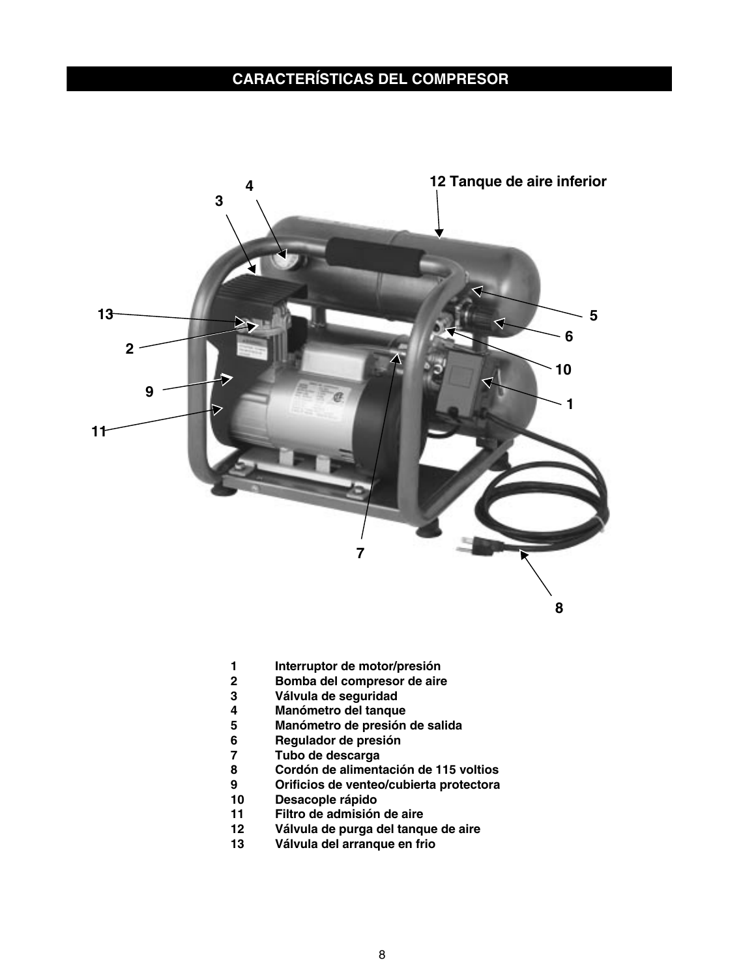## **CARACTERÍSTICAS DEL COMPRESOR**



- **1 Interruptor de motor/presión**
- **2 Bomba del compresor de aire**
- **3 Válvula de seguridad**
- **4 Manómetro del tanque**
- **5 Manómetro de presión de salida**
- **6 Regulador de presión**
- **7 Tubo de descarga**
- **8 Cordón de alimentación de 115 voltios**
- **9 Orificios de venteo/cubierta protectora**
- **10 Desacople rápido**
- **11 Filtro de admisión de aire**
- **12 Válvula de purga del tanque de aire**
- **13 Válvula del arranque en frio**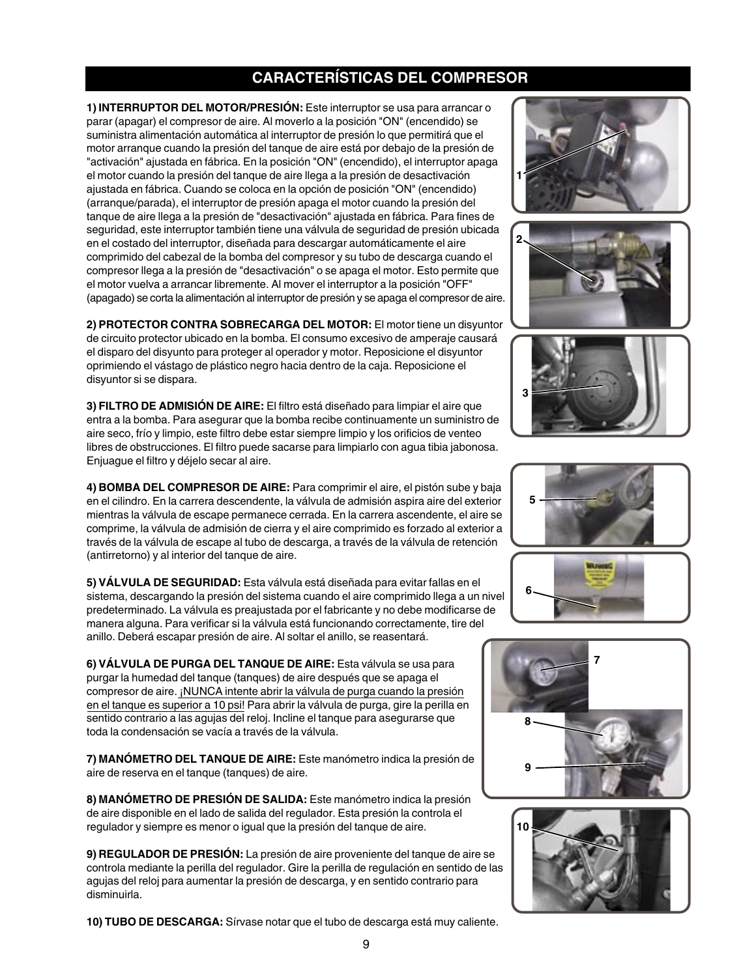## **CARACTERÍSTICAS DEL COMPRESOR**

**1) INTERRUPTOR DEL MOTOR/PRESIÓN:** Este interruptor se usa para arrancar o parar (apagar) el compresor de aire. Al moverlo a la posición "ON" (encendido) se suministra alimentación automática al interruptor de presión lo que permitirá que el motor arranque cuando la presión del tanque de aire está por debajo de la presión de "activación" ajustada en fábrica. En la posición "ON" (encendido), el interruptor apaga el motor cuando la presión del tanque de aire llega a la presión de desactivación ajustada en fábrica. Cuando se coloca en la opción de posición "ON" (encendido) (arranque/parada), el interruptor de presión apaga el motor cuando la presión del tanque de aire llega a la presión de "desactivación" ajustada en fábrica. Para fines de seguridad, este interruptor también tiene una válvula de seguridad de presión ubicada en el costado del interruptor, diseñada para descargar automáticamente el aire comprimido del cabezal de la bomba del compresor y su tubo de descarga cuando el compresor llega a la presión de "desactivación" o se apaga el motor. Esto permite que el motor vuelva a arrancar libremente. Al mover el interruptor a la posición "OFF" (apagado) se corta la alimentación al interruptor de presión y se apaga el compresor de aire.

**2) PROTECTOR CONTRA SOBRECARGA DEL MOTOR:** El motor tiene un disyuntor de circuito protector ubicado en la bomba. El consumo excesivo de amperaje causará el disparo del disyunto para proteger al operador y motor. Reposicione el disyuntor oprimiendo el vástago de plástico negro hacia dentro de la caja. Reposicione el disyuntor si se dispara.

**3) FILTRO DE ADMISIÓN DE AIRE:** El filtro está diseñado para limpiar el aire que entra a la bomba. Para asegurar que la bomba recibe continuamente un suministro de aire seco, frío y limpio, este filtro debe estar siempre limpio y los orificios de venteo libres de obstrucciones. El filtro puede sacarse para limpiarlo con agua tibia jabonosa. Enjuague el filtro y déjelo secar al aire.

**4) BOMBA DEL COMPRESOR DE AIRE:** Para comprimir el aire, el pistón sube y baja en el cilindro. En la carrera descendente, la válvula de admisión aspira aire del exterior mientras la válvula de escape permanece cerrada. En la carrera ascendente, el aire se comprime, la válvula de admisión de cierra y el aire comprimido es forzado al exterior a través de la válvula de escape al tubo de descarga, a través de la válvula de retención (antirretorno) y al interior del tanque de aire.

**5) VÁLVULA DE SEGURIDAD:** Esta válvula está diseñada para evitar fallas en el sistema, descargando la presión del sistema cuando el aire comprimido llega a un nivel predeterminado. La válvula es preajustada por el fabricante y no debe modificarse de manera alguna. Para verificar si la válvula está funcionando correctamente, tire del anillo. Deberá escapar presión de aire. Al soltar el anillo, se reasentará.

**6) VÁLVULA DE PURGA DEL TANQUE DE AIRE:** Esta válvula se usa para purgar la humedad del tanque (tanques) de aire después que se apaga el compresor de aire. ¡NUNCA intente abrir la válvula de purga cuando la presión en el tanque es superior a 10 psi! Para abrir la válvula de purga, gire la perilla en sentido contrario a las agujas del reloj. Incline el tanque para asegurarse que toda la condensación se vacía a través de la válvula.

**7) MANÓMETRO DEL TANQUE DE AIRE:** Este manómetro indica la presión de aire de reserva en el tanque (tanques) de aire.

**8) MANÓMETRO DE PRESIÓN DE SALIDA:** Este manómetro indica la presión de aire disponible en el lado de salida del regulador. Esta presión la controla el regulador y siempre es menor o igual que la presión del tanque de aire.

**9) REGULADOR DE PRESIÓN:** La presión de aire proveniente del tanque de aire se controla mediante la perilla del regulador. Gire la perilla de regulación en sentido de las agujas del reloj para aumentar la presión de descarga, y en sentido contrario para disminuirla.

**10) TUBO DE DESCARGA:** Sírvase notar que el tubo de descarga está muy caliente.













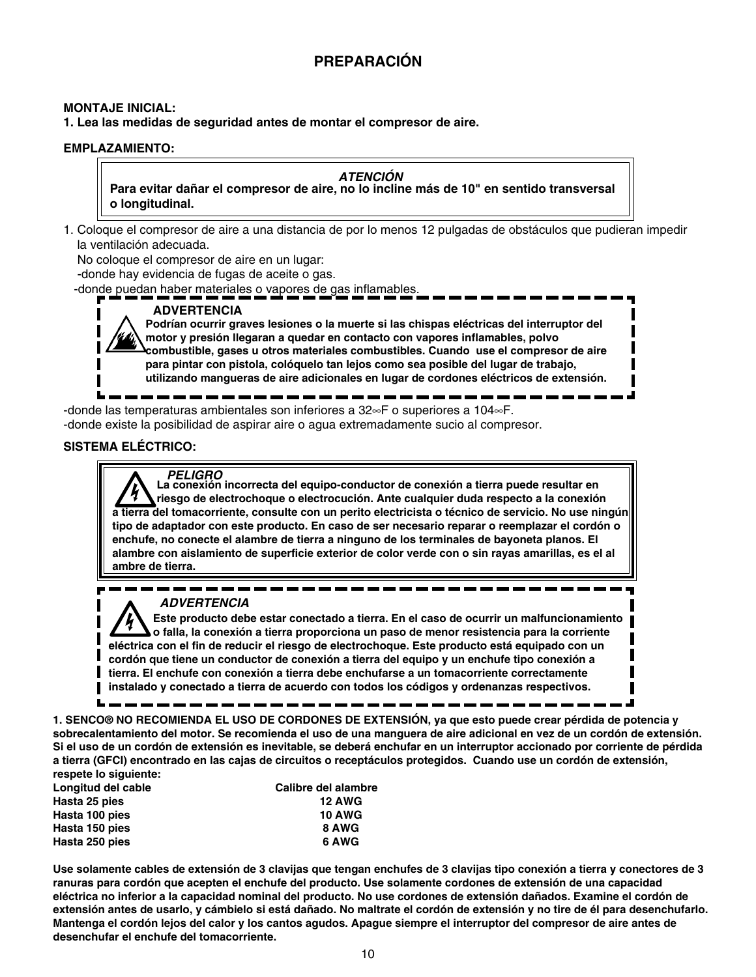## **PREPARACIÓN**

#### **MONTAJE INICIAL:**

**1. Lea las medidas de seguridad antes de montar el compresor de aire.**

#### **EMPLAZAMIENTO:**

#### **ATENCIÓN**

**Para evitar dañar el compresor de aire, no lo incline más de 10" en sentido transversal o longitudinal.**

1. Coloque el compresor de aire a una distancia de por lo menos 12 pulgadas de obstáculos que pudieran impedir la ventilación adecuada.

No coloque el compresor de aire en un lugar:

-donde hay evidencia de fugas de aceite o gas.

-donde puedan haber materiales o vapores de gas inflamables.

## **ADVERTENCIA**

**Podrían ocurrir graves lesiones o la muerte si las chispas eléctricas del interruptor del motor y presión llegaran a quedar en contacto con vapores inflamables, polvo combustible, gases u otros materiales combustibles. Cuando use el compresor de aire para pintar con pistola, colóquelo tan lejos como sea posible del lugar de trabajo, utilizando mangueras de aire adicionales en lugar de cordones eléctricos de extensión.**

-donde las temperaturas ambientales son inferiores a 32∞F o superiores a 104∞F. -donde existe la posibilidad de aspirar aire o agua extremadamente sucio al compresor.

#### **SISTEMA ELÉCTRICO:**

п

**PELIGRO La conexión incorrecta del equipo-conductor de conexión a tierra puede resultar en riesgo de electrochoque o electrocución. Ante cualquier duda respecto a la conexión a tierra del tomacorriente, consulte con un perito electricista o técnico de servicio. No use ningún tipo de adaptador con este producto. En caso de ser necesario reparar o reemplazar el cordón o enchufe, no conecte el alambre de tierra a ninguno de los terminales de bayoneta planos. El alambre con aislamiento de superficie exterior de color verde con o sin rayas amarillas, es el al ambre de tierra.**

#### **ADVERTENCIA**

**Este producto debe estar conectado a tierra. En el caso de ocurrir un malfuncionamiento o falla, la conexión a tierra proporciona un paso de menor resistencia para la corriente eléctrica con el fin de reducir el riesgo de electrochoque. Este producto está equipado con un cordón que tiene un conductor de conexión a tierra del equipo y un enchufe tipo conexión a tierra. El enchufe con conexión a tierra debe enchufarse a un tomacorriente correctamente instalado y conectado a tierra de acuerdo con todos los códigos y ordenanzas respectivos.**

**1. SENCO® NO RECOMIENDA EL USO DE CORDONES DE EXTENSIÓN, ya que esto puede crear pérdida de potencia y sobrecalentamiento del motor. Se recomienda el uso de una manguera de aire adicional en vez de un cordón de extensión. Si el uso de un cordón de extensión es inevitable, se deberá enchufar en un interruptor accionado por corriente de pérdida a tierra (GFCI) encontrado en las cajas de circuitos o receptáculos protegidos. Cuando use un cordón de extensión, respete lo siguiente:**

| Longitud del cable | Calibre del alambre |
|--------------------|---------------------|
| Hasta 25 pies      | <b>12 AWG</b>       |
| Hasta 100 pies     | <b>10 AWG</b>       |
| Hasta 150 pies     | 8 AWG               |
| Hasta 250 pies     | 6 AWG               |

**Use solamente cables de extensión de 3 clavijas que tengan enchufes de 3 clavijas tipo conexión a tierra y conectores de 3 ranuras para cordón que acepten el enchufe del producto. Use solamente cordones de extensión de una capacidad eléctrica no inferior a la capacidad nominal del producto. No use cordones de extensión dañados. Examine el cordón de extensión antes de usarlo, y cámbielo si está dañado. No maltrate el cordón de extensión y no tire de él para desenchufarlo. Mantenga el cordón lejos del calor y los cantos agudos. Apague siempre el interruptor del compresor de aire antes de desenchufar el enchufe del tomacorriente.**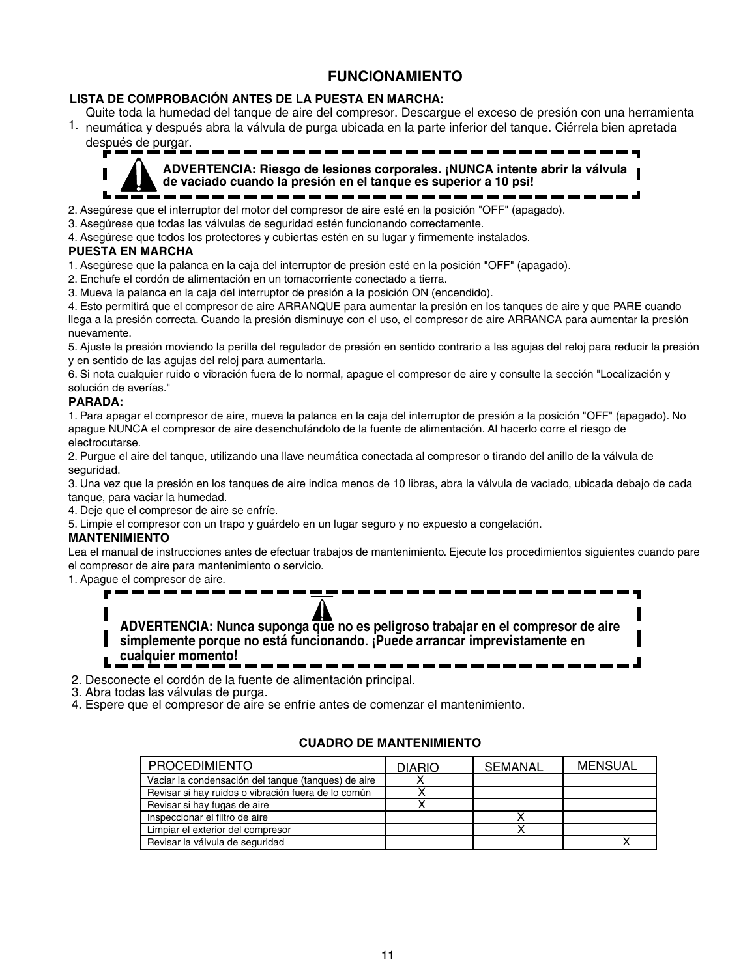## **FUNCIONAMIENTO**

#### **LISTA DE COMPROBACIÓN ANTES DE LA PUESTA EN MARCHA:**

1. neumática y después abra la válvula de purga ubicada en la parte inferior del tanque. Ciérrela bien apretada Quite toda la humedad del tanque de aire del compresor. Descargue el exceso de presión con una herramienta

después de purgar.



**ADVERTENCIA: Riesgo de lesiones corporales. ¡NUNCA intente abrir la válvula de vaciado cuando la presión en el tanque es superior a 10 psi!**

2. Asegúrese que el interruptor del motor del compresor de aire esté en la posición "OFF" (apagado).

3. Asegúrese que todas las válvulas de seguridad estén funcionando correctamente.

4. Asegúrese que todos los protectores y cubiertas estén en su lugar y firmemente instalados.

#### **PUESTA EN MARCHA**

1. Asegúrese que la palanca en la caja del interruptor de presión esté en la posición "OFF" (apagado).

- 2. Enchufe el cordón de alimentación en un tomacorriente conectado a tierra.
- 3. Mueva la palanca en la caja del interruptor de presión a la posición ON (encendido).

4. Esto permitirá que el compresor de aire ARRANQUE para aumentar la presión en los tanques de aire y que PARE cuando llega a la presión correcta. Cuando la presión disminuye con el uso, el compresor de aire ARRANCA para aumentar la presión nuevamente.

5. Ajuste la presión moviendo la perilla del regulador de presión en sentido contrario a las agujas del reloj para reducir la presión y en sentido de las agujas del reloj para aumentarla.

6. Si nota cualquier ruido o vibración fuera de lo normal, apague el compresor de aire y consulte la sección "Localización y solución de averías."

#### **PARADA:**

1. Para apagar el compresor de aire, mueva la palanca en la caja del interruptor de presión a la posición "OFF" (apagado). No apague NUNCA el compresor de aire desenchufándolo de la fuente de alimentación. Al hacerlo corre el riesgo de electrocutarse.

2. Purgue el aire del tanque, utilizando una llave neumática conectada al compresor o tirando del anillo de la válvula de seguridad.

3. Una vez que la presión en los tanques de aire indica menos de 10 libras, abra la válvula de vaciado, ubicada debajo de cada tanque, para vaciar la humedad.

4. Deje que el compresor de aire se enfríe.

5. Limpie el compresor con un trapo y guárdelo en un lugar seguro y no expuesto a congelación.

#### **MANTENIMIENTO**

Lea el manual de instrucciones antes de efectuar trabajos de mantenimiento. Ejecute los procedimientos siguientes cuando pare el compresor de aire para mantenimiento o servicio.

1. Apague el compresor de aire.

**ADVERTENCIA: Nunca suponga que no es peligroso trabajar en el compresor de aire simplemente porque no está funcionando. ¡Puede arrancar imprevistamente en cualquier momento!**

2. Desconecte el cordón de la fuente de alimentación principal.

3. Abra todas las válvulas de purga.

4. Espere que el compresor de aire se enfríe antes de comenzar el mantenimiento.

#### **CUADRO DE MANTENIMIENTO**

| <b>PROCEDIMIENTO</b>                                | <b>DIARIO</b> | SEMANAL | MENSUAL |
|-----------------------------------------------------|---------------|---------|---------|
| Vaciar la condensación del tangue (tangues) de aire |               |         |         |
| Revisar si hay ruidos o vibración fuera de lo común |               |         |         |
| Revisar si hay fugas de aire                        |               |         |         |
| Inspeccionar el filtro de aire                      |               |         |         |
| Limpiar el exterior del compresor                   |               |         |         |
| Revisar la válvula de seguridad                     |               |         |         |

֡֡֡֡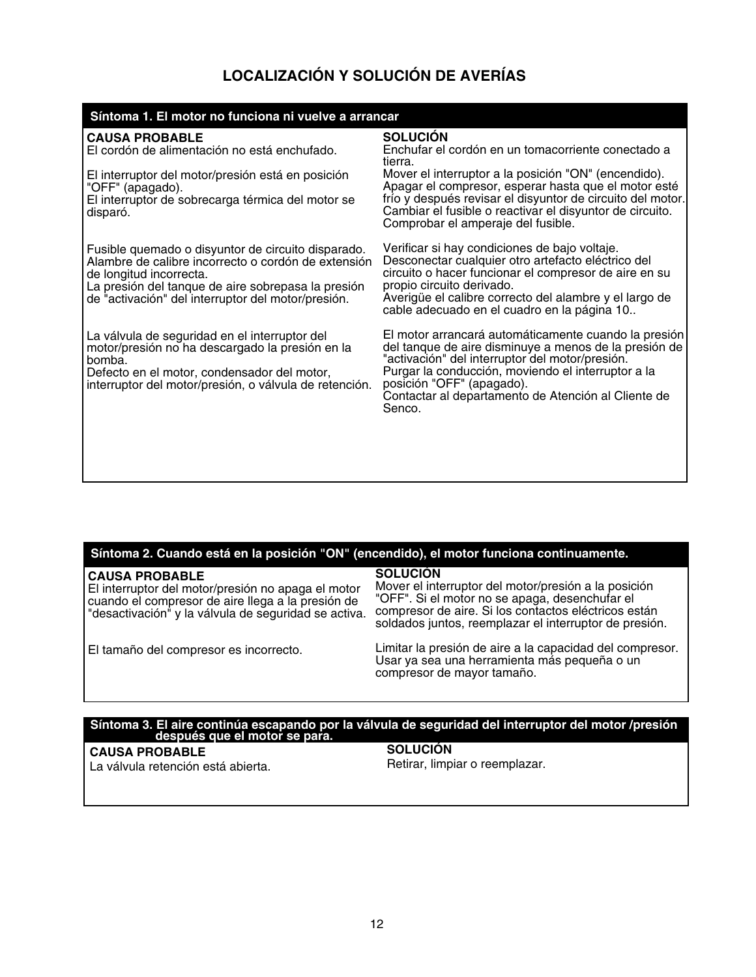## **LOCALIZACIÓN Y SOLUCIÓN DE AVERÍAS**

| Síntoma 1. El motor no funciona ni vuelve a arrancar                                                                                                                                                                                             |                                                                                                                                                                                                                                                                                                                                                                  |  |  |  |
|--------------------------------------------------------------------------------------------------------------------------------------------------------------------------------------------------------------------------------------------------|------------------------------------------------------------------------------------------------------------------------------------------------------------------------------------------------------------------------------------------------------------------------------------------------------------------------------------------------------------------|--|--|--|
| <b>CAUSA PROBABLE</b><br>El cordón de alimentación no está enchufado.<br>El interruptor del motor/presión está en posición<br>"OFF" (apagado).<br>El interruptor de sobrecarga térmica del motor se<br>disparó.                                  | <b>SOLUCIÓN</b><br>Enchufar el cordón en un tomacorriente conectado a<br>tierra.<br>Mover el interruptor a la posición "ON" (encendido).<br>Apagar el compresor, esperar hasta que el motor esté<br>frío y después revisar el disyuntor de circuito del motor.<br>Cambiar el fusible o reactivar el disyuntor de circuito.<br>Comprobar el amperaje del fusible. |  |  |  |
| Fusible quemado o disyuntor de circuito disparado.<br>Alambre de calibre incorrecto o cordón de extensión<br>de longitud incorrecta.<br>La presión del tanque de aire sobrepasa la presión<br>de "activación" del interruptor del motor/presión. | Verificar si hay condiciones de bajo voltaje.<br>Desconectar cualquier otro artefacto eléctrico del<br>circuito o hacer funcionar el compresor de aire en su<br>propio circuito derivado.<br>Averigüe el calibre correcto del alambre y el largo de<br>cable adecuado en el cuadro en la página 10.                                                              |  |  |  |
| La válvula de seguridad en el interruptor del<br>motor/presión no ha descargado la presión en la<br>l bomba.<br>Defecto en el motor, condensador del motor,<br>interruptor del motor/presión, o válvula de retención.                            | El motor arrancará automáticamente cuando la presión<br>del tanque de aire disminuye a menos de la presión de<br>"activación" del interruptor del motor/presión.<br>Purgar la conducción, moviendo el interruptor a la<br>posición "OFF" (apagado).<br>Contactar al departamento de Atención al Cliente de<br>Senco.                                             |  |  |  |

| Síntoma 2. Cuando está en la posición "ON" (encendido), el motor funciona continuamente. |  |  |
|------------------------------------------------------------------------------------------|--|--|
|                                                                                          |  |  |
|                                                                                          |  |  |
|                                                                                          |  |  |

| CAUSA PROBABLE<br>El interruptor del motor/presión no apaga el motor<br>cuando el compresor de aire llega a la presión de<br>"desactivación" y la válvula de seguridad se activa. | <b>SOLUCION</b><br>Mover el interruptor del motor/presión a la posición<br>"OFF". Si el motor no se apaga, desenchufar el<br>compresor de aire. Si los contactos eléctricos están<br>soldados juntos, reemplazar el interruptor de presión. |
|-----------------------------------------------------------------------------------------------------------------------------------------------------------------------------------|---------------------------------------------------------------------------------------------------------------------------------------------------------------------------------------------------------------------------------------------|
| El tamaño del compresor es incorrecto.                                                                                                                                            | Limitar la presión de aire a la capacidad del compresor.<br>Usar ya sea una herramienta más pequeña o un<br>compresor de mayor tamaño.                                                                                                      |

## **Síntoma 3. El aire continúa escapando por la válvula de seguridad del interruptor del motor /presión después que el motor se para.**

**CAUSA PROBABLE**

**SOLUCIÓN** Retirar, limpiar o reemplazar.

La válvula retención está abierta.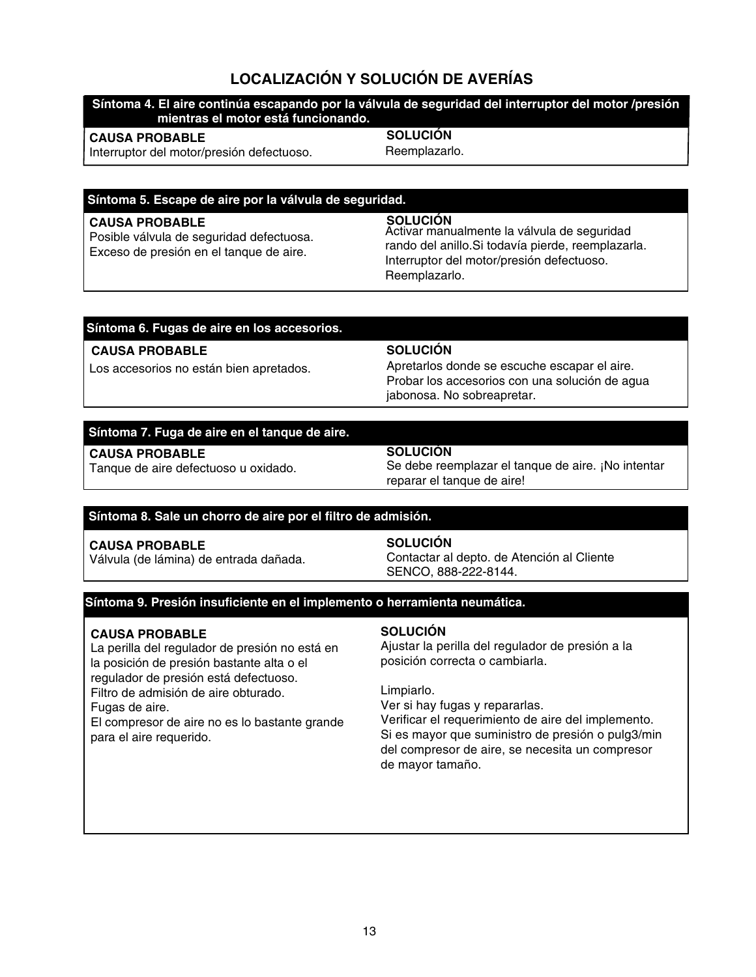## **LOCALIZACIÓN Y SOLUCIÓN DE AVERÍAS**

#### **Síntoma 4. El aire continúa escapando por la válvula de seguridad del interruptor del motor /presión mientras el motor está funcionando.**

#### **CAUSA PROBABLE**

Interruptor del motor/presión defectuoso.

**SOLUCIÓN**

Reemplazarlo.

#### **Síntoma 5. Escape de aire por la válvula de seguridad.**

#### **CAUSA PROBABLE**

Posible válvula de seguridad defectuosa. Exceso de presión en el tanque de aire.

#### **SOLUCIÓN** Activar manualmente la válvula de seguridad rando del anillo.Si todavía pierde, reemplazarla. Interruptor del motor/presión defectuoso. Reemplazarlo.

#### **Síntoma 6. Fugas de aire en los accesorios.**

#### **CAUSA PROBABLE**

Los accesorios no están bien apretados.

#### **SOLUCIÓN**

Apretarlos donde se escuche escapar el aire. Probar los accesorios con una solución de agua jabonosa. No sobreapretar.

#### **Síntoma 7. Fuga de aire en el tanque de aire.**

#### **CAUSA PROBABLE**

Tanque de aire defectuoso u oxidado.

#### **SOLUCIÓN**

Se debe reemplazar el tanque de aire. ¡No intentar reparar el tanque de aire!

#### **Síntoma 8. Sale un chorro de aire por el filtro de admisión.**

### **CAUSA PROBABLE**

Válvula (de lámina) de entrada dañada.

#### **SOLUCIÓN**

Contactar al depto. de Atención al Cliente SENCO, 888-222-8144.

#### **Síntoma 9. Presión insuficiente en el implemento o herramienta neumática.**

#### **CAUSA PROBABLE**

La perilla del regulador de presión no está en la posición de presión bastante alta o el regulador de presión está defectuoso. Filtro de admisión de aire obturado. Fugas de aire.

El compresor de aire no es lo bastante grande para el aire requerido.

#### **SOLUCIÓN**

Ajustar la perilla del regulador de presión a la posición correcta o cambiarla.

#### Limpiarlo.

Ver si hay fugas y repararlas.

Verificar el requerimiento de aire del implemento. Si es mayor que suministro de presión o pulg3/min del compresor de aire, se necesita un compresor de mayor tamaño.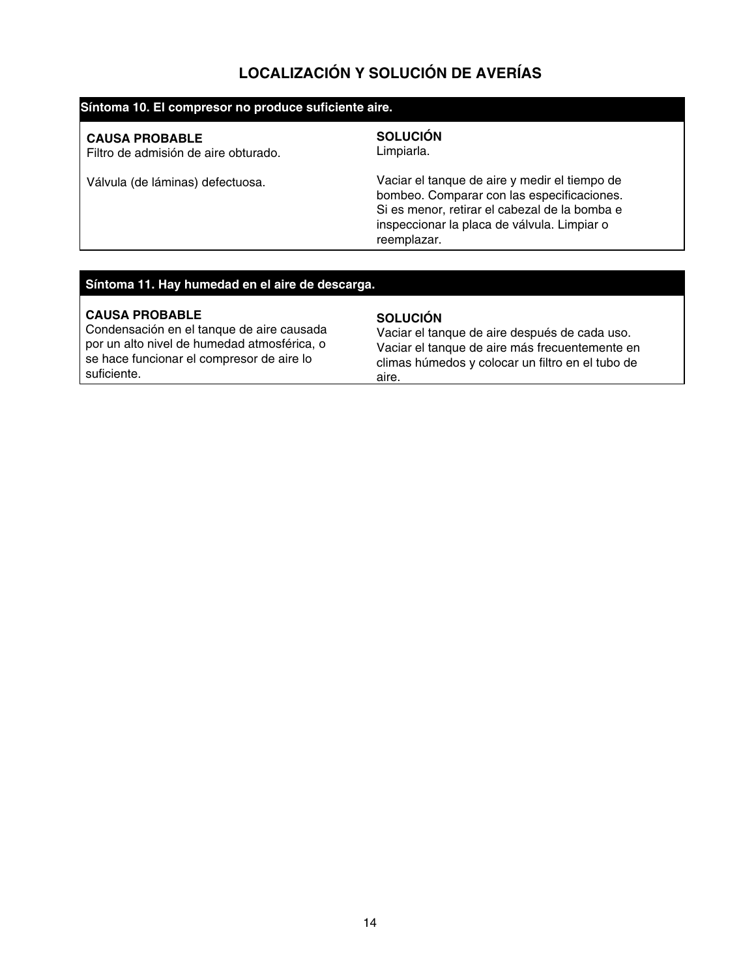## **LOCALIZACIÓN Y SOLUCIÓN DE AVERÍAS**

#### **Síntoma 10. El compresor no produce suficiente aire.**

#### **CAUSA PROBABLE**

Filtro de admisión de aire obturado.

Válvula (de láminas) defectuosa.

## **SOLUCIÓN**

Limpiarla.

Vaciar el tanque de aire y medir el tiempo de bombeo. Comparar con las especificaciones. Si es menor, retirar el cabezal de la bomba e inspeccionar la placa de válvula. Limpiar o reemplazar.

#### **Síntoma 11. Hay humedad en el aire de descarga.**

#### **CAUSA PROBABLE**

Condensación en el tanque de aire causada por un alto nivel de humedad atmosférica, o se hace funcionar el compresor de aire lo suficiente.

#### **SOLUCIÓN**

Vaciar el tanque de aire después de cada uso. Vaciar el tanque de aire más frecuentemente en climas húmedos y colocar un filtro en el tubo de aire.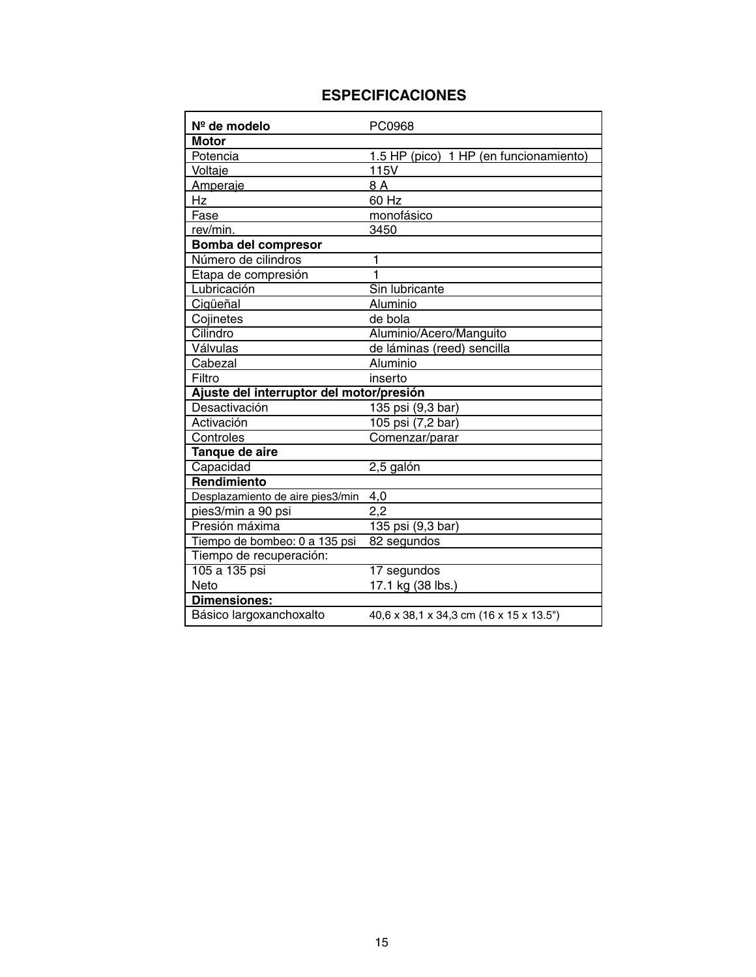## **ESPECIFICACIONES**

| Nº de modelo                             | PC0968                                  |
|------------------------------------------|-----------------------------------------|
| <b>Motor</b>                             |                                         |
| Potencia                                 | 1.5 HP (pico) 1 HP (en funcionamiento)  |
| Voltaje                                  | 115V                                    |
| Amperaje                                 | 8 A                                     |
| Hz                                       | 60 Hz                                   |
| Fase                                     | monofásico                              |
| rev/min.                                 | 3450                                    |
| <b>Bomba del compresor</b>               |                                         |
| Número de cilindros                      | 1                                       |
| Etapa de compresión                      | 1                                       |
| Lubricación                              | Sin lubricante                          |
| Cigüeñal                                 | Aluminio                                |
| Cojinetes                                | de bola                                 |
| Cilindro                                 | Aluminio/Acero/Manguito                 |
| Válvulas                                 | de láminas (reed) sencilla              |
| Cabezal                                  | Aluminio                                |
| Filtro                                   | inserto                                 |
| Ajuste del interruptor del motor/presión |                                         |
| Desactivación                            | 135 psi (9,3 bar)                       |
| Activación                               | 105 psi (7,2 bar)                       |
| Controles                                | Comenzar/parar                          |
| Tanque de aire                           |                                         |
| Capacidad                                | 2,5 galón                               |
| Rendimiento                              |                                         |
| Desplazamiento de aire pies3/min         | 4,0                                     |
| pies3/min a 90 psi                       | 2,2                                     |
| Presión máxima                           | 135 psi (9,3 bar)                       |
| Tiempo de bombeo: 0 a 135 psi            | 82 segundos                             |
| Tiempo de recuperación:                  |                                         |
| 105 a 135 psi                            | 17 segundos                             |
| Neto                                     | 17.1 kg (38 lbs.)                       |
| <b>Dimensiones:</b>                      |                                         |
| Básico largoxanchoxalto                  | 40,6 x 38,1 x 34,3 cm (16 x 15 x 13.5") |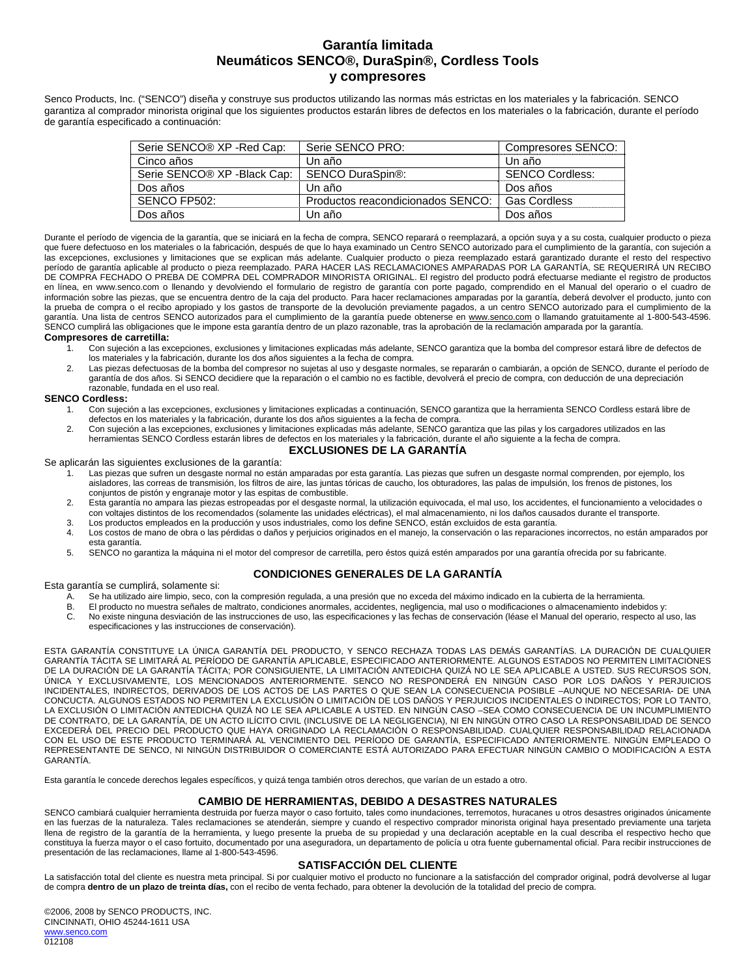#### **Garantía limitada Neumáticos SENCO®, DuraSpin®, Cordless Tools y compresores**

Senco Products, Inc. ("SENCO") diseña y construye sus productos utilizando las normas más estrictas en los materiales y la fabricación. SENCO garantiza al comprador minorista original que los siguientes productos estarán libres de defectos en los materiales o la fabricación, durante el período de garantía especificado a continuación:

| Serie SENCO® XP -Red Cap:                | Serie SENCO PRO:                  | Compresores SENCO:     |
|------------------------------------------|-----------------------------------|------------------------|
| Cinco años                               | Un año                            | Un año                 |
| Serie SENCO <sup>®</sup> XP - Black Cap: | SENCO DuraSpin®:                  | <b>SENCO Cordless:</b> |
| Dos años                                 | Un año                            | Dos años               |
| SENCO FP502:                             | Productos reacondicionados SENCO: | <b>Gas Cordless</b>    |
| Dos años                                 | Un año                            | Dos años               |

Durante el período de vigencia de la garantía, que se iniciará en la fecha de compra, SENCO reparará o reemplazará, a opción suya y a su costa, cualquier producto o pieza que fuere defectuoso en los materiales o la fabricación, después de que lo haya examinado un Centro SENCO autorizado para el cumplimiento de la garantía, con sujeción a las excepciones, exclusiones y limitaciones que se explican más adelante. Cualquier producto o pieza reemplazado estará garantizado durante el resto del respectivo período de garantía aplicable al producto o pieza reemplazado. PARA HACER LAS RECLAMACIONES AMPARADAS POR LA GARANTÍA, SE REQUERIRÁ UN RECIBO DE COMPRA FECHADO O PREBA DE COMPRA DEL COMPRADOR MINORISTA ORIGINAL. El registro del producto podrá efectuarse mediante el registro de productos en línea, en www.senco.com o llenando y devolviendo el formulario de registro de garantía con porte pagado, comprendido en el Manual del operario o el cuadro de información sobre las piezas, que se encuentra dentro de la caja del producto. Para hacer reclamaciones amparadas por la garantía, deberá devolver el producto, junto con la prueba de compra o el recibo apropiado y los gastos de transporte de la devolución previamente pagados, a un centro SENCO autorizado para el cumplimiento de la garantía. Una lista de centros SENCO autorizados para el cumplimiento de la garantía puede obtenerse en www.senco.com o llamando gratuitamente al 1-800-543-4596. SENCO cumplirá las obligaciones que le impone esta garantía dentro de un plazo razonable, tras la aprobación de la reclamación amparada por la garantía.

#### **Compresores de carretilla:**

- 1. Con sujeción a las excepciones, exclusiones y limitaciones explicadas más adelante, SENCO garantiza que la bomba del compresor estará libre de defectos de los materiales y la fabricación, durante los dos años siguientes a la fecha de compra.
- 2. Las piezas defectuosas de la bomba del compresor no sujetas al uso y desgaste normales, se repararán o cambiarán, a opción de SENCO, durante el período de garantía de dos años. Si SENCO decidiere que la reparación o el cambio no es factible, devolverá el precio de compra, con deducción de una depreciación razonable, fundada en el uso real.

#### **SENCO Cordless:**

- 1. Con sujeción a las excepciones, exclusiones y limitaciones explicadas a continuación, SENCO garantiza que la herramienta SENCO Cordless estará libre de defectos en los materiales y la fabricación, durante los dos años siguientes a la fecha de compra.
- 2. Con sujeción a las excepciones, exclusiones y limitaciones explicadas más adelante, SENCO garantiza que las pilas y los cargadores utilizados en las herramientas SENCO Cordless estarán libres de defectos en los materiales y la fabricación, durante el año siguiente a la fecha de compra.

#### **EXCLUSIONES DE LA GARANTÍA**

Se aplicarán las siguientes exclusiones de la garantía:

- .<br>1. Las piezas que sufren un desgaste normal no están amparadas por esta garantía. Las piezas que sufren un desgaste normal comprenden, por ejemplo, los aisladores, las correas de transmisión, los filtros de aire, las juntas tóricas de caucho, los obturadores, las palas de impulsión, los frenos de pistones, los conjuntos de pistón y engranaje motor y las espitas de combustible.
- 2. Esta garantía no ampara las piezas estropeadas por el desgaste normal, la utilización equivocada, el mal uso, los accidentes, el funcionamiento a velocidades o con voltajes distintos de los recomendados (solamente las unidades eléctricas), el mal almacenamiento, ni los daños causados durante el transporte.
- 3. Los productos empleados en la producción y usos industriales, como los define SENCO, están excluidos de esta garantía.
- 4. Los costos de mano de obra o las pérdidas o daños y perjuicios originados en el manejo, la conservación o las reparaciones incorrectos, no están amparados por esta garantía.
- 5. SENCO no garantiza la máquina ni el motor del compresor de carretilla, pero éstos quizá estén amparados por una garantía ofrecida por su fabricante.

#### **CONDICIONES GENERALES DE LA GARANTÍA**

Esta garantía se cumplirá, solamente si:

- A. Se ha utilizado aire limpio, seco, con la compresión regulada, a una presión que no exceda del máximo indicado en la cubierta de la herramienta.
- El producto no muestra señales de maltrato, condiciones anormales, accidentes, negligencia, mal uso o modificaciones o almacenamiento indebidos y:
- C. No existe ninguna desviación de las instrucciones de uso, las especificaciones y las fechas de conservación (léase el Manual del operario, respecto al uso, las especificaciones y las instrucciones de conservación).

ESTA GARANTÍA CONSTITUYE LA ÚNICA GARANTÍA DEL PRODUCTO, Y SENCO RECHAZA TODAS LAS DEMÁS GARANTÍAS. LA DURACIÓN DE CUALQUIER GARANTÍA TÁCITA SE LIMITARÁ AL PERÍODO DE GARANTÍA APLICABLE, ESPECIFICADO ANTERIORMENTE. ALGUNOS ESTADOS NO PERMITEN LIMITACIONES DE LA DURACIÓN DE LA GARANTÍA TÁCITA; POR CONSIGUIENTE, LA LIMITACIÓN ANTEDICHA QUIZÁ NO LE SEA APLICABLE A USTED. SUS RECURSOS SON, ÚNICA Y EXCLUSIVAMENTE, LOS MENCIONADOS ANTERIORMENTE. SENCO NO RESPONDERÁ EN NINGÚN CASO POR LOS DAÑOS Y PERJUICIOS INCIDENTALES, INDIRECTOS, DERIVADOS DE LOS ACTOS DE LAS PARTES O QUE SEAN LA CONSECUENCIA POSIBLE –AUNQUE NO NECESARIA- DE UNA CONCUCTA. ALGUNOS ESTADOS NO PERMITEN LA EXCLUSIÓN O LIMITACIÓN DE LOS DAÑOS Y PERJUICIOS INCIDENTALES O INDIRECTOS; POR LO TANTO, LA EXCLUSIÓN O LIMITACIÓN ANTEDICHA QUIZÁ NO LE SEA APLICABLE A USTED. EN NINGÚN CASO –SEA COMO CONSECUENCIA DE UN INCUMPLIMIENTO DE CONTRATO, DE LA GARANTÍA, DE UN ACTO ILÍCITO CIVIL (INCLUSIVE DE LA NEGLIGENCIA), NI EN NINGÚN OTRO CASO LA RESPONSABILIDAD DE SENCO EXCEDERÁ DEL PRECIO DEL PRODUCTO QUE HAYA ORIGINADO LA RECLAMACIÓN O RESPONSABILIDAD. CUALQUIER RESPONSABILIDAD RELACIONADA CON EL USO DE ESTE PRODUCTO TERMINARÁ AL VENCIMIENTO DEL PERÍODO DE GARANTÍA, ESPECIFICADO ANTERIORMENTE. NINGÚN EMPLEADO O REPRESENTANTE DE SENCO, NI NINGÚN DISTRIBUIDOR O COMERCIANTE ESTÁ AUTORIZADO PARA EFECTUAR NINGÚN CAMBIO O MODIFICACIÓN A ESTA GARANTÍA.

Esta garantía le concede derechos legales específicos, y quizá tenga también otros derechos, que varían de un estado a otro.

#### **CAMBIO DE HERRAMIENTAS, DEBIDO A DESASTRES NATURALES**

SENCO cambiará cualquier herramienta destruida por fuerza mayor o caso fortuito, tales como inundaciones, terremotos, huracanes u otros desastres originados únicamente en las fuerzas de la naturaleza. Tales reclamaciones se atenderán, siempre y cuando el respectivo comprador minorista original haya presentado previamente una tarjeta llena de registro de la garantía de la herramienta, y luego presente la prueba de su propiedad y una declaración aceptable en la cual describa el respectivo hecho que constituya la fuerza mayor o el caso fortuito, documentado por una aseguradora, un departamento de policía u otra fuente gubernamental oficial. Para recibir instrucciones de presentación de las reclamaciones, llame al 1-800-543-4596.

#### **SATISFACCIÓN DEL CLIENTE**

La satisfacción total del cliente es nuestra meta principal. Si por cualquier motivo el producto no funcionare a la satisfacción del comprador original, podrá devolverse al lugar de compra **dentro de un plazo de treinta días,** con el recibo de venta fechado, para obtener la devolución de la totalidad del precio de compra.

©2006, 2008 by SENCO PRODUCTS, INC. CINCINNATI, OHIO 45244-1611 USA www.senco.com 012108